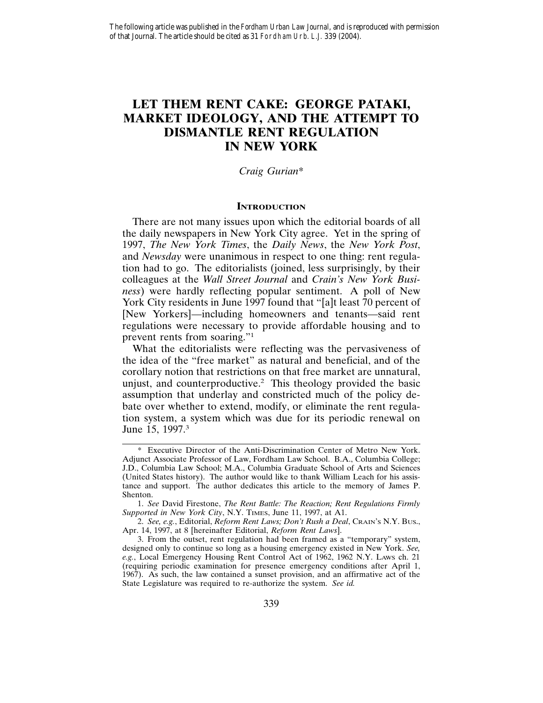# **LET THEM RENT CAKE: GEORGE PATAKI, MARKET IDEOLOGY, AND THE ATTEMPT TO DISMANTLE RENT REGULATION IN NEW YORK**

## *Craig Gurian*\*

#### **INTRODUCTION**

There are not many issues upon which the editorial boards of all the daily newspapers in New York City agree. Yet in the spring of 1997, *The New York Times*, the *Daily News*, the *New York Post*, and *Newsday* were unanimous in respect to one thing: rent regulation had to go. The editorialists (joined, less surprisingly, by their colleagues at the *Wall Street Journal* and *Crain's New York Business*) were hardly reflecting popular sentiment. A poll of New York City residents in June 1997 found that "[a]t least 70 percent of [New Yorkers]—including homeowners and tenants—said rent regulations were necessary to provide affordable housing and to prevent rents from soaring."<sup>1</sup>

What the editorialists were reflecting was the pervasiveness of the idea of the "free market" as natural and beneficial, and of the corollary notion that restrictions on that free market are unnatural, unjust, and counterproductive.2 This theology provided the basic assumption that underlay and constricted much of the policy debate over whether to extend, modify, or eliminate the rent regulation system, a system which was due for its periodic renewal on June 15, 1997.<sup>3</sup>

<sup>\*</sup> Executive Director of the Anti-Discrimination Center of Metro New York. Adjunct Associate Professor of Law, Fordham Law School. B.A., Columbia College; J.D., Columbia Law School; M.A., Columbia Graduate School of Arts and Sciences (United States history). The author would like to thank William Leach for his assistance and support. The author dedicates this article to the memory of James P. Shenton.

<sup>1.</sup> *See* David Firestone, *The Rent Battle: The Reaction; Rent Regulations Firmly Supported in New York City*, N.Y. TIMES, June 11, 1997, at A1.

<sup>2.</sup> *See, e.g.*, Editorial, *Reform Rent Laws; Don't Rush a Deal*, CRAIN'S N.Y. BUS., Apr. 14, 1997, at 8 [hereinafter Editorial, *Reform Rent Laws*].

<sup>3.</sup> From the outset, rent regulation had been framed as a "temporary" system, designed only to continue so long as a housing emergency existed in New York. *See, e.g.*, Local Emergency Housing Rent Control Act of 1962, 1962 N.Y. LAWS ch. 21 (requiring periodic examination for presence emergency conditions after April 1, 1967). As such, the law contained a sunset provision, and an affirmative act of the State Legislature was required to re-authorize the system. *See id.*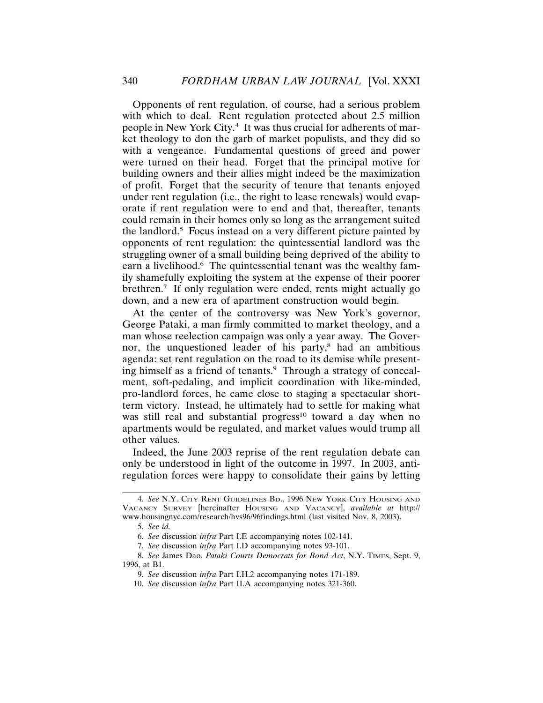Opponents of rent regulation, of course, had a serious problem with which to deal. Rent regulation protected about 2.5 million people in New York City.4 It was thus crucial for adherents of market theology to don the garb of market populists, and they did so with a vengeance. Fundamental questions of greed and power were turned on their head. Forget that the principal motive for building owners and their allies might indeed be the maximization of profit. Forget that the security of tenure that tenants enjoyed under rent regulation (i.e., the right to lease renewals) would evaporate if rent regulation were to end and that, thereafter, tenants could remain in their homes only so long as the arrangement suited the landlord.5 Focus instead on a very different picture painted by opponents of rent regulation: the quintessential landlord was the struggling owner of a small building being deprived of the ability to earn a livelihood.<sup>6</sup> The quintessential tenant was the wealthy family shamefully exploiting the system at the expense of their poorer brethren.7 If only regulation were ended, rents might actually go down, and a new era of apartment construction would begin.

At the center of the controversy was New York's governor, George Pataki, a man firmly committed to market theology, and a man whose reelection campaign was only a year away. The Governor, the unquestioned leader of his party,<sup>8</sup> had an ambitious agenda: set rent regulation on the road to its demise while presenting himself as a friend of tenants.<sup>9</sup> Through a strategy of concealment, soft-pedaling, and implicit coordination with like-minded, pro-landlord forces, he came close to staging a spectacular shortterm victory. Instead, he ultimately had to settle for making what was still real and substantial progress<sup>10</sup> toward a day when no apartments would be regulated, and market values would trump all other values.

Indeed, the June 2003 reprise of the rent regulation debate can only be understood in light of the outcome in 1997. In 2003, antiregulation forces were happy to consolidate their gains by letting

<sup>4.</sup> *See* N.Y. CITY RENT GUIDELINES BD., 1996 NEW YORK CITY HOUSING AND VACANCY SURVEY [hereinafter HOUSING AND VACANCY], *available at* http:// www.housingnyc.com/research/hvs96/96findings.html (last visited Nov. 8, 2003).

<sup>5.</sup> *See id.*

<sup>6.</sup> *See* discussion *infra* Part I.E accompanying notes 102-141.

<sup>7.</sup> *See* discussion *infra* Part I.D accompanying notes 93-101.

<sup>8.</sup> *See* James Dao, *Pataki Courts Democrats for Bond Act*, N.Y. TIMES, Sept. 9, 1996, at B1.

<sup>9.</sup> *See* discussion *infra* Part I.H.2 accompanying notes 171-189.

<sup>10.</sup> *See* discussion *infra* Part II.A accompanying notes 321-360.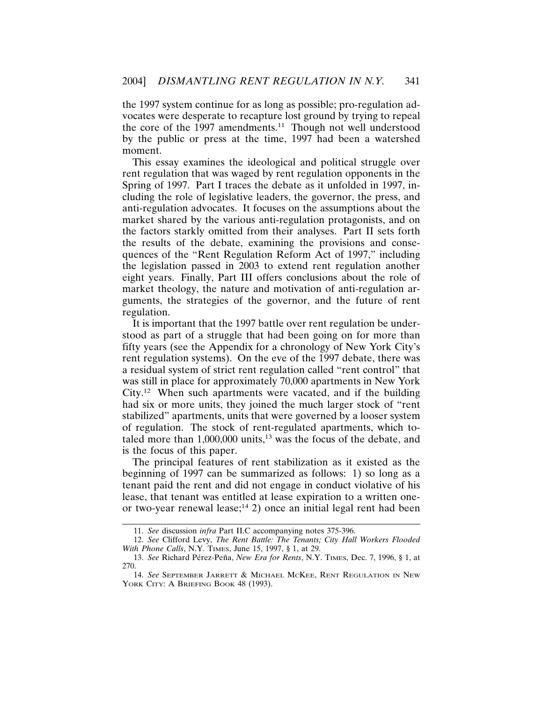the 1997 system continue for as long as possible; pro-regulation advocates were desperate to recapture lost ground by trying to repeal the core of the  $1997$  amendments.<sup>11</sup> Though not well understood by the public or press at the time, 1997 had been a watershed moment.

This essay examines the ideological and political struggle over rent regulation that was waged by rent regulation opponents in the Spring of 1997. Part I traces the debate as it unfolded in 1997, including the role of legislative leaders, the governor, the press, and anti-regulation advocates. It focuses on the assumptions about the market shared by the various anti-regulation protagonists, and on the factors starkly omitted from their analyses. Part II sets forth the results of the debate, examining the provisions and consequences of the "Rent Regulation Reform Act of 1997," including the legislation passed in 2003 to extend rent regulation another eight years. Finally, Part III offers conclusions about the role of market theology, the nature and motivation of anti-regulation arguments, the strategies of the governor, and the future of rent regulation.

It is important that the 1997 battle over rent regulation be understood as part of a struggle that had been going on for more than fifty years (see the Appendix for a chronology of New York City's rent regulation systems). On the eve of the 1997 debate, there was a residual system of strict rent regulation called "rent control" that was still in place for approximately 70,000 apartments in New York City.12 When such apartments were vacated, and if the building had six or more units, they joined the much larger stock of "rent stabilized" apartments, units that were governed by a looser system of regulation. The stock of rent-regulated apartments, which totaled more than 1,000,000 units,<sup>13</sup> was the focus of the debate, and is the focus of this paper.

The principal features of rent stabilization as it existed as the beginning of 1997 can be summarized as follows: 1) so long as a tenant paid the rent and did not engage in conduct violative of his lease, that tenant was entitled at lease expiration to a written oneor two-year renewal lease;<sup>14</sup> 2) once an initial legal rent had been

<sup>11.</sup> *See* discussion *infra* Part II.C accompanying notes 375-396.

<sup>12.</sup> *See* Clifford Levy, *The Rent Battle: The Tenants; City Hall Workers Flooded With Phone Calls*, N.Y. TIMES, June 15, 1997, § 1, at 29.

<sup>13.</sup> *See* Richard Pérez-Peña, *New Era for Rents*, N.Y. TIMES, Dec. 7, 1996, § 1, at 270.

<sup>14.</sup> *See* SEPTEMBER JARRETT & MICHAEL MCKEE, RENT REGULATION IN NEW YORK CITY: A BRIEFING BOOK 48 (1993).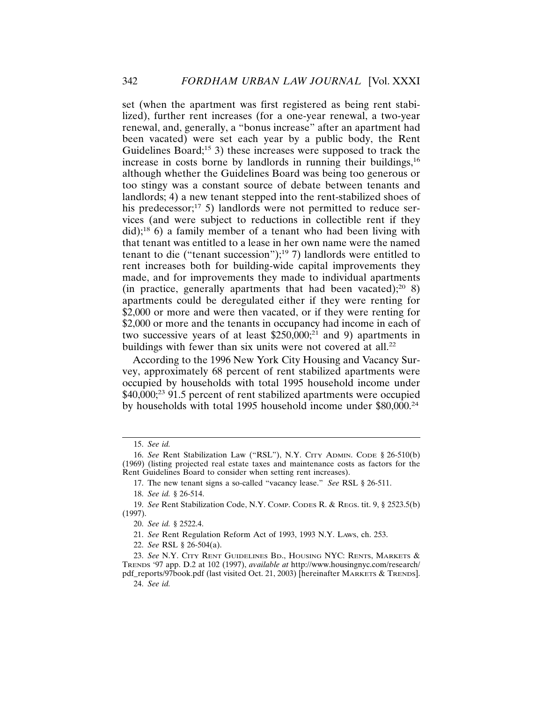set (when the apartment was first registered as being rent stabilized), further rent increases (for a one-year renewal, a two-year renewal, and, generally, a "bonus increase" after an apartment had been vacated) were set each year by a public body, the Rent Guidelines Board;<sup>15</sup> 3) these increases were supposed to track the increase in costs borne by landlords in running their buildings, $16$ although whether the Guidelines Board was being too generous or too stingy was a constant source of debate between tenants and landlords; 4) a new tenant stepped into the rent-stabilized shoes of his predecessor; $^{17}$  5) landlords were not permitted to reduce services (and were subject to reductions in collectible rent if they did);18 6) a family member of a tenant who had been living with that tenant was entitled to a lease in her own name were the named tenant to die ("tenant succession");<sup>19</sup> 7) landlords were entitled to rent increases both for building-wide capital improvements they made, and for improvements they made to individual apartments (in practice, generally apartments that had been vacated);<sup>20</sup> 8) apartments could be deregulated either if they were renting for \$2,000 or more and were then vacated, or if they were renting for \$2,000 or more and the tenants in occupancy had income in each of two successive years of at least  $$250,000;^{21}$  and 9) apartments in buildings with fewer than six units were not covered at all.<sup>22</sup>

According to the 1996 New York City Housing and Vacancy Survey, approximately 68 percent of rent stabilized apartments were occupied by households with total 1995 household income under \$40,000;<sup>23</sup> 91.5 percent of rent stabilized apartments were occupied by households with total 1995 household income under \$80,000.24

<sup>15.</sup> *See id.*

<sup>16.</sup> *See* Rent Stabilization Law ("RSL"), N.Y. CITY ADMIN. CODE § 26-510(b) (1969) (listing projected real estate taxes and maintenance costs as factors for the Rent Guidelines Board to consider when setting rent increases).

<sup>17.</sup> The new tenant signs a so-called "vacancy lease." *See* RSL § 26-511.

<sup>18.</sup> *See id.* § 26-514.

<sup>19.</sup> *See* Rent Stabilization Code, N.Y. COMP. CODES R. & REGS. tit. 9, § 2523.5(b) (1997).

<sup>20.</sup> *See id.* § 2522.4.

<sup>21.</sup> *See* Rent Regulation Reform Act of 1993, 1993 N.Y. LAWS, ch. 253.

<sup>22.</sup> *See* RSL § 26-504(a).

<sup>23.</sup> *See* N.Y. CITY RENT GUIDELINES BD., HOUSING NYC: RENTS, MARKETS & TRENDS '97 app. D.2 at 102 (1997), *available at* http://www.housingnyc.com/research/ pdf\_reports/97book.pdf (last visited Oct. 21, 2003) [hereinafter MARKETS & TRENDS].

<sup>24.</sup> *See id.*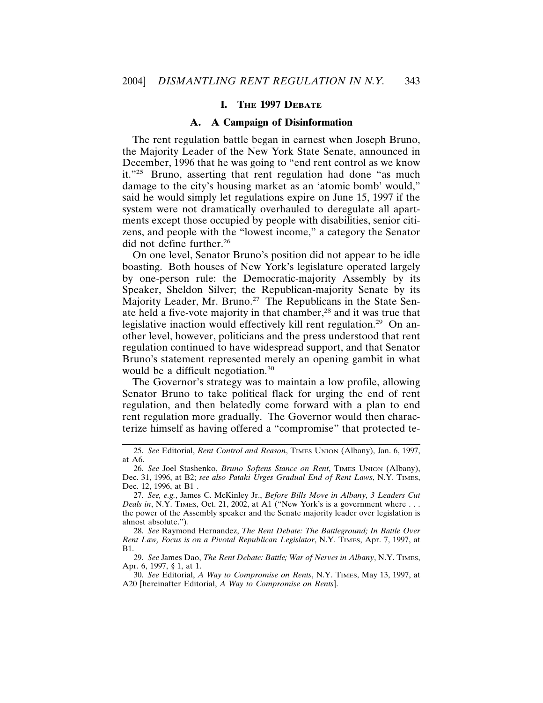# **I. THE 1997 DEBATE**

#### **A. A Campaign of Disinformation**

The rent regulation battle began in earnest when Joseph Bruno, the Majority Leader of the New York State Senate, announced in December, 1996 that he was going to "end rent control as we know it."25 Bruno, asserting that rent regulation had done "as much damage to the city's housing market as an 'atomic bomb' would," said he would simply let regulations expire on June 15, 1997 if the system were not dramatically overhauled to deregulate all apartments except those occupied by people with disabilities, senior citizens, and people with the "lowest income," a category the Senator did not define further.26

On one level, Senator Bruno's position did not appear to be idle boasting. Both houses of New York's legislature operated largely by one-person rule: the Democratic-majority Assembly by its Speaker, Sheldon Silver; the Republican-majority Senate by its Majority Leader, Mr. Bruno.<sup>27</sup> The Republicans in the State Senate held a five-vote majority in that chamber,28 and it was true that legislative inaction would effectively kill rent regulation.<sup>29</sup> On another level, however, politicians and the press understood that rent regulation continued to have widespread support, and that Senator Bruno's statement represented merely an opening gambit in what would be a difficult negotiation.<sup>30</sup>

The Governor's strategy was to maintain a low profile, allowing Senator Bruno to take political flack for urging the end of rent regulation, and then belatedly come forward with a plan to end rent regulation more gradually. The Governor would then characterize himself as having offered a "compromise" that protected te-

29. *See* James Dao, *The Rent Debate: Battle; War of Nerves in Albany*, N.Y. TIMES, Apr. 6, 1997, § 1, at 1.

30. *See* Editorial, *A Way to Compromise on Rents*, N.Y. TIMES, May 13, 1997, at A20 [hereinafter Editorial, *A Way to Compromise on Rents*].

<sup>25.</sup> *See* Editorial, *Rent Control and Reason*, TIMES UNION (Albany), Jan. 6, 1997, at A6.

<sup>26.</sup> *See* Joel Stashenko, *Bruno Softens Stance on Rent*, TIMES UNION (Albany), Dec. 31, 1996, at B2; *see also Pataki Urges Gradual End of Rent Laws*, N.Y. TIMES, Dec. 12, 1996, at B1 .

<sup>27.</sup> *See, e.g.*, James C. McKinley Jr., *Before Bills Move in Albany, 3 Leaders Cut Deals in*, N.Y. TIMES, Oct. 21, 2002, at A1 ("New York's is a government where . . . the power of the Assembly speaker and the Senate majority leader over legislation is almost absolute.")*.*

<sup>28.</sup> *See* Raymond Hernandez, *The Rent Debate: The Battleground; In Battle Over Rent Law, Focus is on a Pivotal Republican Legislator*, N.Y. TIMES, Apr. 7, 1997, at B1.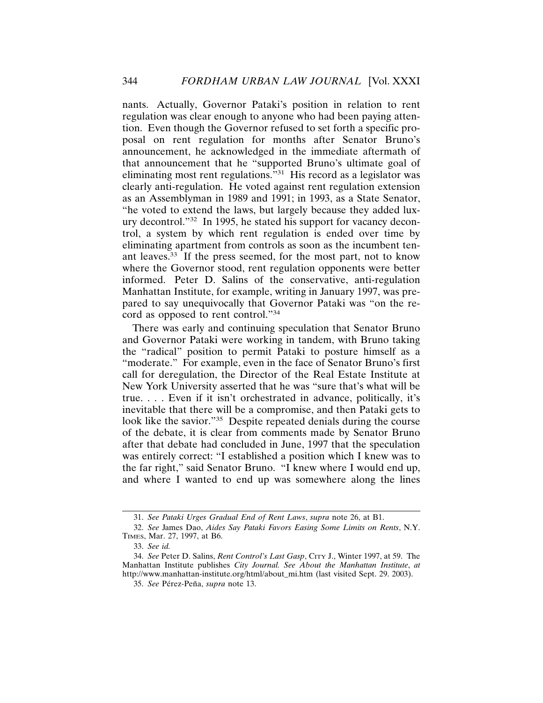nants. Actually, Governor Pataki's position in relation to rent regulation was clear enough to anyone who had been paying attention. Even though the Governor refused to set forth a specific proposal on rent regulation for months after Senator Bruno's announcement, he acknowledged in the immediate aftermath of that announcement that he "supported Bruno's ultimate goal of eliminating most rent regulations."31 His record as a legislator was clearly anti-regulation. He voted against rent regulation extension as an Assemblyman in 1989 and 1991; in 1993, as a State Senator, "he voted to extend the laws, but largely because they added luxury decontrol."32 In 1995, he stated his support for vacancy decontrol, a system by which rent regulation is ended over time by eliminating apartment from controls as soon as the incumbent tenant leaves.33 If the press seemed, for the most part, not to know where the Governor stood, rent regulation opponents were better informed. Peter D. Salins of the conservative, anti-regulation Manhattan Institute, for example, writing in January 1997, was prepared to say unequivocally that Governor Pataki was "on the record as opposed to rent control."34

There was early and continuing speculation that Senator Bruno and Governor Pataki were working in tandem, with Bruno taking the "radical" position to permit Pataki to posture himself as a "moderate." For example, even in the face of Senator Bruno's first call for deregulation, the Director of the Real Estate Institute at New York University asserted that he was "sure that's what will be true. . . . Even if it isn't orchestrated in advance, politically, it's inevitable that there will be a compromise, and then Pataki gets to look like the savior."<sup>35</sup> Despite repeated denials during the course of the debate, it is clear from comments made by Senator Bruno after that debate had concluded in June, 1997 that the speculation was entirely correct: "I established a position which I knew was to the far right," said Senator Bruno. "I knew where I would end up, and where I wanted to end up was somewhere along the lines

<sup>31.</sup> *See Pataki Urges Gradual End of Rent Laws*, *supra* note 26, at B1.

<sup>32.</sup> *See* James Dao, *Aides Say Pataki Favors Easing Some Limits on Rents*, N.Y. TIMES, Mar. 27, 1997, at B6.

<sup>33.</sup> *See id.*

<sup>34.</sup> *See* Peter D. Salins, *Rent Control's Last Gasp*, CITY J., Winter 1997, at 59. The Manhattan Institute publishes *City Journal. See About the Manhattan Institute*, *at* http://www.manhattan-institute.org/html/about\_mi.htm (last visited Sept. 29. 2003).

<sup>35.</sup> See Pérez-Peña, *supra* note 13.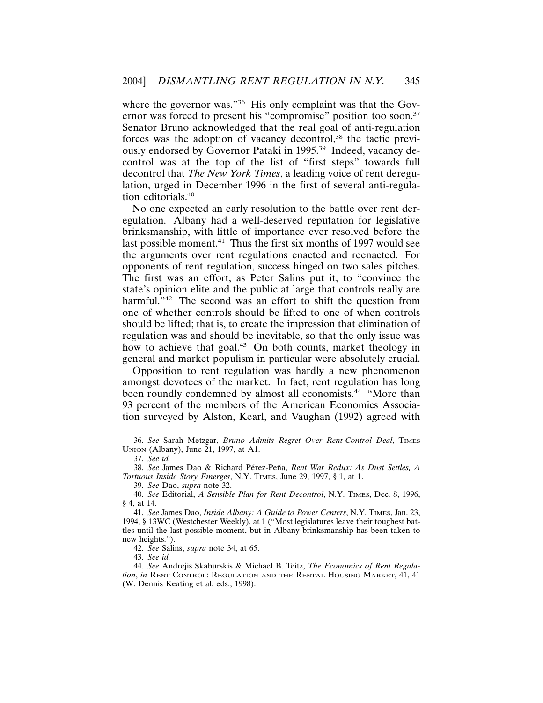where the governor was."<sup>36</sup> His only complaint was that the Governor was forced to present his "compromise" position too soon.<sup>37</sup> Senator Bruno acknowledged that the real goal of anti-regulation forces was the adoption of vacancy decontrol,<sup>38</sup> the tactic previously endorsed by Governor Pataki in 1995.39 Indeed, vacancy decontrol was at the top of the list of "first steps" towards full decontrol that *The New York Times*, a leading voice of rent deregulation, urged in December 1996 in the first of several anti-regulation editorials.<sup>40</sup>

No one expected an early resolution to the battle over rent deregulation. Albany had a well-deserved reputation for legislative brinksmanship, with little of importance ever resolved before the last possible moment.<sup>41</sup> Thus the first six months of 1997 would see the arguments over rent regulations enacted and reenacted. For opponents of rent regulation, success hinged on two sales pitches. The first was an effort, as Peter Salins put it, to "convince the state's opinion elite and the public at large that controls really are harmful."<sup>42</sup> The second was an effort to shift the question from one of whether controls should be lifted to one of when controls should be lifted; that is, to create the impression that elimination of regulation was and should be inevitable, so that the only issue was how to achieve that goal.<sup>43</sup> On both counts, market theology in general and market populism in particular were absolutely crucial.

Opposition to rent regulation was hardly a new phenomenon amongst devotees of the market. In fact, rent regulation has long been roundly condemned by almost all economists.<sup>44</sup> "More than 93 percent of the members of the American Economics Association surveyed by Alston, Kearl, and Vaughan (1992) agreed with

42. *See* Salins, *supra* note 34, at 65.

43. *See id.*

<sup>36.</sup> *See* Sarah Metzgar, *Bruno Admits Regret Over Rent-Control Deal*, TIMES UNION (Albany), June 21, 1997, at A1.

<sup>37.</sup> *See id.*

<sup>38.</sup> See James Dao & Richard Pérez-Peña, Rent War Redux: As Dust Settles, A *Tortuous Inside Story Emerges*, N.Y. TIMES, June 29, 1997, § 1, at 1.

<sup>39.</sup> *See* Dao, *supra* note 32.

<sup>40.</sup> *See* Editorial, *A Sensible Plan for Rent Decontrol*, N.Y. TIMES, Dec. 8, 1996, § 4, at 14.

<sup>41.</sup> *See* James Dao, *Inside Albany: A Guide to Power Centers*, N.Y. TIMES, Jan. 23, 1994, § 13WC (Westchester Weekly), at 1 ("Most legislatures leave their toughest battles until the last possible moment, but in Albany brinksmanship has been taken to new heights.").

<sup>44.</sup> *See* Andrejis Skaburskis & Michael B. Teitz, *The Economics of Rent Regulation*, *in* RENT CONTROL: REGULATION AND THE RENTAL HOUSING MARKET, 41, 41 (W. Dennis Keating et al. eds., 1998).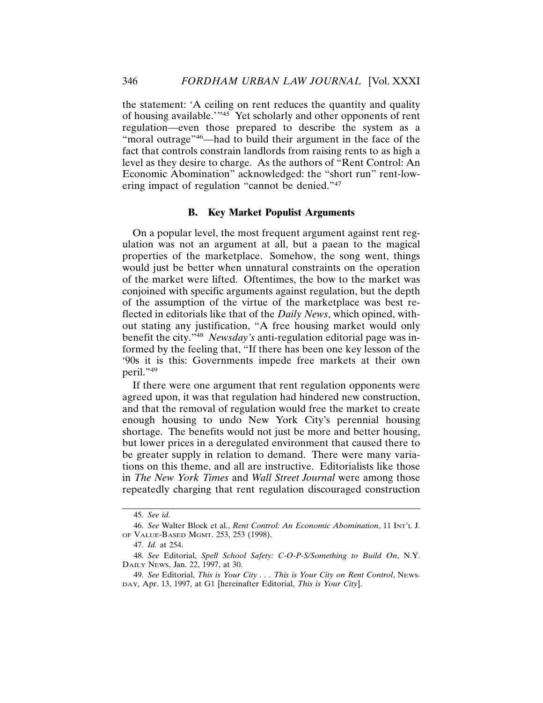the statement: 'A ceiling on rent reduces the quantity and quality of housing available.'"45 Yet scholarly and other opponents of rent regulation—even those prepared to describe the system as a "moral outrage"<sup>46</sup>—had to build their argument in the face of the fact that controls constrain landlords from raising rents to as high a level as they desire to charge. As the authors of "Rent Control: An Economic Abomination" acknowledged: the "short run" rent-lowering impact of regulation "cannot be denied."47

# **B. Key Market Populist Arguments**

On a popular level, the most frequent argument against rent regulation was not an argument at all, but a paean to the magical properties of the marketplace. Somehow, the song went, things would just be better when unnatural constraints on the operation of the market were lifted. Oftentimes, the bow to the market was conjoined with specific arguments against regulation, but the depth of the assumption of the virtue of the marketplace was best reflected in editorials like that of the *Daily News*, which opined, without stating any justification, "A free housing market would only benefit the city."<sup>48</sup> *Newsday's* anti-regulation editorial page was informed by the feeling that, "If there has been one key lesson of the '90s it is this: Governments impede free markets at their own peril."49

If there were one argument that rent regulation opponents were agreed upon, it was that regulation had hindered new construction, and that the removal of regulation would free the market to create enough housing to undo New York City's perennial housing shortage. The benefits would not just be more and better housing, but lower prices in a deregulated environment that caused there to be greater supply in relation to demand. There were many variations on this theme, and all are instructive. Editorialists like those in *The New York Times* and *Wall Street Journal* were among those repeatedly charging that rent regulation discouraged construction

<sup>45.</sup> *See id.*

<sup>46.</sup> *See* Walter Block et al., *Rent Control: An Economic Abomination*, 11 INT'L J. OF VALUE-BASED MGMT. 253, 253 (1998).

<sup>47.</sup> *Id.* at 254.

<sup>48.</sup> *See* Editorial, *Spell School Safety: C-O-P-S/Something to Build On*, N.Y. DAILY NEWS, Jan. 22, 1997, at 30.

<sup>49.</sup> *See* Editorial, *This is Your City . . . This is Your City on Rent Control*, NEWS-DAY, Apr. 13, 1997, at G1 [hereinafter Editorial, *This is Your City*].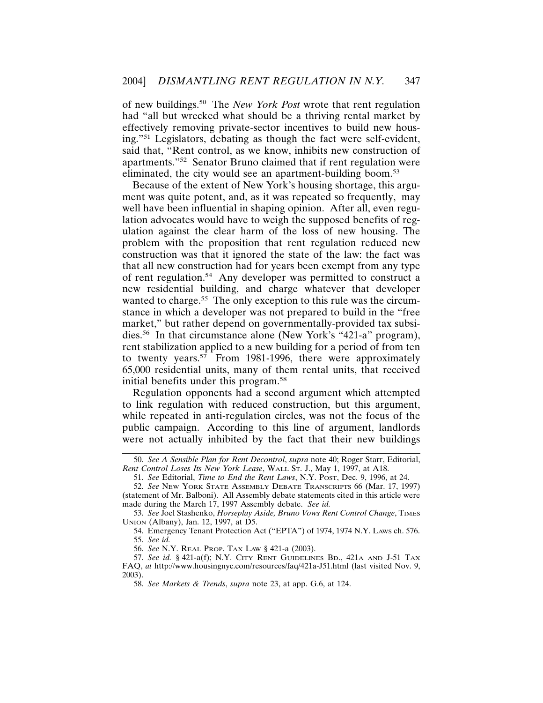of new buildings.50 The *New York Post* wrote that rent regulation had "all but wrecked what should be a thriving rental market by effectively removing private-sector incentives to build new housing."51 Legislators, debating as though the fact were self-evident, said that, "Rent control, as we know, inhibits new construction of apartments."52 Senator Bruno claimed that if rent regulation were eliminated, the city would see an apartment-building boom.<sup>53</sup>

Because of the extent of New York's housing shortage, this argument was quite potent, and, as it was repeated so frequently, may well have been influential in shaping opinion. After all, even regulation advocates would have to weigh the supposed benefits of regulation against the clear harm of the loss of new housing. The problem with the proposition that rent regulation reduced new construction was that it ignored the state of the law: the fact was that all new construction had for years been exempt from any type of rent regulation.54 Any developer was permitted to construct a new residential building, and charge whatever that developer wanted to charge.<sup>55</sup> The only exception to this rule was the circumstance in which a developer was not prepared to build in the "free market," but rather depend on governmentally-provided tax subsidies.56 In that circumstance alone (New York's "421-a" program), rent stabilization applied to a new building for a period of from ten to twenty years.<sup>57</sup> From 1981-1996, there were approximately 65,000 residential units, many of them rental units, that received initial benefits under this program.58

Regulation opponents had a second argument which attempted to link regulation with reduced construction, but this argument, while repeated in anti-regulation circles, was not the focus of the public campaign. According to this line of argument, landlords were not actually inhibited by the fact that their new buildings

56. *See* N.Y. REAL PROP. TAX LAW § 421-a (2003).

<sup>50.</sup> *See A Sensible Plan for Rent Decontrol*, *supra* note 40; Roger Starr, Editorial, *Rent Control Loses Its New York Lease*, WALL ST. J., May 1, 1997, at A18.

<sup>51.</sup> *See* Editorial, *Time to End the Rent Laws*, N.Y. POST, Dec. 9, 1996, at 24.

<sup>52.</sup> *See* NEW YORK STATE ASSEMBLY DEBATE TRANSCRIPTS 66 (Mar. 17, 1997) (statement of Mr. Balboni). All Assembly debate statements cited in this article were made during the March 17, 1997 Assembly debate. *See id.*

<sup>53.</sup> *See* Joel Stashenko, *Horseplay Aside, Bruno Vows Rent Control Change*, TIMES UNION (Albany), Jan. 12, 1997, at D5.

<sup>54.</sup> Emergency Tenant Protection Act ("EPTA") of 1974, 1974 N.Y. LAWS ch. 576. 55. *See id.*

<sup>57.</sup> *See id.* § 421-a(f); N.Y. CITY RENT GUIDELINES BD., 421A AND J-51 TAX FAQ, *at* http://www.housingnyc.com/resources/faq/421a-J51.html (last visited Nov. 9, 2003).

<sup>58.</sup> *See Markets & Trends*, *supra* note 23, at app. G.6, at 124.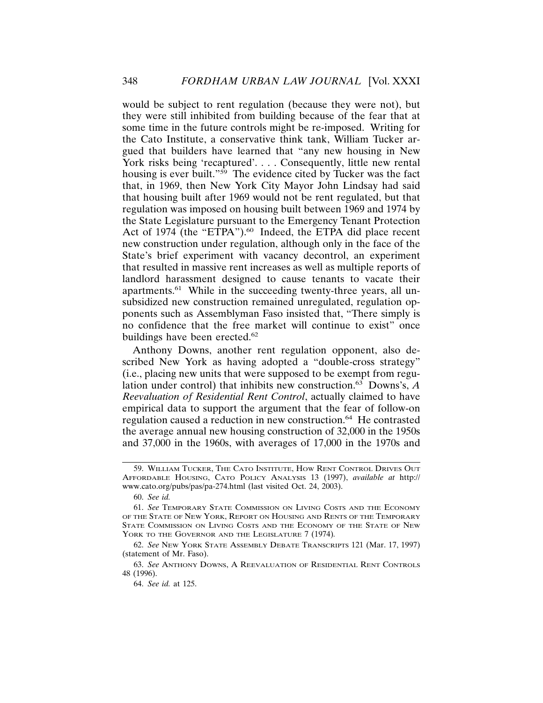would be subject to rent regulation (because they were not), but they were still inhibited from building because of the fear that at some time in the future controls might be re-imposed. Writing for the Cato Institute, a conservative think tank, William Tucker argued that builders have learned that "any new housing in New York risks being 'recaptured'.... Consequently, little new rental housing is ever built."<sup>59</sup> The evidence cited by Tucker was the fact that, in 1969, then New York City Mayor John Lindsay had said that housing built after 1969 would not be rent regulated, but that regulation was imposed on housing built between 1969 and 1974 by the State Legislature pursuant to the Emergency Tenant Protection Act of 1974 (the "ETPA").<sup>60</sup> Indeed, the ETPA did place recent new construction under regulation, although only in the face of the State's brief experiment with vacancy decontrol, an experiment that resulted in massive rent increases as well as multiple reports of landlord harassment designed to cause tenants to vacate their apartments.61 While in the succeeding twenty-three years, all unsubsidized new construction remained unregulated, regulation opponents such as Assemblyman Faso insisted that, "There simply is no confidence that the free market will continue to exist" once buildings have been erected.<sup>62</sup>

Anthony Downs, another rent regulation opponent, also described New York as having adopted a "double-cross strategy" (i.e., placing new units that were supposed to be exempt from regulation under control) that inhibits new construction.63 Downs's, *A Reevaluation of Residential Rent Control*, actually claimed to have empirical data to support the argument that the fear of follow-on regulation caused a reduction in new construction.64 He contrasted the average annual new housing construction of 32,000 in the 1950s and 37,000 in the 1960s, with averages of 17,000 in the 1970s and

<sup>59.</sup> WILLIAM TUCKER, THE CATO INSTITUTE, HOW RENT CONTROL DRIVES OUT AFFORDABLE HOUSING, CATO POLICY ANALYSIS 13 (1997), *available at* http:// www.cato.org/pubs/pas/pa-274.html (last visited Oct. 24, 2003).

<sup>60.</sup> *See id.*

<sup>61.</sup> *See* TEMPORARY STATE COMMISSION ON LIVING COSTS AND THE ECONOMY OF THE STATE OF NEW YORK, REPORT ON HOUSING AND RENTS OF THE TEMPORARY STATE COMMISSION ON LIVING COSTS AND THE ECONOMY OF THE STATE OF NEW YORK TO THE GOVERNOR AND THE LEGISLATURE 7 (1974)*.*

<sup>62.</sup> *See* NEW YORK STATE ASSEMBLY DEBATE TRANSCRIPTS 121 (Mar. 17, 1997) (statement of Mr. Faso).

<sup>63.</sup> *See* ANTHONY DOWNS, A REEVALUATION OF RESIDENTIAL RENT CONTROLS 48 (1996).

<sup>64.</sup> *See id.* at 125.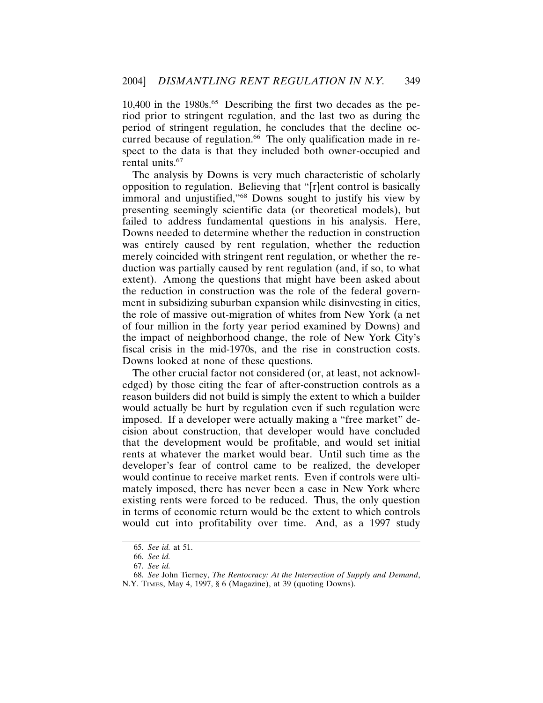$10,400$  in the 1980s.<sup>65</sup> Describing the first two decades as the period prior to stringent regulation, and the last two as during the period of stringent regulation, he concludes that the decline occurred because of regulation.<sup>66</sup> The only qualification made in respect to the data is that they included both owner-occupied and rental units.<sup>67</sup>

The analysis by Downs is very much characteristic of scholarly opposition to regulation. Believing that "[r]ent control is basically immoral and unjustified,"68 Downs sought to justify his view by presenting seemingly scientific data (or theoretical models), but failed to address fundamental questions in his analysis. Here, Downs needed to determine whether the reduction in construction was entirely caused by rent regulation, whether the reduction merely coincided with stringent rent regulation, or whether the reduction was partially caused by rent regulation (and, if so, to what extent). Among the questions that might have been asked about the reduction in construction was the role of the federal government in subsidizing suburban expansion while disinvesting in cities, the role of massive out-migration of whites from New York (a net of four million in the forty year period examined by Downs) and the impact of neighborhood change, the role of New York City's fiscal crisis in the mid-1970s, and the rise in construction costs. Downs looked at none of these questions.

The other crucial factor not considered (or, at least, not acknowledged) by those citing the fear of after-construction controls as a reason builders did not build is simply the extent to which a builder would actually be hurt by regulation even if such regulation were imposed. If a developer were actually making a "free market" decision about construction, that developer would have concluded that the development would be profitable, and would set initial rents at whatever the market would bear. Until such time as the developer's fear of control came to be realized, the developer would continue to receive market rents. Even if controls were ultimately imposed, there has never been a case in New York where existing rents were forced to be reduced. Thus, the only question in terms of economic return would be the extent to which controls would cut into profitability over time. And, as a 1997 study

<sup>65.</sup> *See id.* at 51.

<sup>66.</sup> *See id.*

<sup>67.</sup> *See id.*

<sup>68.</sup> *See* John Tierney, *The Rentocracy: At the Intersection of Supply and Demand*, N.Y. TIMES, May 4, 1997, § 6 (Magazine), at 39 (quoting Downs).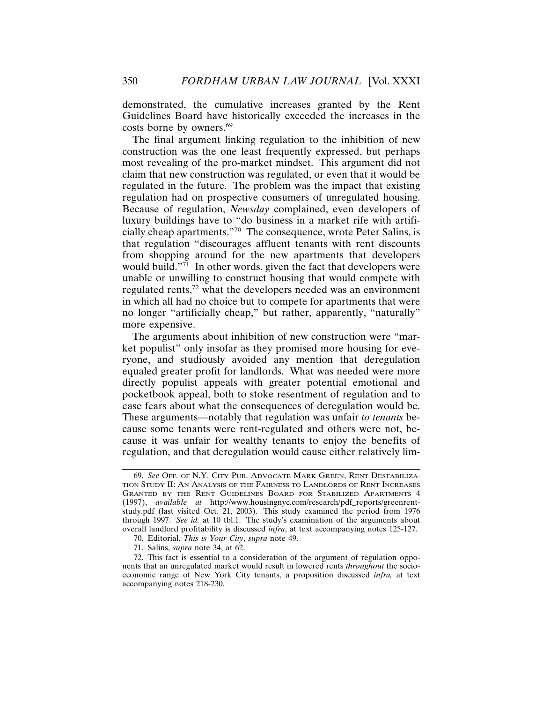demonstrated, the cumulative increases granted by the Rent Guidelines Board have historically exceeded the increases in the costs borne by owners.69

The final argument linking regulation to the inhibition of new construction was the one least frequently expressed, but perhaps most revealing of the pro-market mindset. This argument did not claim that new construction was regulated, or even that it would be regulated in the future. The problem was the impact that existing regulation had on prospective consumers of unregulated housing. Because of regulation, *Newsday* complained, even developers of luxury buildings have to "do business in a market rife with artificially cheap apartments."70 The consequence, wrote Peter Salins, is that regulation "discourages affluent tenants with rent discounts from shopping around for the new apartments that developers would build."<sup>71</sup> In other words, given the fact that developers were unable or unwilling to construct housing that would compete with regulated rents,72 what the developers needed was an environment in which all had no choice but to compete for apartments that were no longer "artificially cheap," but rather, apparently, "naturally" more expensive.

The arguments about inhibition of new construction were "market populist" only insofar as they promised more housing for everyone, and studiously avoided any mention that deregulation equaled greater profit for landlords. What was needed were more directly populist appeals with greater potential emotional and pocketbook appeal, both to stoke resentment of regulation and to ease fears about what the consequences of deregulation would be. These arguments—notably that regulation was unfair *to tenants* because some tenants were rent-regulated and others were not, because it was unfair for wealthy tenants to enjoy the benefits of regulation, and that deregulation would cause either relatively lim-

<sup>69.</sup> *See* OFF. OF N.Y. CITY PUB. ADVOCATE MARK GREEN, RENT DESTABILIZA-TION STUDY II: AN ANALYSIS OF THE FAIRNESS TO LANDLORDS OF RENT INCREASES GRANTED BY THE RENT GUIDELINES BOARD FOR STABILIZED APARTMENTS 4 (1997), *available at* http://www.housingnyc.com/research/pdf\_reports/greenrentstudy.pdf (last visited Oct. 21, 2003). This study examined the period from 1976 through 1997. *See id.* at 10 tbl.1. The study's examination of the arguments about overall landlord profitability is discussed *infra*, at text accompanying notes 125-127.

<sup>70.</sup> Editorial, *This is Your City*, *supra* note 49.

<sup>71.</sup> Salins, *supra* note 34, at 62.

<sup>72.</sup> This fact is essential to a consideration of the argument of regulation opponents that an unregulated market would result in lowered rents *throughout* the socioeconomic range of New York City tenants, a proposition discussed *infra,* at text accompanying notes 218-230.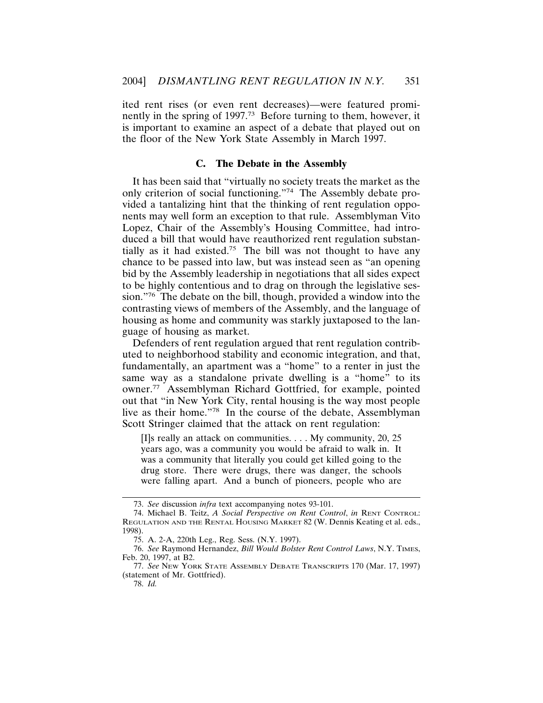ited rent rises (or even rent decreases)—were featured prominently in the spring of 1997.73 Before turning to them, however, it is important to examine an aspect of a debate that played out on the floor of the New York State Assembly in March 1997.

## **C. The Debate in the Assembly**

It has been said that "virtually no society treats the market as the only criterion of social functioning."74 The Assembly debate provided a tantalizing hint that the thinking of rent regulation opponents may well form an exception to that rule. Assemblyman Vito Lopez, Chair of the Assembly's Housing Committee, had introduced a bill that would have reauthorized rent regulation substantially as it had existed.<sup>75</sup> The bill was not thought to have any chance to be passed into law, but was instead seen as "an opening bid by the Assembly leadership in negotiations that all sides expect to be highly contentious and to drag on through the legislative session."76 The debate on the bill, though, provided a window into the contrasting views of members of the Assembly, and the language of housing as home and community was starkly juxtaposed to the language of housing as market.

Defenders of rent regulation argued that rent regulation contributed to neighborhood stability and economic integration, and that, fundamentally, an apartment was a "home" to a renter in just the same way as a standalone private dwelling is a "home" to its owner.77 Assemblyman Richard Gottfried, for example, pointed out that "in New York City, rental housing is the way most people live as their home."78 In the course of the debate, Assemblyman Scott Stringer claimed that the attack on rent regulation:

[I]s really an attack on communities. . . . My community, 20, 25 years ago, was a community you would be afraid to walk in. It was a community that literally you could get killed going to the drug store. There were drugs, there was danger, the schools were falling apart. And a bunch of pioneers, people who are

<sup>73.</sup> *See* discussion *infra* text accompanying notes 93-101.

<sup>74.</sup> Michael B. Teitz, *A Social Perspective on Rent Control*, *in* RENT CONTROL: REGULATION AND THE RENTAL HOUSING MARKET 82 (W. Dennis Keating et al. eds., 1998).

<sup>75.</sup> A. 2-A, 220th Leg., Reg. Sess. (N.Y. 1997).

<sup>76.</sup> *See* Raymond Hernandez, *Bill Would Bolster Rent Control Laws*, N.Y. TIMES, Feb. 20, 1997, at B2.

<sup>77.</sup> *See* NEW YORK STATE ASSEMBLY DEBATE TRANSCRIPTS 170 (Mar. 17, 1997) (statement of Mr. Gottfried).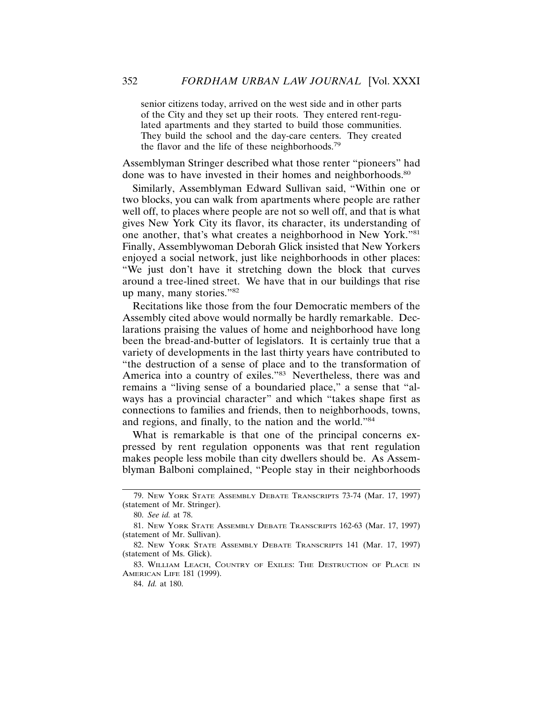senior citizens today, arrived on the west side and in other parts of the City and they set up their roots. They entered rent-regulated apartments and they started to build those communities. They build the school and the day-care centers. They created the flavor and the life of these neighborhoods.<sup>79</sup>

Assemblyman Stringer described what those renter "pioneers" had done was to have invested in their homes and neighborhoods.<sup>80</sup>

Similarly, Assemblyman Edward Sullivan said, "Within one or two blocks, you can walk from apartments where people are rather well off, to places where people are not so well off, and that is what gives New York City its flavor, its character, its understanding of one another, that's what creates a neighborhood in New York."81 Finally, Assemblywoman Deborah Glick insisted that New Yorkers enjoyed a social network, just like neighborhoods in other places: "We just don't have it stretching down the block that curves around a tree-lined street. We have that in our buildings that rise up many, many stories."82

Recitations like those from the four Democratic members of the Assembly cited above would normally be hardly remarkable. Declarations praising the values of home and neighborhood have long been the bread-and-butter of legislators. It is certainly true that a variety of developments in the last thirty years have contributed to "the destruction of a sense of place and to the transformation of America into a country of exiles."83 Nevertheless, there was and remains a "living sense of a boundaried place," a sense that "always has a provincial character" and which "takes shape first as connections to families and friends, then to neighborhoods, towns, and regions, and finally, to the nation and the world."84

What is remarkable is that one of the principal concerns expressed by rent regulation opponents was that rent regulation makes people less mobile than city dwellers should be. As Assemblyman Balboni complained, "People stay in their neighborhoods

<sup>79.</sup> NEW YORK STATE ASSEMBLY DEBATE TRANSCRIPTS 73-74 (Mar. 17, 1997) (statement of Mr. Stringer).

<sup>80.</sup> *See id.* at 78.

<sup>81.</sup> NEW YORK STATE ASSEMBLY DEBATE TRANSCRIPTS 162-63 (Mar. 17, 1997) (statement of Mr. Sullivan).

<sup>82.</sup> NEW YORK STATE ASSEMBLY DEBATE TRANSCRIPTS 141 (Mar. 17, 1997) (statement of Ms. Glick).

<sup>83.</sup> WILLIAM LEACH, COUNTRY OF EXILES: THE DESTRUCTION OF PLACE IN AMERICAN LIFE 181 (1999).

<sup>84.</sup> *Id.* at 180.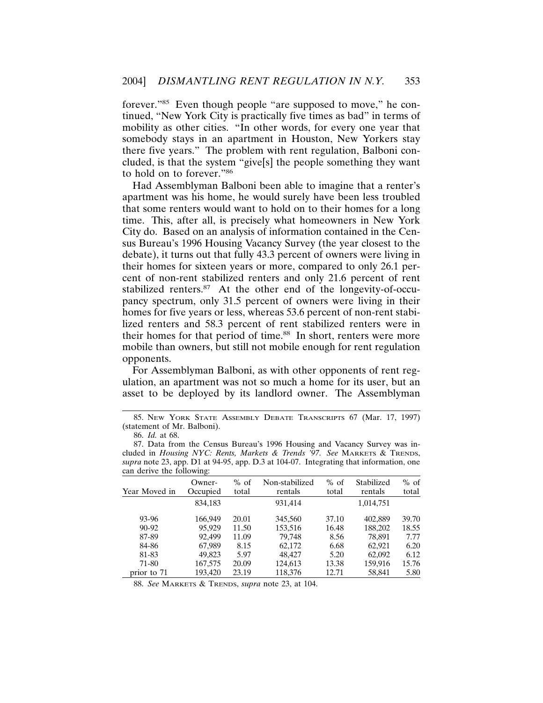forever."85 Even though people "are supposed to move," he continued, "New York City is practically five times as bad" in terms of mobility as other cities. "In other words, for every one year that somebody stays in an apartment in Houston, New Yorkers stay there five years." The problem with rent regulation, Balboni concluded, is that the system "give[s] the people something they want to hold on to forever."86

Had Assemblyman Balboni been able to imagine that a renter's apartment was his home, he would surely have been less troubled that some renters would want to hold on to their homes for a long time. This, after all, is precisely what homeowners in New York City do. Based on an analysis of information contained in the Census Bureau's 1996 Housing Vacancy Survey (the year closest to the debate), it turns out that fully 43.3 percent of owners were living in their homes for sixteen years or more, compared to only 26.1 percent of non-rent stabilized renters and only 21.6 percent of rent stabilized renters.<sup>87</sup> At the other end of the longevity-of-occupancy spectrum, only 31.5 percent of owners were living in their homes for five years or less, whereas 53.6 percent of non-rent stabilized renters and 58.3 percent of rent stabilized renters were in their homes for that period of time.<sup>88</sup> In short, renters were more mobile than owners, but still not mobile enough for rent regulation opponents.

For Assemblyman Balboni, as with other opponents of rent regulation, an apartment was not so much a home for its user, but an asset to be deployed by its landlord owner. The Assemblyman

<sup>87.</sup> Data from the Census Bureau's 1996 Housing and Vacancy Survey was included in *Housing NYC: Rents, Markets & Trends '97*. *See* MARKETS & TRENDS, *supra* note 23, app. D1 at 94-95, app. D.3 at 104-07. Integrating that information, one can derive the following:

| Year Moved in | Owner-<br>Occupied | $%$ of<br>total | Non-stabilized<br>rentals | $%$ of<br>total | Stabilized<br>rentals | $%$ of<br>total |
|---------------|--------------------|-----------------|---------------------------|-----------------|-----------------------|-----------------|
|               | 834.183            |                 | 931,414                   |                 | 1,014,751             |                 |
| 93-96         | 166,949            | 20.01           | 345,560                   | 37.10           | 402.889               | 39.70           |
| $90 - 92$     | 95.929             | 11.50           | 153,516                   | 16.48           | 188,202               | 18.55           |
| 87-89         | 92.499             | 11.09           | 79.748                    | 8.56            | 78.891                | 7.77            |
| 84-86         | 67.989             | 8.15            | 62.172                    | 6.68            | 62.921                | 6.20            |
| 81-83         | 49,823             | 5.97            | 48,427                    | 5.20            | 62,092                | 6.12            |
| 71-80         | 167,575            | 20.09           | 124,613                   | 13.38           | 159.916               | 15.76           |
| prior to 71   | 193,420            | 23.19           | 118,376                   | 12.71           | 58,841                | 5.80            |

88. *See* MARKETS & TRENDS, *supra* note 23, at 104.

<sup>85.</sup> NEW YORK STATE ASSEMBLY DEBATE TRANSCRIPTS 67 (Mar. 17, 1997) (statement of Mr. Balboni).

<sup>86.</sup> *Id.* at 68.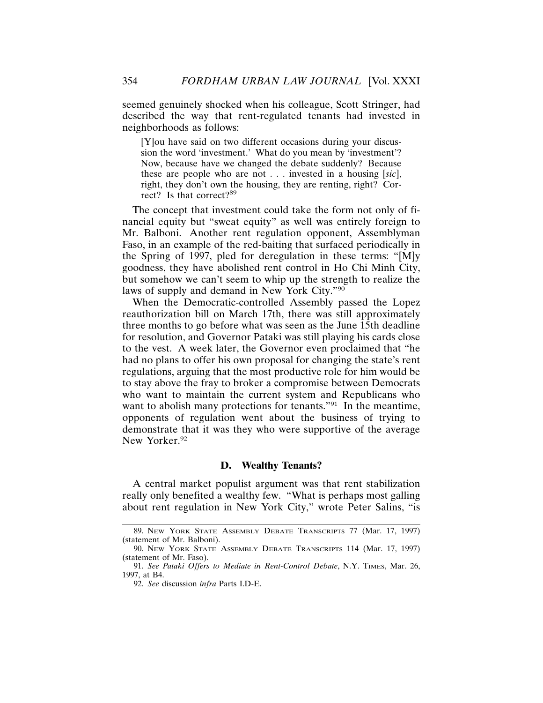seemed genuinely shocked when his colleague, Scott Stringer, had described the way that rent-regulated tenants had invested in neighborhoods as follows:

[Y]ou have said on two different occasions during your discussion the word 'investment.' What do you mean by 'investment'? Now, because have we changed the debate suddenly? Because these are people who are not . . . invested in a housing [*sic*], right, they don't own the housing, they are renting, right? Correct? Is that correct?<sup>89</sup>

The concept that investment could take the form not only of financial equity but "sweat equity" as well was entirely foreign to Mr. Balboni. Another rent regulation opponent, Assemblyman Faso, in an example of the red-baiting that surfaced periodically in the Spring of 1997, pled for deregulation in these terms: "[M]y goodness, they have abolished rent control in Ho Chi Minh City, but somehow we can't seem to whip up the strength to realize the laws of supply and demand in New York City."90

When the Democratic-controlled Assembly passed the Lopez reauthorization bill on March 17th, there was still approximately three months to go before what was seen as the June 15th deadline for resolution, and Governor Pataki was still playing his cards close to the vest. A week later, the Governor even proclaimed that "he had no plans to offer his own proposal for changing the state's rent regulations, arguing that the most productive role for him would be to stay above the fray to broker a compromise between Democrats who want to maintain the current system and Republicans who want to abolish many protections for tenants."<sup>91</sup> In the meantime, opponents of regulation went about the business of trying to demonstrate that it was they who were supportive of the average New Yorker.<sup>92</sup>

# **D. Wealthy Tenants?**

A central market populist argument was that rent stabilization really only benefited a wealthy few. "What is perhaps most galling about rent regulation in New York City," wrote Peter Salins, "is

<sup>89.</sup> NEW YORK STATE ASSEMBLY DEBATE TRANSCRIPTS 77 (Mar. 17, 1997) (statement of Mr. Balboni).

<sup>90.</sup> NEW YORK STATE ASSEMBLY DEBATE TRANSCRIPTS 114 (Mar. 17, 1997) (statement of Mr. Faso).

<sup>91.</sup> *See Pataki Offers to Mediate in Rent-Control Debate*, N.Y. TIMES, Mar. 26, 1997, at B4.

<sup>92.</sup> *See* discussion *infra* Parts I.D-E.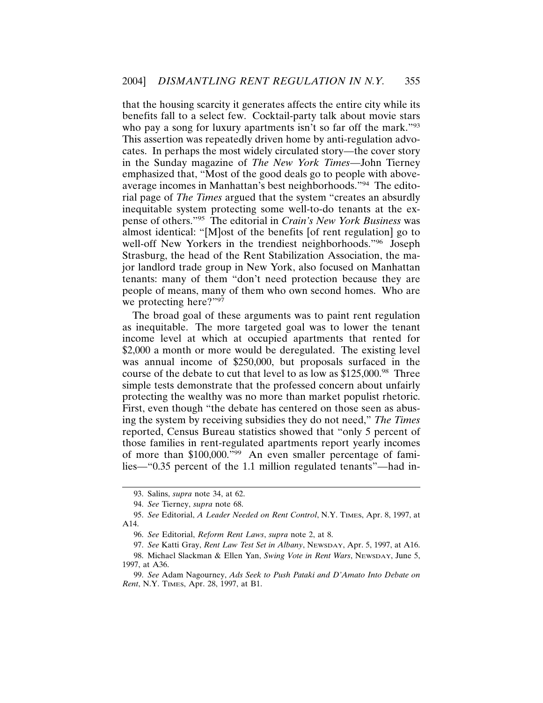that the housing scarcity it generates affects the entire city while its benefits fall to a select few. Cocktail-party talk about movie stars who pay a song for luxury apartments isn't so far off the mark."<sup>93</sup> This assertion was repeatedly driven home by anti-regulation advocates. In perhaps the most widely circulated story—the cover story in the Sunday magazine of *The New York Times*—John Tierney emphasized that, "Most of the good deals go to people with aboveaverage incomes in Manhattan's best neighborhoods."94 The editorial page of *The Times* argued that the system "creates an absurdly inequitable system protecting some well-to-do tenants at the expense of others."95 The editorial in *Crain's New York Business* was almost identical: "[M]ost of the benefits [of rent regulation] go to well-off New Yorkers in the trendiest neighborhoods."<sup>96</sup> Joseph Strasburg, the head of the Rent Stabilization Association, the major landlord trade group in New York, also focused on Manhattan tenants: many of them "don't need protection because they are people of means, many of them who own second homes. Who are we protecting here?"<sup>97</sup>

The broad goal of these arguments was to paint rent regulation as inequitable. The more targeted goal was to lower the tenant income level at which at occupied apartments that rented for \$2,000 a month or more would be deregulated. The existing level was annual income of \$250,000, but proposals surfaced in the course of the debate to cut that level to as low as \$125,000.<sup>98</sup> Three simple tests demonstrate that the professed concern about unfairly protecting the wealthy was no more than market populist rhetoric. First, even though "the debate has centered on those seen as abusing the system by receiving subsidies they do not need," *The Times* reported, Census Bureau statistics showed that "only 5 percent of those families in rent-regulated apartments report yearly incomes of more than \$100,000."99 An even smaller percentage of families—"0.35 percent of the 1.1 million regulated tenants"—had in-

<sup>93.</sup> Salins, *supra* note 34, at 62.

<sup>94.</sup> *See* Tierney, *supra* note 68.

<sup>95.</sup> *See* Editorial, *A Leader Needed on Rent Control*, N.Y. TIMES, Apr. 8, 1997, at A14.

<sup>96.</sup> *See* Editorial, *Reform Rent Laws*, *supra* note 2, at 8.

<sup>97.</sup> *See* Katti Gray, *Rent Law Test Set in Albany*, NEWSDAY, Apr. 5, 1997, at A16.

<sup>98.</sup> Michael Slackman & Ellen Yan, *Swing Vote in Rent Wars*, NEWSDAY, June 5, 1997, at A36.

<sup>99.</sup> *See* Adam Nagourney, *Ads Seek to Push Pataki and D'Amato Into Debate on Rent*, N.Y. TIMES, Apr. 28, 1997, at B1.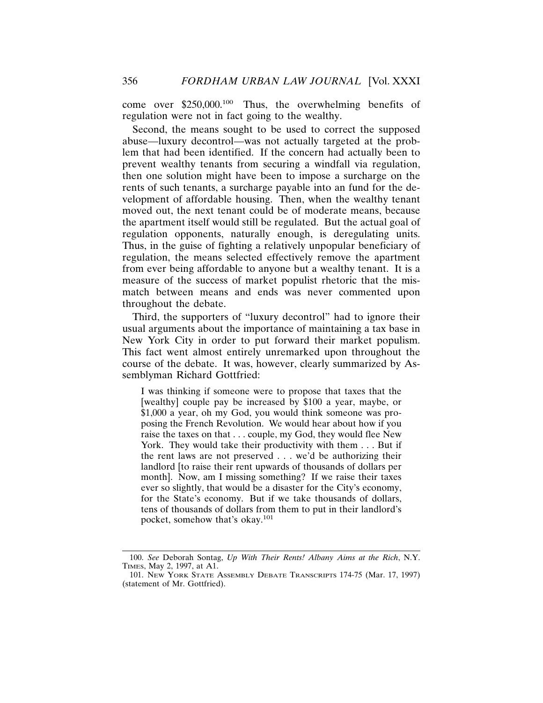come over \$250,000.100 Thus, the overwhelming benefits of regulation were not in fact going to the wealthy.

Second, the means sought to be used to correct the supposed abuse—luxury decontrol—was not actually targeted at the problem that had been identified. If the concern had actually been to prevent wealthy tenants from securing a windfall via regulation, then one solution might have been to impose a surcharge on the rents of such tenants, a surcharge payable into an fund for the development of affordable housing. Then, when the wealthy tenant moved out, the next tenant could be of moderate means, because the apartment itself would still be regulated. But the actual goal of regulation opponents, naturally enough, is deregulating units. Thus, in the guise of fighting a relatively unpopular beneficiary of regulation, the means selected effectively remove the apartment from ever being affordable to anyone but a wealthy tenant. It is a measure of the success of market populist rhetoric that the mismatch between means and ends was never commented upon throughout the debate.

Third, the supporters of "luxury decontrol" had to ignore their usual arguments about the importance of maintaining a tax base in New York City in order to put forward their market populism. This fact went almost entirely unremarked upon throughout the course of the debate. It was, however, clearly summarized by Assemblyman Richard Gottfried:

I was thinking if someone were to propose that taxes that the [wealthy] couple pay be increased by \$100 a year, maybe, or \$1,000 a year, oh my God, you would think someone was proposing the French Revolution. We would hear about how if you raise the taxes on that . . . couple, my God, they would flee New York. They would take their productivity with them . . . But if the rent laws are not preserved . . . we'd be authorizing their landlord [to raise their rent upwards of thousands of dollars per month]. Now, am I missing something? If we raise their taxes ever so slightly, that would be a disaster for the City's economy, for the State's economy. But if we take thousands of dollars, tens of thousands of dollars from them to put in their landlord's pocket, somehow that's okay.<sup>101</sup>

<sup>100.</sup> *See* Deborah Sontag, *Up With Their Rents! Albany Aims at the Rich*, N.Y. TIMES, May 2, 1997, at A1.

<sup>101.</sup> NEW YORK STATE ASSEMBLY DEBATE TRANSCRIPTS 174-75 (Mar. 17, 1997) (statement of Mr. Gottfried).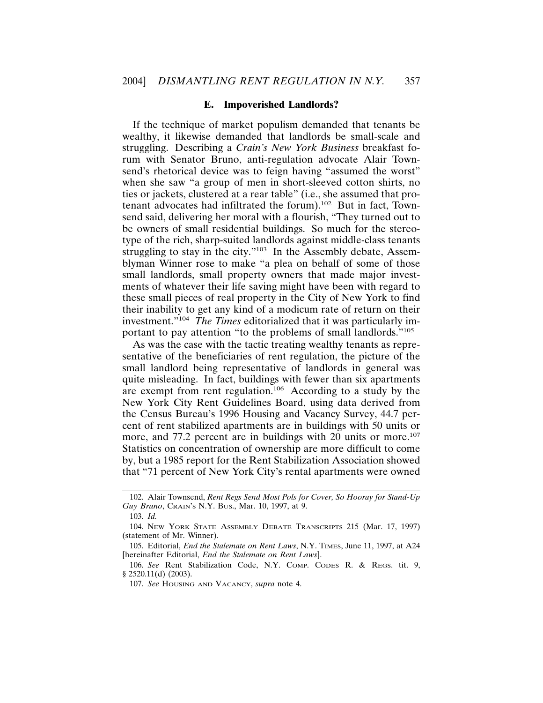#### **E. Impoverished Landlords?**

If the technique of market populism demanded that tenants be wealthy, it likewise demanded that landlords be small-scale and struggling. Describing a *Crain's New York Business* breakfast forum with Senator Bruno, anti-regulation advocate Alair Townsend's rhetorical device was to feign having "assumed the worst" when she saw "a group of men in short-sleeved cotton shirts, no ties or jackets, clustered at a rear table" (i.e., she assumed that protenant advocates had infiltrated the forum).102 But in fact, Townsend said, delivering her moral with a flourish, "They turned out to be owners of small residential buildings. So much for the stereotype of the rich, sharp-suited landlords against middle-class tenants struggling to stay in the city."<sup>103</sup> In the Assembly debate, Assemblyman Winner rose to make "a plea on behalf of some of those small landlords, small property owners that made major investments of whatever their life saving might have been with regard to these small pieces of real property in the City of New York to find their inability to get any kind of a modicum rate of return on their investment."<sup>104</sup> *The Times* editorialized that it was particularly important to pay attention "to the problems of small landlords."105

As was the case with the tactic treating wealthy tenants as representative of the beneficiaries of rent regulation, the picture of the small landlord being representative of landlords in general was quite misleading. In fact, buildings with fewer than six apartments are exempt from rent regulation.<sup>106</sup> According to a study by the New York City Rent Guidelines Board, using data derived from the Census Bureau's 1996 Housing and Vacancy Survey, 44.7 percent of rent stabilized apartments are in buildings with 50 units or more, and 77.2 percent are in buildings with 20 units or more.<sup>107</sup> Statistics on concentration of ownership are more difficult to come by, but a 1985 report for the Rent Stabilization Association showed that "71 percent of New York City's rental apartments were owned

<sup>102.</sup> Alair Townsend, *Rent Regs Send Most Pols for Cover, So Hooray for Stand-Up Guy Bruno*, CRAIN'S N.Y. BUS., Mar. 10, 1997, at 9.

<sup>103.</sup> *Id.*

<sup>104.</sup> NEW YORK STATE ASSEMBLY DEBATE TRANSCRIPTS 215 (Mar. 17, 1997) (statement of Mr. Winner).

<sup>105.</sup> Editorial, *End the Stalemate on Rent Laws*, N.Y. TIMES, June 11, 1997, at A24 [hereinafter Editorial, *End the Stalemate on Rent Laws*].

<sup>106.</sup> *See* Rent Stabilization Code, N.Y. COMP. CODES R. & REGS. tit. 9, § 2520.11(d) (2003).

<sup>107.</sup> *See* HOUSING AND VACANCY, *supra* note 4.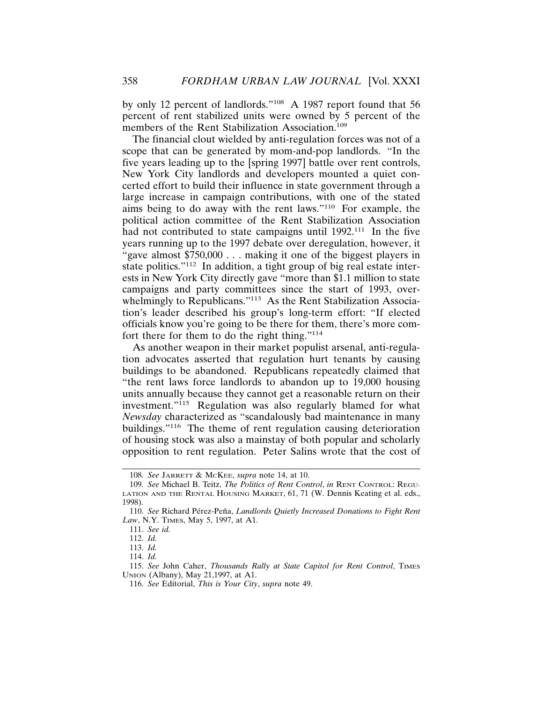by only 12 percent of landlords."108 A 1987 report found that 56 percent of rent stabilized units were owned by 5 percent of the members of the Rent Stabilization Association.<sup>109</sup>

The financial clout wielded by anti-regulation forces was not of a scope that can be generated by mom-and-pop landlords. "In the five years leading up to the [spring 1997] battle over rent controls, New York City landlords and developers mounted a quiet concerted effort to build their influence in state government through a large increase in campaign contributions, with one of the stated aims being to do away with the rent laws."110 For example, the political action committee of the Rent Stabilization Association had not contributed to state campaigns until 1992.<sup>111</sup> In the five years running up to the 1997 debate over deregulation, however, it "gave almost \$750,000 . . . making it one of the biggest players in state politics."<sup>112</sup> In addition, a tight group of big real estate interests in New York City directly gave "more than \$1.1 million to state campaigns and party committees since the start of 1993, overwhelmingly to Republicans."<sup>113</sup> As the Rent Stabilization Association's leader described his group's long-term effort: "If elected officials know you're going to be there for them, there's more comfort there for them to do the right thing."114

As another weapon in their market populist arsenal, anti-regulation advocates asserted that regulation hurt tenants by causing buildings to be abandoned. Republicans repeatedly claimed that "the rent laws force landlords to abandon up to 19,000 housing units annually because they cannot get a reasonable return on their investment."115 Regulation was also regularly blamed for what *Newsday* characterized as "scandalously bad maintenance in many buildings."116 The theme of rent regulation causing deterioration of housing stock was also a mainstay of both popular and scholarly opposition to rent regulation. Peter Salins wrote that the cost of

<sup>108.</sup> *See* JARRETT & MCKEE, *supra* note 14, at 10.

<sup>109.</sup> *See* Michael B. Teitz, *The Politics of Rent Control*, *in* RENT CONTROL: REGU-LATION AND THE RENTAL HOUSING MARKET, 61, 71 (W. Dennis Keating et al. eds., 1998).

<sup>110.</sup> See Richard Pérez-Peña, *Landlords Quietly Increased Donations to Fight Rent Law*, N.Y. TIMES, May 5, 1997, at A1.

<sup>111.</sup> *See id.*

<sup>112.</sup> *Id.*

<sup>113.</sup> *Id.*

<sup>114.</sup> *Id.*

<sup>115.</sup> See John Caher, *Thousands Rally at State Capitol for Rent Control*, TIMES UNION (Albany), May 21,1997, at A1.

<sup>116.</sup> *See* Editorial, *This is Your City*, *supra* note 49.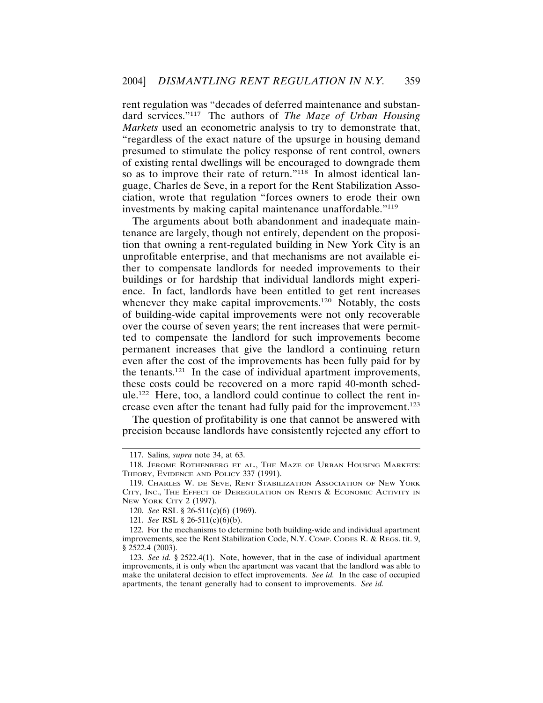rent regulation was "decades of deferred maintenance and substandard services."117 The authors of *The Maze of Urban Housing Markets* used an econometric analysis to try to demonstrate that, "regardless of the exact nature of the upsurge in housing demand presumed to stimulate the policy response of rent control, owners of existing rental dwellings will be encouraged to downgrade them so as to improve their rate of return."<sup>118</sup> In almost identical language, Charles de Seve, in a report for the Rent Stabilization Association, wrote that regulation "forces owners to erode their own investments by making capital maintenance unaffordable."119

The arguments about both abandonment and inadequate maintenance are largely, though not entirely, dependent on the proposition that owning a rent-regulated building in New York City is an unprofitable enterprise, and that mechanisms are not available either to compensate landlords for needed improvements to their buildings or for hardship that individual landlords might experience. In fact, landlords have been entitled to get rent increases whenever they make capital improvements.<sup>120</sup> Notably, the costs of building-wide capital improvements were not only recoverable over the course of seven years; the rent increases that were permitted to compensate the landlord for such improvements become permanent increases that give the landlord a continuing return even after the cost of the improvements has been fully paid for by the tenants.121 In the case of individual apartment improvements, these costs could be recovered on a more rapid 40-month schedule.122 Here, too, a landlord could continue to collect the rent increase even after the tenant had fully paid for the improvement.<sup>123</sup>

The question of profitability is one that cannot be answered with precision because landlords have consistently rejected any effort to

<sup>117.</sup> Salins, *supra* note 34, at 63.

<sup>118.</sup> JEROME ROTHENBERG ET AL., THE MAZE OF URBAN HOUSING MARKETS: THEORY, EVIDENCE AND POLICY 337 (1991).

<sup>119.</sup> CHARLES W. DE SEVE, RENT STABILIZATION ASSOCIATION OF NEW YORK CITY, INC., THE EFFECT OF DEREGULATION ON RENTS & ECONOMIC ACTIVITY IN NEW YORK CITY 2 (1997).

<sup>120.</sup> *See* RSL § 26-511(c)(6) (1969).

<sup>121.</sup> *See* RSL § 26-511(c)(6)(b).

<sup>122.</sup> For the mechanisms to determine both building-wide and individual apartment improvements, see the Rent Stabilization Code, N.Y. COMP. CODES R. & REGS. tit. 9, § 2522.4 (2003).

<sup>123.</sup> *See id.* § 2522.4(1). Note, however, that in the case of individual apartment improvements, it is only when the apartment was vacant that the landlord was able to make the unilateral decision to effect improvements. *See id.* In the case of occupied apartments, the tenant generally had to consent to improvements. *See id.*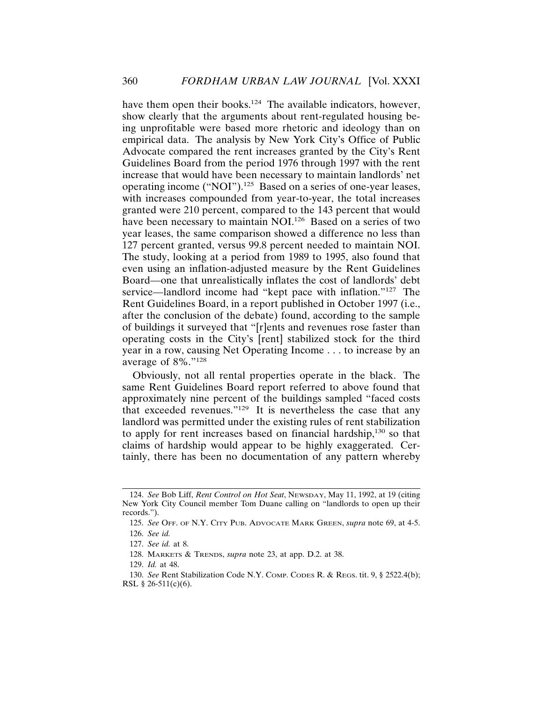have them open their books.<sup>124</sup> The available indicators, however, show clearly that the arguments about rent-regulated housing being unprofitable were based more rhetoric and ideology than on empirical data. The analysis by New York City's Office of Public Advocate compared the rent increases granted by the City's Rent Guidelines Board from the period 1976 through 1997 with the rent increase that would have been necessary to maintain landlords' net operating income ("NOI").125 Based on a series of one-year leases, with increases compounded from year-to-year, the total increases granted were 210 percent, compared to the 143 percent that would have been necessary to maintain NOI.<sup>126</sup> Based on a series of two year leases, the same comparison showed a difference no less than 127 percent granted, versus 99.8 percent needed to maintain NOI. The study, looking at a period from 1989 to 1995, also found that even using an inflation-adjusted measure by the Rent Guidelines Board—one that unrealistically inflates the cost of landlords' debt service—landlord income had "kept pace with inflation."<sup>127</sup> The Rent Guidelines Board, in a report published in October 1997 (i.e., after the conclusion of the debate) found, according to the sample of buildings it surveyed that "[r]ents and revenues rose faster than operating costs in the City's [rent] stabilized stock for the third year in a row, causing Net Operating Income . . . to increase by an average of 8%."<sup>128</sup>

Obviously, not all rental properties operate in the black. The same Rent Guidelines Board report referred to above found that approximately nine percent of the buildings sampled "faced costs that exceeded revenues."129 It is nevertheless the case that any landlord was permitted under the existing rules of rent stabilization to apply for rent increases based on financial hardship,130 so that claims of hardship would appear to be highly exaggerated. Certainly, there has been no documentation of any pattern whereby

128. MARKETS & TRENDS, *supra* note 23, at app. D.2. at 38.

<sup>124.</sup> *See* Bob Liff, *Rent Control on Hot Seat*, NEWSDAY, May 11, 1992, at 19 (citing New York City Council member Tom Duane calling on "landlords to open up their records.").

<sup>125.</sup> *See* OFF. OF N.Y. CITY PUB. ADVOCATE MARK GREEN, *supra* note 69, at 4-5. 126. *See id.*

<sup>127.</sup> *See id.* at 8.

<sup>129.</sup> *Id.* at 48.

<sup>130.</sup> *See* Rent Stabilization Code N.Y. COMP. CODES R. & REGS. tit. 9, § 2522.4(b); RSL  $§$  26-511(c)(6).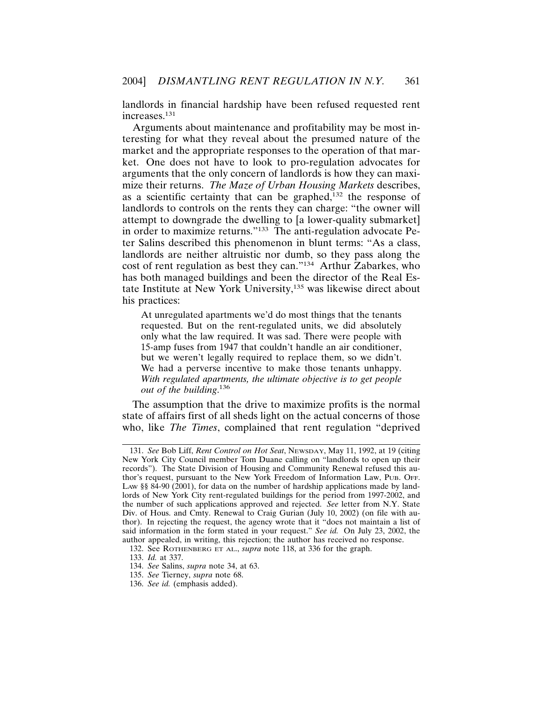landlords in financial hardship have been refused requested rent increases.131

Arguments about maintenance and profitability may be most interesting for what they reveal about the presumed nature of the market and the appropriate responses to the operation of that market. One does not have to look to pro-regulation advocates for arguments that the only concern of landlords is how they can maximize their returns. *The Maze of Urban Housing Markets* describes, as a scientific certainty that can be graphed, $132$  the response of landlords to controls on the rents they can charge: "the owner will attempt to downgrade the dwelling to [a lower-quality submarket] in order to maximize returns."133 The anti-regulation advocate Peter Salins described this phenomenon in blunt terms: "As a class, landlords are neither altruistic nor dumb, so they pass along the cost of rent regulation as best they can."134 Arthur Zabarkes, who has both managed buildings and been the director of the Real Estate Institute at New York University,135 was likewise direct about his practices:

At unregulated apartments we'd do most things that the tenants requested. But on the rent-regulated units, we did absolutely only what the law required. It was sad. There were people with 15-amp fuses from 1947 that couldn't handle an air conditioner, but we weren't legally required to replace them, so we didn't. We had a perverse incentive to make those tenants unhappy. *With regulated apartments, the ultimate objective is to get people out of the building*. 136

The assumption that the drive to maximize profits is the normal state of affairs first of all sheds light on the actual concerns of those who, like *The Times*, complained that rent regulation "deprived

<sup>131.</sup> *See* Bob Liff, *Rent Control on Hot Seat*, NEWSDAY, May 11, 1992, at 19 (citing New York City Council member Tom Duane calling on "landlords to open up their records"). The State Division of Housing and Community Renewal refused this author's request, pursuant to the New York Freedom of Information Law, PUB. OFF. LAW §§ 84-90 (2001), for data on the number of hardship applications made by landlords of New York City rent-regulated buildings for the period from 1997-2002, and the number of such applications approved and rejected. *See* letter from N.Y. State Div. of Hous. and Cmty. Renewal to Craig Gurian (July 10, 2002) (on file with author). In rejecting the request, the agency wrote that it "does not maintain a list of said information in the form stated in your request." *See id.* On July 23, 2002, the author appealed, in writing, this rejection; the author has received no response.

<sup>132.</sup> See ROTHENBERG ET AL., *supra* note 118, at 336 for the graph.

<sup>133.</sup> *Id.* at 337.

<sup>134.</sup> *See* Salins, *supra* note 34, at 63.

<sup>135.</sup> *See* Tierney, *supra* note 68.

<sup>136.</sup> *See id.* (emphasis added).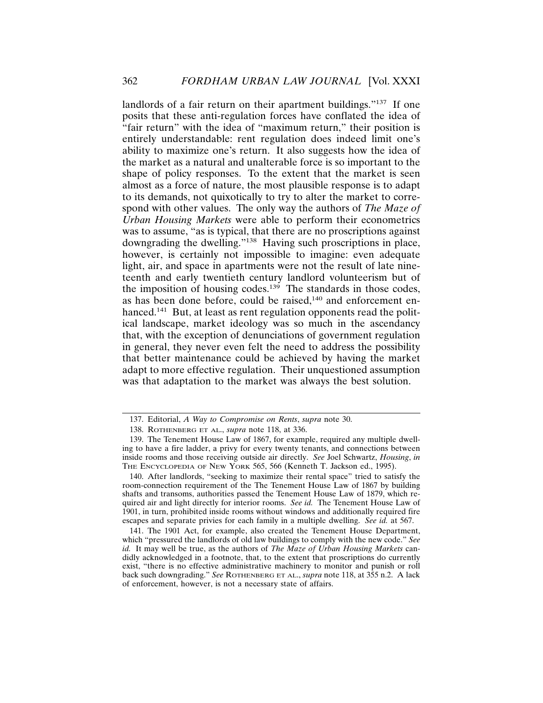landlords of a fair return on their apartment buildings."<sup>137</sup> If one posits that these anti-regulation forces have conflated the idea of "fair return" with the idea of "maximum return," their position is entirely understandable: rent regulation does indeed limit one's ability to maximize one's return. It also suggests how the idea of the market as a natural and unalterable force is so important to the shape of policy responses. To the extent that the market is seen almost as a force of nature, the most plausible response is to adapt to its demands, not quixotically to try to alter the market to correspond with other values. The only way the authors of *The Maze of Urban Housing Markets* were able to perform their econometrics was to assume, "as is typical, that there are no proscriptions against downgrading the dwelling."138 Having such proscriptions in place, however, is certainly not impossible to imagine: even adequate light, air, and space in apartments were not the result of late nineteenth and early twentieth century landlord volunteerism but of the imposition of housing codes.<sup>139</sup> The standards in those codes, as has been done before, could be raised, $140$  and enforcement enhanced.<sup>141</sup> But, at least as rent regulation opponents read the political landscape, market ideology was so much in the ascendancy that, with the exception of denunciations of government regulation in general, they never even felt the need to address the possibility that better maintenance could be achieved by having the market adapt to more effective regulation. Their unquestioned assumption was that adaptation to the market was always the best solution.

<sup>137.</sup> Editorial, *A Way to Compromise on Rents*, *supra* note 30.

<sup>138.</sup> ROTHENBERG ET AL., *supra* note 118, at 336.

<sup>139.</sup> The Tenement House Law of 1867, for example, required any multiple dwelling to have a fire ladder, a privy for every twenty tenants, and connections between inside rooms and those receiving outside air directly. *See* Joel Schwartz, *Housing*, *in* THE ENCYCLOPEDIA OF NEW YORK 565, 566 (Kenneth T. Jackson ed., 1995).

<sup>140.</sup> After landlords, "seeking to maximize their rental space" tried to satisfy the room-connection requirement of the The Tenement House Law of 1867 by building shafts and transoms, authorities passed the Tenement House Law of 1879, which required air and light directly for interior rooms. *See id.* The Tenement House Law of 1901, in turn, prohibited inside rooms without windows and additionally required fire escapes and separate privies for each family in a multiple dwelling. *See id.* at 567.

<sup>141.</sup> The 1901 Act, for example, also created the Tenement House Department, which "pressured the landlords of old law buildings to comply with the new code." *See id.* It may well be true, as the authors of *The Maze of Urban Housing Markets* candidly acknowledged in a footnote, that, to the extent that proscriptions do currently exist, "there is no effective administrative machinery to monitor and punish or roll back such downgrading." *See* ROTHENBERG ET AL., *supra* note 118, at 355 n.2. A lack of enforcement, however, is not a necessary state of affairs.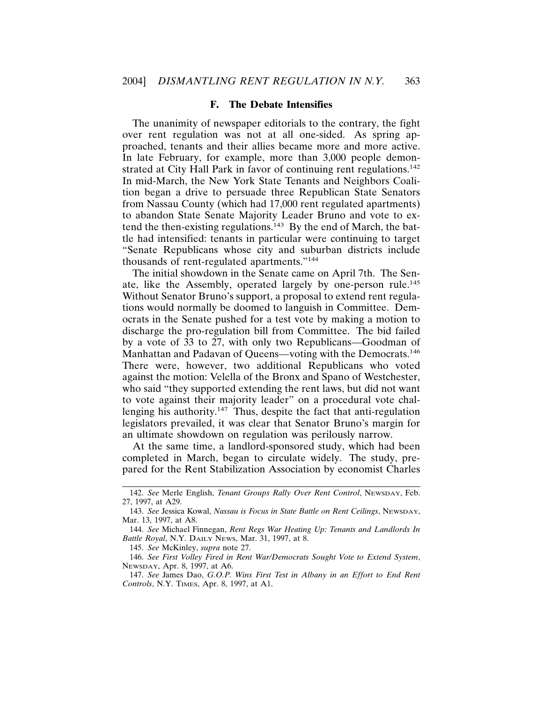# **F. The Debate Intensifies**

The unanimity of newspaper editorials to the contrary, the fight over rent regulation was not at all one-sided. As spring approached, tenants and their allies became more and more active. In late February, for example, more than 3,000 people demonstrated at City Hall Park in favor of continuing rent regulations.<sup>142</sup> In mid-March, the New York State Tenants and Neighbors Coalition began a drive to persuade three Republican State Senators from Nassau County (which had 17,000 rent regulated apartments) to abandon State Senate Majority Leader Bruno and vote to extend the then-existing regulations.<sup>143</sup> By the end of March, the battle had intensified: tenants in particular were continuing to target "Senate Republicans whose city and suburban districts include thousands of rent-regulated apartments."144

The initial showdown in the Senate came on April 7th. The Senate, like the Assembly, operated largely by one-person rule.<sup>145</sup> Without Senator Bruno's support, a proposal to extend rent regulations would normally be doomed to languish in Committee. Democrats in the Senate pushed for a test vote by making a motion to discharge the pro-regulation bill from Committee. The bid failed by a vote of 33 to 27, with only two Republicans—Goodman of Manhattan and Padavan of Queens—voting with the Democrats.<sup>146</sup> There were, however, two additional Republicans who voted against the motion: Velella of the Bronx and Spano of Westchester, who said "they supported extending the rent laws, but did not want to vote against their majority leader" on a procedural vote challenging his authority.<sup>147</sup> Thus, despite the fact that anti-regulation legislators prevailed, it was clear that Senator Bruno's margin for an ultimate showdown on regulation was perilously narrow.

At the same time, a landlord-sponsored study, which had been completed in March, began to circulate widely. The study, prepared for the Rent Stabilization Association by economist Charles

145. *See* McKinley, *supra* note 27.

<sup>142.</sup> *See* Merle English, *Tenant Groups Rally Over Rent Control*, NEWSDAY, Feb. 27, 1997, at A29.

<sup>143.</sup> *See* Jessica Kowal, *Nassau is Focus in State Battle on Rent Ceilings*, NEWSDAY, Mar. 13, 1997, at A8.

<sup>144.</sup> *See* Michael Finnegan, *Rent Regs War Heating Up: Tenants and Landlords In Battle Royal*, N.Y. DAILY NEWS, Mar. 31, 1997, at 8.

<sup>146.</sup> *See First Volley Fired in Rent War/Democrats Sought Vote to Extend System*, NEWSDAY, Apr. 8, 1997, at A6.

<sup>147.</sup> *See* James Dao, *G.O.P. Wins First Test in Albany in an Effort to End Rent Controls*, N.Y. TIMES, Apr. 8, 1997, at A1.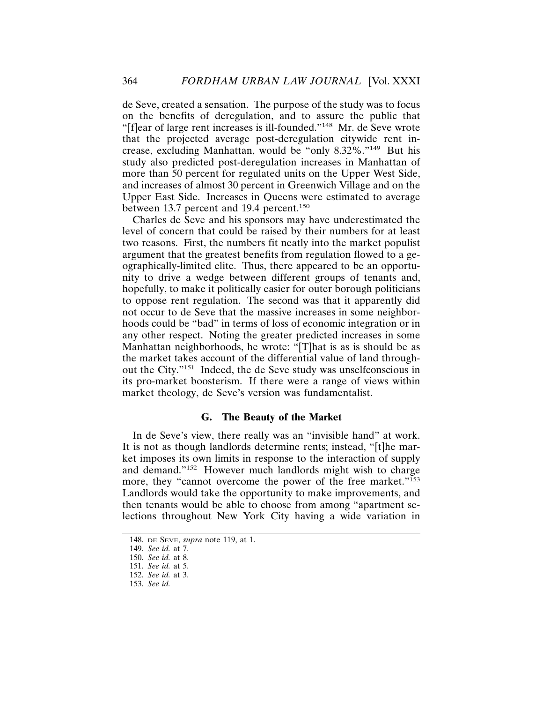de Seve, created a sensation. The purpose of the study was to focus on the benefits of deregulation, and to assure the public that "[f]ear of large rent increases is ill-founded."148 Mr. de Seve wrote that the projected average post-deregulation citywide rent increase, excluding Manhattan, would be "only 8.32%."149 But his study also predicted post-deregulation increases in Manhattan of more than 50 percent for regulated units on the Upper West Side, and increases of almost 30 percent in Greenwich Village and on the Upper East Side. Increases in Queens were estimated to average between 13.7 percent and 19.4 percent.<sup>150</sup>

Charles de Seve and his sponsors may have underestimated the level of concern that could be raised by their numbers for at least two reasons. First, the numbers fit neatly into the market populist argument that the greatest benefits from regulation flowed to a geographically-limited elite. Thus, there appeared to be an opportunity to drive a wedge between different groups of tenants and, hopefully, to make it politically easier for outer borough politicians to oppose rent regulation. The second was that it apparently did not occur to de Seve that the massive increases in some neighborhoods could be "bad" in terms of loss of economic integration or in any other respect. Noting the greater predicted increases in some Manhattan neighborhoods, he wrote: "[T]hat is as is should be as the market takes account of the differential value of land throughout the City."151 Indeed, the de Seve study was unselfconscious in its pro-market boosterism. If there were a range of views within market theology, de Seve's version was fundamentalist.

# **G. The Beauty of the Market**

In de Seve's view, there really was an "invisible hand" at work. It is not as though landlords determine rents; instead, "[t]he market imposes its own limits in response to the interaction of supply and demand."152 However much landlords might wish to charge more, they "cannot overcome the power of the free market."<sup>153</sup> Landlords would take the opportunity to make improvements, and then tenants would be able to choose from among "apartment selections throughout New York City having a wide variation in

<sup>148.</sup> DE SEVE, *supra* note 119, at 1.

<sup>149.</sup> *See id.* at 7.

<sup>150.</sup> *See id.* at 8.

<sup>151.</sup> *See id.* at 5.

<sup>152.</sup> *See id.* at 3.

<sup>153.</sup> *See id.*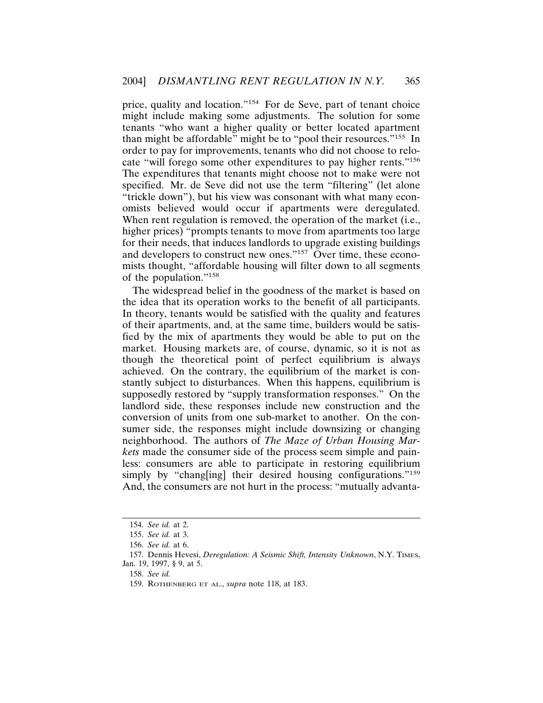price, quality and location."154 For de Seve, part of tenant choice might include making some adjustments. The solution for some tenants "who want a higher quality or better located apartment than might be affordable" might be to "pool their resources."155 In order to pay for improvements, tenants who did not choose to relocate "will forego some other expenditures to pay higher rents."156 The expenditures that tenants might choose not to make were not specified. Mr. de Seve did not use the term "filtering" (let alone "trickle down"), but his view was consonant with what many economists believed would occur if apartments were deregulated. When rent regulation is removed, the operation of the market (i.e., higher prices) "prompts tenants to move from apartments too large for their needs, that induces landlords to upgrade existing buildings and developers to construct new ones."157 Over time, these economists thought, "affordable housing will filter down to all segments of the population."158

The widespread belief in the goodness of the market is based on the idea that its operation works to the benefit of all participants. In theory, tenants would be satisfied with the quality and features of their apartments, and, at the same time, builders would be satisfied by the mix of apartments they would be able to put on the market. Housing markets are, of course, dynamic, so it is not as though the theoretical point of perfect equilibrium is always achieved. On the contrary, the equilibrium of the market is constantly subject to disturbances. When this happens, equilibrium is supposedly restored by "supply transformation responses." On the landlord side, these responses include new construction and the conversion of units from one sub-market to another. On the consumer side, the responses might include downsizing or changing neighborhood. The authors of *The Maze of Urban Housing Markets* made the consumer side of the process seem simple and painless: consumers are able to participate in restoring equilibrium simply by "changling] their desired housing configurations."<sup>159</sup> And, the consumers are not hurt in the process: "mutually advanta-

<sup>154.</sup> *See id.* at 2.

<sup>155.</sup> *See id.* at 3.

<sup>156.</sup> *See id.* at 6.

<sup>157.</sup> Dennis Hevesi, *Deregulation: A Seismic Shift, Intensity Unknown*, N.Y. TIMES, Jan. 19, 1997, § 9, at 5.

<sup>158.</sup> *See id.*

<sup>159.</sup> ROTHENBERG ET AL., *supra* note 118, at 183.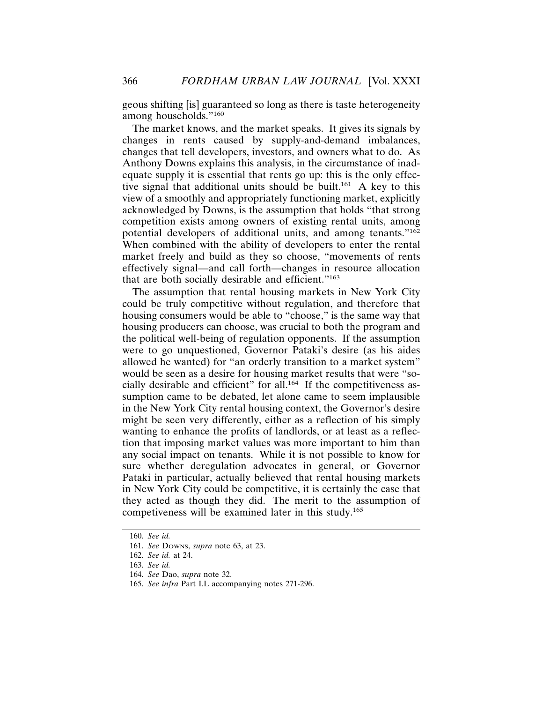geous shifting [is] guaranteed so long as there is taste heterogeneity among households."160

The market knows, and the market speaks. It gives its signals by changes in rents caused by supply-and-demand imbalances, changes that tell developers, investors, and owners what to do. As Anthony Downs explains this analysis, in the circumstance of inadequate supply it is essential that rents go up: this is the only effective signal that additional units should be built.<sup>161</sup> A key to this view of a smoothly and appropriately functioning market, explicitly acknowledged by Downs, is the assumption that holds "that strong competition exists among owners of existing rental units, among potential developers of additional units, and among tenants."162 When combined with the ability of developers to enter the rental market freely and build as they so choose, "movements of rents effectively signal—and call forth—changes in resource allocation that are both socially desirable and efficient."163

The assumption that rental housing markets in New York City could be truly competitive without regulation, and therefore that housing consumers would be able to "choose," is the same way that housing producers can choose, was crucial to both the program and the political well-being of regulation opponents. If the assumption were to go unquestioned, Governor Pataki's desire (as his aides allowed he wanted) for "an orderly transition to a market system" would be seen as a desire for housing market results that were "socially desirable and efficient" for all.<sup>164</sup> If the competitiveness assumption came to be debated, let alone came to seem implausible in the New York City rental housing context, the Governor's desire might be seen very differently, either as a reflection of his simply wanting to enhance the profits of landlords, or at least as a reflection that imposing market values was more important to him than any social impact on tenants. While it is not possible to know for sure whether deregulation advocates in general, or Governor Pataki in particular, actually believed that rental housing markets in New York City could be competitive, it is certainly the case that they acted as though they did. The merit to the assumption of competiveness will be examined later in this study.165

<sup>160.</sup> *See id.*

<sup>161.</sup> *See* DOWNS, *supra* note 63, at 23.

<sup>162.</sup> *See id.* at 24.

<sup>163.</sup> *See id.*

<sup>164.</sup> *See* Dao, *supra* note 32.

<sup>165.</sup> *See infra* Part I.L accompanying notes 271-296.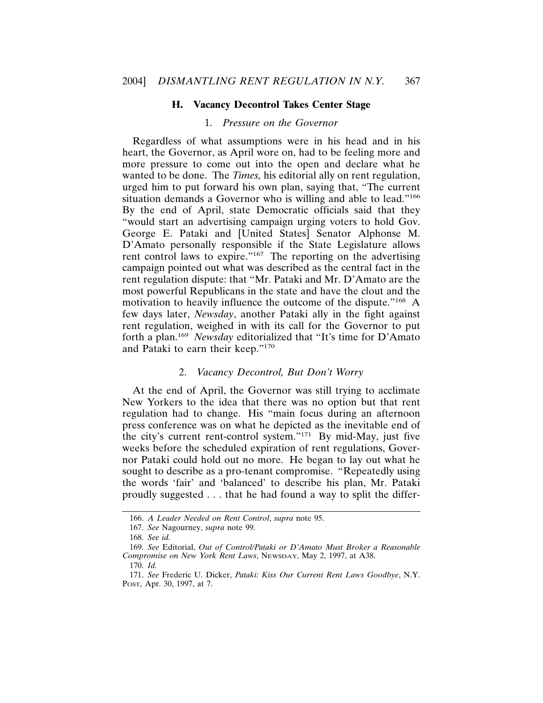## **H. Vacancy Decontrol Takes Center Stage**

# 1. *Pressure on the Governor*

Regardless of what assumptions were in his head and in his heart, the Governor, as April wore on, had to be feeling more and more pressure to come out into the open and declare what he wanted to be done. The *Times,* his editorial ally on rent regulation, urged him to put forward his own plan, saying that, "The current situation demands a Governor who is willing and able to lead."<sup>166</sup> By the end of April, state Democratic officials said that they "would start an advertising campaign urging voters to hold Gov. George E. Pataki and [United States] Senator Alphonse M. D'Amato personally responsible if the State Legislature allows rent control laws to expire."<sup>167</sup> The reporting on the advertising campaign pointed out what was described as the central fact in the rent regulation dispute: that "Mr. Pataki and Mr. D'Amato are the most powerful Republicans in the state and have the clout and the motivation to heavily influence the outcome of the dispute."168 A few days later, *Newsday*, another Pataki ally in the fight against rent regulation, weighed in with its call for the Governor to put forth a plan.<sup>169</sup> *Newsday* editorialized that "It's time for D'Amato and Pataki to earn their keep."170

#### 2. *Vacancy Decontrol, But Don't Worry*

At the end of April, the Governor was still trying to acclimate New Yorkers to the idea that there was no option but that rent regulation had to change. His "main focus during an afternoon press conference was on what he depicted as the inevitable end of the city's current rent-control system."171 By mid-May, just five weeks before the scheduled expiration of rent regulations, Governor Pataki could hold out no more. He began to lay out what he sought to describe as a pro-tenant compromise. "Repeatedly using the words 'fair' and 'balanced' to describe his plan, Mr. Pataki proudly suggested . . . that he had found a way to split the differ-

<sup>166.</sup> *A Leader Needed on Rent Control*, *supra* note 95.

<sup>167.</sup> *See* Nagourney, *supra* note 99.

<sup>168.</sup> *See id.*

<sup>169.</sup> *See* Editorial, *Out of Control/Pataki or D'Amato Must Broker a Reasonable Compromise on New York Rent Laws*, NEWSDAY, May 2, 1997, at A38.

<sup>170.</sup> *Id.*

<sup>171.</sup> *See* Frederic U. Dicker, *Pataki: Kiss Our Current Rent Laws Goodbye*, N.Y. POST, Apr. 30, 1997, at 7.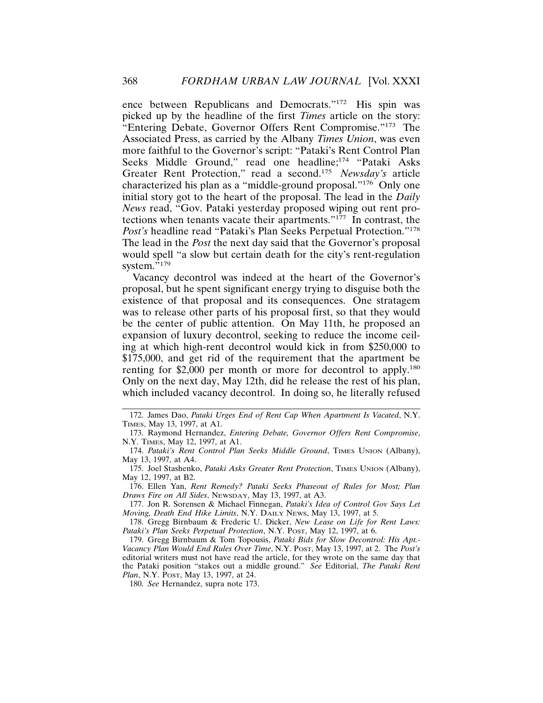ence between Republicans and Democrats."172 His spin was picked up by the headline of the first *Times* article on the story: "Entering Debate, Governor Offers Rent Compromise."173 The Associated Press, as carried by the Albany *Times Union*, was even more faithful to the Governor's script: "Pataki's Rent Control Plan Seeks Middle Ground," read one headline;<sup>174</sup> "Pataki Asks Greater Rent Protection," read a second.175 *Newsday's* article characterized his plan as a "middle-ground proposal."176 Only one initial story got to the heart of the proposal. The lead in the *Daily News* read, "Gov. Pataki yesterday proposed wiping out rent protections when tenants vacate their apartments."177 In contrast, the *Post's* headline read "Pataki's Plan Seeks Perpetual Protection."<sup>178</sup> The lead in the *Post* the next day said that the Governor's proposal would spell "a slow but certain death for the city's rent-regulation system."<sup>179</sup>

Vacancy decontrol was indeed at the heart of the Governor's proposal, but he spent significant energy trying to disguise both the existence of that proposal and its consequences. One stratagem was to release other parts of his proposal first, so that they would be the center of public attention. On May 11th, he proposed an expansion of luxury decontrol, seeking to reduce the income ceiling at which high-rent decontrol would kick in from \$250,000 to \$175,000, and get rid of the requirement that the apartment be renting for \$2,000 per month or more for decontrol to apply.<sup>180</sup> Only on the next day, May 12th, did he release the rest of his plan, which included vacancy decontrol. In doing so, he literally refused

176. Ellen Yan, *Rent Remedy? Pataki Seeks Phaseout of Rules for Most; Plan Draws Fire on All Sides*, NEWSDAY, May 13, 1997, at A3.

177. Jon R. Sorensen & Michael Finnegan, *Pataki's Idea of Control Gov Says Let Moving, Death End Hike Limits*, N.Y. DAILY NEWS, May 13, 1997, at 5.

178. Gregg Birnbaum & Frederic U. Dicker, *New Lease on Life for Rent Laws: Pataki's Plan Seeks Perpetual Protection*, N.Y. POST, May 12, 1997, at 6.

179. Gregg Birnbaum & Tom Topousis, *Pataki Bids for Slow Decontrol: His Apt.- Vacancy Plan Would End Rules Over Time*, N.Y. POST, May 13, 1997, at 2. The *Post's* editorial writers must not have read the article, for they wrote on the same day that the Pataki position "stakes out a middle ground." *See* Editorial, *The Pataki Rent Plan*, N.Y. POST, May 13, 1997, at 24.

180. *See* Hernandez, supra note 173.

<sup>172.</sup> James Dao, *Pataki Urges End of Rent Cap When Apartment Is Vacated*, N.Y. TIMES, May 13, 1997, at A1.

<sup>173.</sup> Raymond Hernandez, *Entering Debate, Governor Offers Rent Compromise*, N.Y. TIMES, May 12, 1997, at A1.

<sup>174.</sup> *Pataki's Rent Control Plan Seeks Middle Ground*, TIMES UNION (Albany), May 13, 1997, at A4.

<sup>175.</sup> Joel Stashenko, *Pataki Asks Greater Rent Protection*, TIMES UNION (Albany), May 12, 1997, at B2.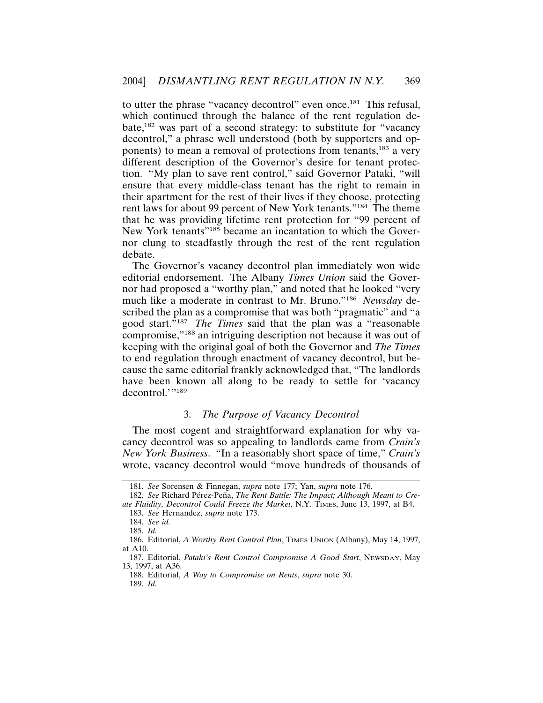to utter the phrase "vacancy decontrol" even once.181 This refusal, which continued through the balance of the rent regulation debate,182 was part of a second strategy: to substitute for "vacancy decontrol," a phrase well understood (both by supporters and opponents) to mean a removal of protections from tenants,<sup>183</sup> a very different description of the Governor's desire for tenant protection. "My plan to save rent control," said Governor Pataki, "will ensure that every middle-class tenant has the right to remain in their apartment for the rest of their lives if they choose, protecting rent laws for about 99 percent of New York tenants."184 The theme that he was providing lifetime rent protection for "99 percent of New York tenants"<sup>185</sup> became an incantation to which the Governor clung to steadfastly through the rest of the rent regulation debate.

The Governor's vacancy decontrol plan immediately won wide editorial endorsement. The Albany *Times Union* said the Governor had proposed a "worthy plan," and noted that he looked "very much like a moderate in contrast to Mr. Bruno."186 *Newsday* described the plan as a compromise that was both "pragmatic" and "a good start."187 *The Times* said that the plan was a "reasonable compromise,"188 an intriguing description not because it was out of keeping with the original goal of both the Governor and *The Times* to end regulation through enactment of vacancy decontrol, but because the same editorial frankly acknowledged that, "The landlords have been known all along to be ready to settle for 'vacancy decontrol.'"<sup>189</sup>

# 3. *The Purpose of Vacancy Decontrol*

The most cogent and straightforward explanation for why vacancy decontrol was so appealing to landlords came from *Crain's New York Business*. "In a reasonably short space of time," *Crain's* wrote, vacancy decontrol would "move hundreds of thousands of

<sup>181.</sup> *See* Sorensen & Finnegan, *supra* note 177; Yan, *supra* note 176.

<sup>182.</sup> See Richard Pérez-Peña, *The Rent Battle: The Impact; Although Meant to Create Fluidity, Decontrol Could Freeze the Market*, N.Y. TIMES, June 13, 1997, at B4.

<sup>183.</sup> *See* Hernandez, *supra* note 173.

<sup>184.</sup> *See id.*

<sup>185.</sup> *Id.*

<sup>186.</sup> Editorial, *A Worthy Rent Control Plan*, TIMES UNION (Albany), May 14, 1997, at A10.

<sup>187.</sup> Editorial, *Pataki's Rent Control Compromise A Good Start*, NEWSDAY, May 13, 1997, at A36.

<sup>188.</sup> Editorial, *A Way to Compromise on Rents*, *supra* note 30.

<sup>189.</sup> *Id.*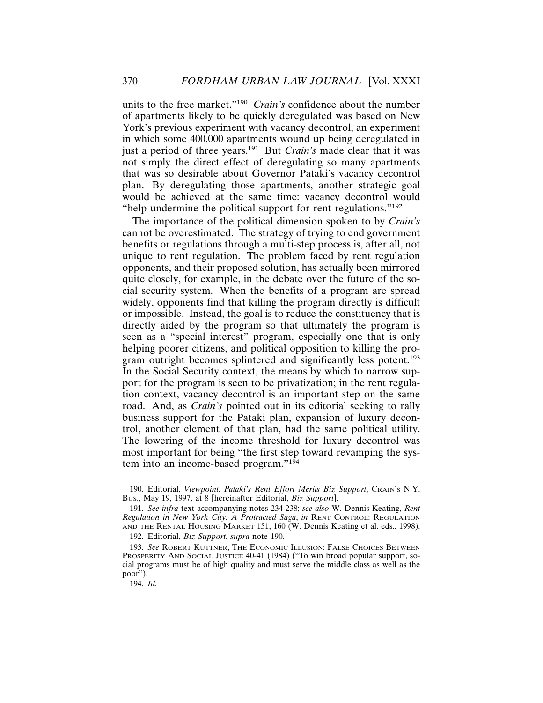units to the free market."190 *Crain's* confidence about the number of apartments likely to be quickly deregulated was based on New York's previous experiment with vacancy decontrol, an experiment in which some 400,000 apartments wound up being deregulated in just a period of three years.<sup>191</sup> But *Crain's* made clear that it was not simply the direct effect of deregulating so many apartments that was so desirable about Governor Pataki's vacancy decontrol plan. By deregulating those apartments, another strategic goal would be achieved at the same time: vacancy decontrol would "help undermine the political support for rent regulations."<sup>192</sup>

The importance of the political dimension spoken to by *Crain's* cannot be overestimated. The strategy of trying to end government benefits or regulations through a multi-step process is, after all, not unique to rent regulation. The problem faced by rent regulation opponents, and their proposed solution, has actually been mirrored quite closely, for example, in the debate over the future of the social security system. When the benefits of a program are spread widely, opponents find that killing the program directly is difficult or impossible. Instead, the goal is to reduce the constituency that is directly aided by the program so that ultimately the program is seen as a "special interest" program, especially one that is only helping poorer citizens, and political opposition to killing the program outright becomes splintered and significantly less potent.<sup>193</sup> In the Social Security context, the means by which to narrow support for the program is seen to be privatization; in the rent regulation context, vacancy decontrol is an important step on the same road. And, as *Crain's* pointed out in its editorial seeking to rally business support for the Pataki plan, expansion of luxury decontrol, another element of that plan, had the same political utility. The lowering of the income threshold for luxury decontrol was most important for being "the first step toward revamping the system into an income-based program."<sup>194</sup>

<sup>190.</sup> Editorial, *Viewpoint: Pataki's Rent Effort Merits Biz Support*, CRAIN'S N.Y. BUS., May 19, 1997, at 8 [hereinafter Editorial, *Biz Support*].

<sup>191.</sup> *See infra* text accompanying notes 234-238; *see also* W. Dennis Keating, *Rent Regulation in New York City: A Protracted Saga*, *in* RENT CONTROL: REGULATION AND THE RENTAL HOUSING MARKET 151, 160 (W. Dennis Keating et al. eds., 1998). 192. Editorial, *Biz Support*, *supra* note 190.

<sup>193.</sup> *See* ROBERT KUTTNER, THE ECONOMIC ILLUSION: FALSE CHOICES BETWEEN PROSPERITY AND SOCIAL JUSTICE 40-41 (1984) ("To win broad popular support, social programs must be of high quality and must serve the middle class as well as the poor").

<sup>194.</sup> *Id.*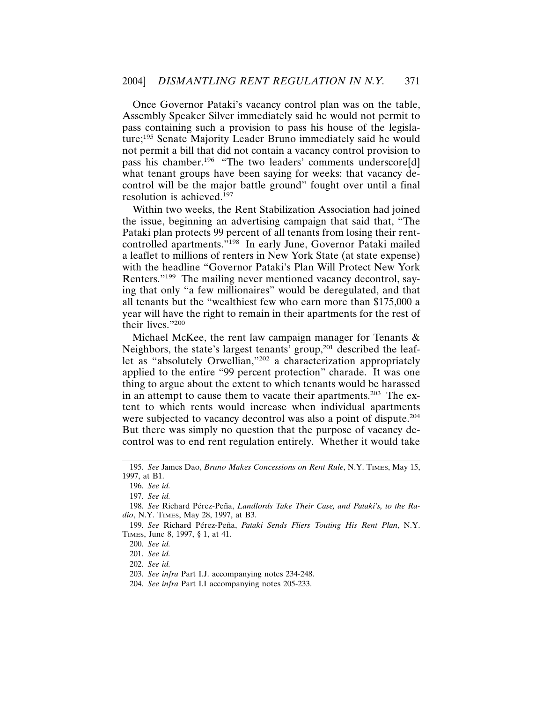Once Governor Pataki's vacancy control plan was on the table, Assembly Speaker Silver immediately said he would not permit to pass containing such a provision to pass his house of the legislature;195 Senate Majority Leader Bruno immediately said he would not permit a bill that did not contain a vacancy control provision to pass his chamber.<sup>196</sup> "The two leaders' comments underscore[d] what tenant groups have been saying for weeks: that vacancy decontrol will be the major battle ground" fought over until a final resolution is achieved.<sup>197</sup>

Within two weeks, the Rent Stabilization Association had joined the issue, beginning an advertising campaign that said that, "The Pataki plan protects 99 percent of all tenants from losing their rentcontrolled apartments."198 In early June, Governor Pataki mailed a leaflet to millions of renters in New York State (at state expense) with the headline "Governor Pataki's Plan Will Protect New York Renters."199 The mailing never mentioned vacancy decontrol, saying that only "a few millionaires" would be deregulated, and that all tenants but the "wealthiest few who earn more than \$175,000 a year will have the right to remain in their apartments for the rest of their lives."200

Michael McKee, the rent law campaign manager for Tenants & Neighbors, the state's largest tenants' group,<sup>201</sup> described the leaflet as "absolutely Orwellian,"202 a characterization appropriately applied to the entire "99 percent protection" charade. It was one thing to argue about the extent to which tenants would be harassed in an attempt to cause them to vacate their apartments.<sup>203</sup> The extent to which rents would increase when individual apartments were subjected to vacancy decontrol was also a point of dispute.<sup>204</sup> But there was simply no question that the purpose of vacancy decontrol was to end rent regulation entirely. Whether it would take

<sup>195.</sup> *See* James Dao, *Bruno Makes Concessions on Rent Rule*, N.Y. TIMES, May 15, 1997, at B1.

<sup>196.</sup> *See id.*

<sup>197.</sup> *See id.*

<sup>198.</sup> See Richard Pérez-Peña, *Landlords Take Their Case, and Pataki's, to the Radio*, N.Y. TIMES, May 28, 1997, at B3.

<sup>199.</sup> See Richard Pérez-Peña, Pataki Sends Fliers Touting His Rent Plan, N.Y. TIMES, June 8, 1997, § 1, at 41.

<sup>200.</sup> *See id.*

<sup>201.</sup> *See id.*

<sup>202.</sup> *See id.*

<sup>203.</sup> *See infra* Part I.J. accompanying notes 234-248.

<sup>204.</sup> *See infra* Part I.I accompanying notes 205-233.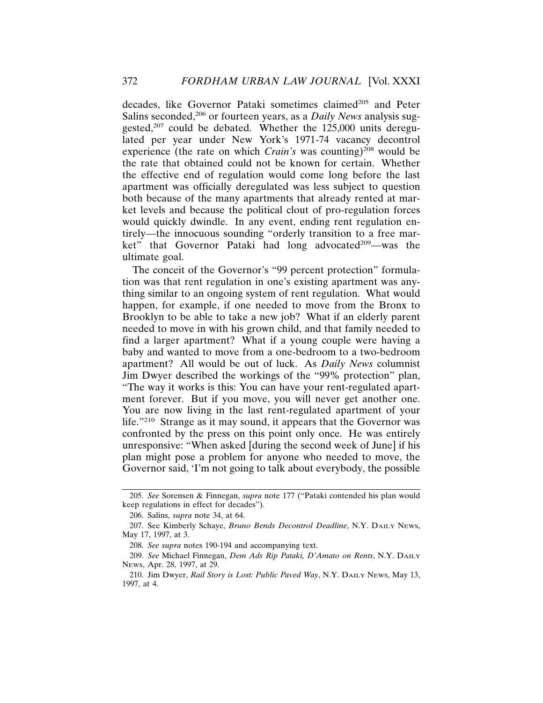decades, like Governor Pataki sometimes claimed<sup>205</sup> and Peter Salins seconded,<sup>206</sup> or fourteen years, as a *Daily News* analysis suggested,<sup>207</sup> could be debated. Whether the 125,000 units deregulated per year under New York's 1971-74 vacancy decontrol experience (the rate on which *Crain's* was counting)<sup>208</sup> would be the rate that obtained could not be known for certain. Whether the effective end of regulation would come long before the last apartment was officially deregulated was less subject to question both because of the many apartments that already rented at market levels and because the political clout of pro-regulation forces would quickly dwindle. In any event, ending rent regulation entirely—the innocuous sounding "orderly transition to a free market" that Governor Pataki had long advocated<sup>209</sup>—was the ultimate goal.

The conceit of the Governor's "99 percent protection" formulation was that rent regulation in one's existing apartment was anything similar to an ongoing system of rent regulation. What would happen, for example, if one needed to move from the Bronx to Brooklyn to be able to take a new job? What if an elderly parent needed to move in with his grown child, and that family needed to find a larger apartment? What if a young couple were having a baby and wanted to move from a one-bedroom to a two-bedroom apartment? All would be out of luck. As *Daily News* columnist Jim Dwyer described the workings of the "99% protection" plan, "The way it works is this: You can have your rent-regulated apartment forever. But if you move, you will never get another one. You are now living in the last rent-regulated apartment of your life."210 Strange as it may sound, it appears that the Governor was confronted by the press on this point only once. He was entirely unresponsive: "When asked [during the second week of June] if his plan might pose a problem for anyone who needed to move, the Governor said, 'I'm not going to talk about everybody, the possible

<sup>205.</sup> *See* Sorensen & Finnegan, *supra* note 177 ("Pataki contended his plan would keep regulations in effect for decades").

<sup>206.</sup> Salins, *supra* note 34, at 64.

<sup>207.</sup> See Kimberly Schaye, *Bruno Bends Decontrol Deadline*, N.Y. DAILY NEWS, May 17, 1997, at 3.

<sup>208.</sup> *See supra* notes 190-194 and accompanying text.

<sup>209.</sup> *See* Michael Finnegan, *Dem Ads Rip Pataki, D'Amato on Rents*, N.Y. DAILY NEWS, Apr. 28, 1997, at 29.

<sup>210.</sup> Jim Dwyer, *Rail Story is Lost: Public Paved Way*, N.Y. DAILY NEWS, May 13, 1997, at 4.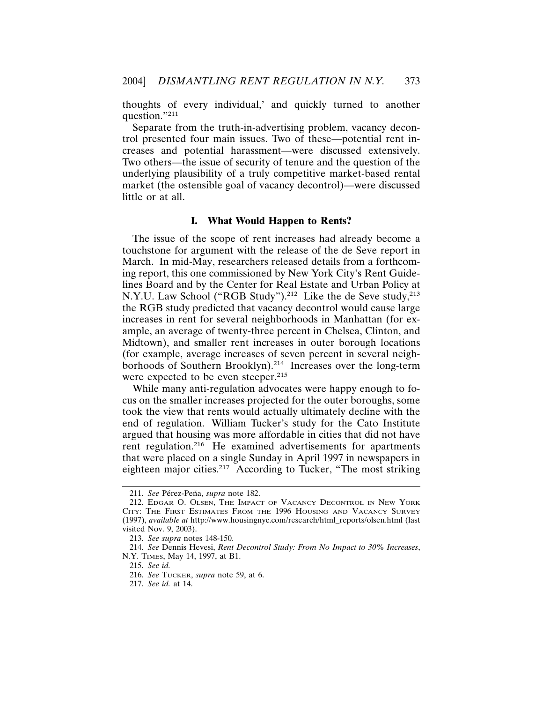thoughts of every individual,' and quickly turned to another question."211

Separate from the truth-in-advertising problem, vacancy decontrol presented four main issues. Two of these—potential rent increases and potential harassment—were discussed extensively. Two others—the issue of security of tenure and the question of the underlying plausibility of a truly competitive market-based rental market (the ostensible goal of vacancy decontrol)—were discussed little or at all.

#### **I. What Would Happen to Rents?**

The issue of the scope of rent increases had already become a touchstone for argument with the release of the de Seve report in March. In mid-May, researchers released details from a forthcoming report, this one commissioned by New York City's Rent Guidelines Board and by the Center for Real Estate and Urban Policy at N.Y.U. Law School ("RGB Study").<sup>212</sup> Like the de Seve study,<sup>213</sup> the RGB study predicted that vacancy decontrol would cause large increases in rent for several neighborhoods in Manhattan (for example, an average of twenty-three percent in Chelsea, Clinton, and Midtown), and smaller rent increases in outer borough locations (for example, average increases of seven percent in several neighborhoods of Southern Brooklyn).<sup>214</sup> Increases over the long-term were expected to be even steeper.<sup>215</sup>

While many anti-regulation advocates were happy enough to focus on the smaller increases projected for the outer boroughs, some took the view that rents would actually ultimately decline with the end of regulation. William Tucker's study for the Cato Institute argued that housing was more affordable in cities that did not have rent regulation.<sup>216</sup> He examined advertisements for apartments that were placed on a single Sunday in April 1997 in newspapers in eighteen major cities.217 According to Tucker, "The most striking

<sup>211.</sup> See Pérez-Peña, *supra* note 182.

<sup>212.</sup> EDGAR O. OLSEN, THE IMPACT OF VACANCY DECONTROL IN NEW YORK CITY: THE FIRST ESTIMATES FROM THE 1996 HOUSING AND VACANCY SURVEY (1997), *available at* http://www.housingnyc.com/research/html\_reports/olsen.html (last visited Nov. 9, 2003).

<sup>213.</sup> *See supra* notes 148-150.

<sup>214.</sup> *See* Dennis Hevesi, *Rent Decontrol Study: From No Impact to 30% Increases*, N.Y. TIMES, May 14, 1997, at B1.

<sup>215.</sup> *See id.*

<sup>216.</sup> *See* TUCKER, *supra* note 59, at 6.

<sup>217.</sup> *See id.* at 14.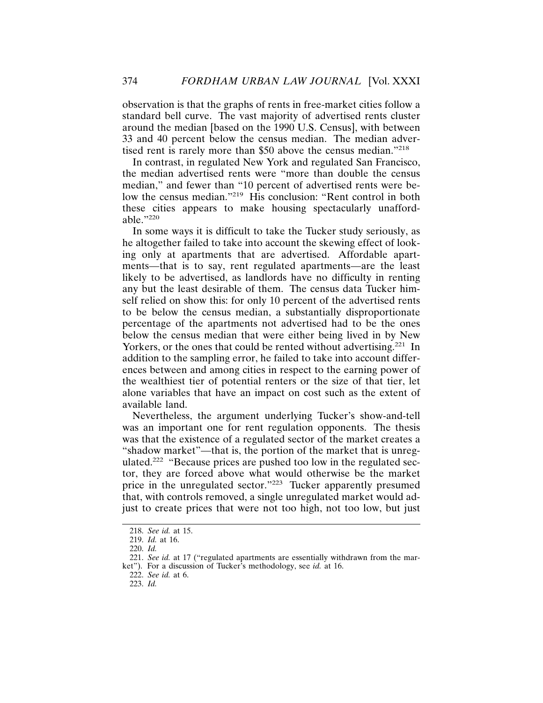observation is that the graphs of rents in free-market cities follow a standard bell curve. The vast majority of advertised rents cluster around the median [based on the 1990 U.S. Census], with between 33 and 40 percent below the census median. The median advertised rent is rarely more than \$50 above the census median."218

In contrast, in regulated New York and regulated San Francisco, the median advertised rents were "more than double the census median," and fewer than "10 percent of advertised rents were below the census median."<sup>219</sup> His conclusion: "Rent control in both these cities appears to make housing spectacularly unaffordable."<sup>220</sup>

In some ways it is difficult to take the Tucker study seriously, as he altogether failed to take into account the skewing effect of looking only at apartments that are advertised. Affordable apartments—that is to say, rent regulated apartments—are the least likely to be advertised, as landlords have no difficulty in renting any but the least desirable of them. The census data Tucker himself relied on show this: for only 10 percent of the advertised rents to be below the census median, a substantially disproportionate percentage of the apartments not advertised had to be the ones below the census median that were either being lived in by New Yorkers, or the ones that could be rented without advertising.<sup>221</sup> In addition to the sampling error, he failed to take into account differences between and among cities in respect to the earning power of the wealthiest tier of potential renters or the size of that tier, let alone variables that have an impact on cost such as the extent of available land.

Nevertheless, the argument underlying Tucker's show-and-tell was an important one for rent regulation opponents. The thesis was that the existence of a regulated sector of the market creates a "shadow market"—that is, the portion of the market that is unregulated.222 "Because prices are pushed too low in the regulated sector, they are forced above what would otherwise be the market price in the unregulated sector."223 Tucker apparently presumed that, with controls removed, a single unregulated market would adjust to create prices that were not too high, not too low, but just

<sup>218.</sup> *See id.* at 15.

<sup>219.</sup> *Id.* at 16.

<sup>220.</sup> *Id.*

<sup>221.</sup> *See id.* at 17 ("regulated apartments are essentially withdrawn from the market"). For a discussion of Tucker's methodology, see *id.* at 16.

<sup>222.</sup> *See id.* at 6.

<sup>223.</sup> *Id.*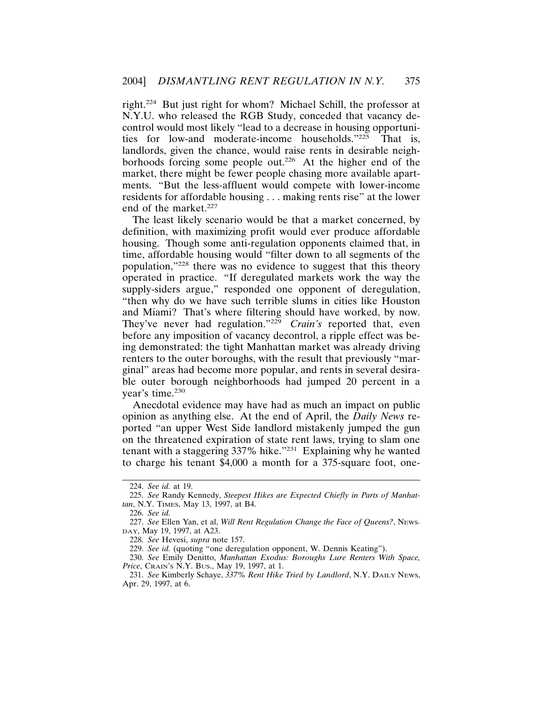right.224 But just right for whom? Michael Schill, the professor at N.Y.U. who released the RGB Study, conceded that vacancy decontrol would most likely "lead to a decrease in housing opportunities for low-and moderate-income households."225 That is, landlords, given the chance, would raise rents in desirable neighborhoods forcing some people out.<sup>226</sup> At the higher end of the market, there might be fewer people chasing more available apartments. "But the less-affluent would compete with lower-income residents for affordable housing . . . making rents rise" at the lower end of the market.<sup>227</sup>

The least likely scenario would be that a market concerned, by definition, with maximizing profit would ever produce affordable housing. Though some anti-regulation opponents claimed that, in time, affordable housing would "filter down to all segments of the population,"228 there was no evidence to suggest that this theory operated in practice. "If deregulated markets work the way the supply-siders argue," responded one opponent of deregulation, "then why do we have such terrible slums in cities like Houston and Miami? That's where filtering should have worked, by now. They've never had regulation."<sup>229</sup> *Crain's* reported that, even before any imposition of vacancy decontrol, a ripple effect was being demonstrated: the tight Manhattan market was already driving renters to the outer boroughs, with the result that previously "marginal" areas had become more popular, and rents in several desirable outer borough neighborhoods had jumped 20 percent in a year's time.<sup>230</sup>

Anecdotal evidence may have had as much an impact on public opinion as anything else. At the end of April, the *Daily News* reported "an upper West Side landlord mistakenly jumped the gun on the threatened expiration of state rent laws, trying to slam one tenant with a staggering 337% hike."231 Explaining why he wanted to charge his tenant \$4,000 a month for a 375-square foot, one-

<sup>224.</sup> *See id.* at 19.

<sup>225.</sup> *See* Randy Kennedy, *Steepest Hikes are Expected Chiefly in Parts of Manhattan*, N.Y. TIMES, May 13, 1997, at B4.

<sup>226.</sup> *See id.*

<sup>227.</sup> *See* Ellen Yan, et al, *Will Rent Regulation Change the Face of Queens?*, NEWS-DAY, May 19, 1997, at A23.

<sup>228.</sup> *See* Hevesi, *supra* note 157.

<sup>229.</sup> *See id.* (quoting "one deregulation opponent, W. Dennis Keating").

<sup>230.</sup> *See* Emily Denitto, *Manhattan Exodus: Boroughs Lure Renters With Space, Price*, CRAIN'S N.Y. BUS., May 19, 1997, at 1.

<sup>231.</sup> *See* Kimberly Schaye, *337% Rent Hike Tried by Landlord*, N.Y. DAILY NEWS, Apr. 29, 1997, at 6.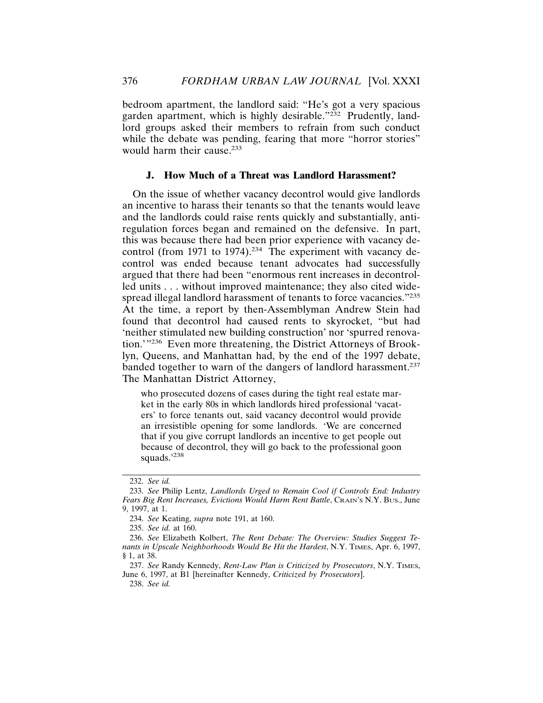bedroom apartment, the landlord said: "He's got a very spacious garden apartment, which is highly desirable."<sup>232</sup> Prudently, landlord groups asked their members to refrain from such conduct while the debate was pending, fearing that more "horror stories" would harm their cause.<sup>233</sup>

## **J. How Much of a Threat was Landlord Harassment?**

On the issue of whether vacancy decontrol would give landlords an incentive to harass their tenants so that the tenants would leave and the landlords could raise rents quickly and substantially, antiregulation forces began and remained on the defensive. In part, this was because there had been prior experience with vacancy decontrol (from 1971 to 1974).<sup>234</sup> The experiment with vacancy decontrol was ended because tenant advocates had successfully argued that there had been "enormous rent increases in decontrolled units . . . without improved maintenance; they also cited widespread illegal landlord harassment of tenants to force vacancies."235 At the time, a report by then-Assemblyman Andrew Stein had found that decontrol had caused rents to skyrocket, "but had 'neither stimulated new building construction' nor 'spurred renovation.'"236 Even more threatening, the District Attorneys of Brooklyn, Queens, and Manhattan had, by the end of the 1997 debate, banded together to warn of the dangers of landlord harassment.<sup>237</sup> The Manhattan District Attorney,

who prosecuted dozens of cases during the tight real estate market in the early 80s in which landlords hired professional 'vacaters' to force tenants out, said vacancy decontrol would provide an irresistible opening for some landlords. 'We are concerned that if you give corrupt landlords an incentive to get people out because of decontrol, they will go back to the professional goon squads.'<sup>238</sup>

238. *See id.*

<sup>232.</sup> *See id.*

<sup>233.</sup> *See* Philip Lentz, *Landlords Urged to Remain Cool if Controls End: Industry Fears Big Rent Increases, Evictions Would Harm Rent Battle, CRAIN's N.Y. Bus., June* 9, 1997, at 1.

<sup>234.</sup> *See* Keating, *supra* note 191, at 160.

<sup>235.</sup> *See id.* at 160.

<sup>236.</sup> *See* Elizabeth Kolbert, *The Rent Debate: The Overview: Studies Suggest Tenants in Upscale Neighborhoods Would Be Hit the Hardest*, N.Y. TIMES, Apr. 6, 1997, § 1, at 38.

<sup>237.</sup> *See* Randy Kennedy, *Rent-Law Plan is Criticized by Prosecutors*, N.Y. TIMES, June 6, 1997, at B1 [hereinafter Kennedy, *Criticized by Prosecutors*].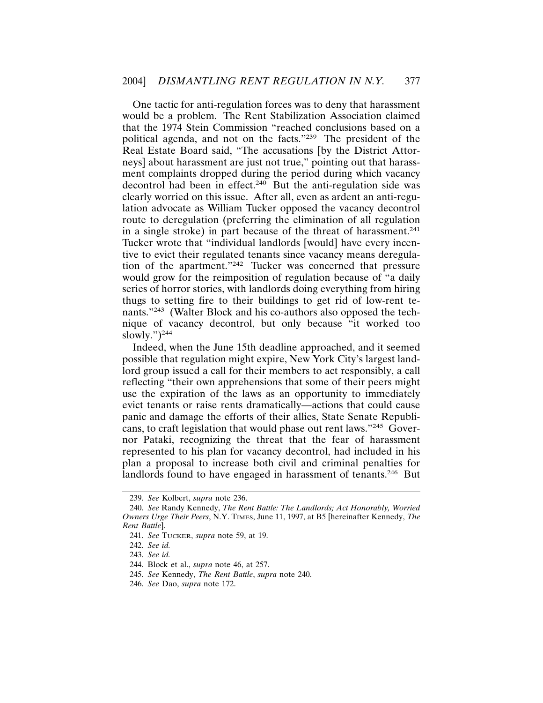One tactic for anti-regulation forces was to deny that harassment would be a problem. The Rent Stabilization Association claimed that the 1974 Stein Commission "reached conclusions based on a political agenda, and not on the facts."239 The president of the Real Estate Board said, "The accusations [by the District Attorneys] about harassment are just not true," pointing out that harassment complaints dropped during the period during which vacancy decontrol had been in effect.<sup>240</sup> But the anti-regulation side was clearly worried on this issue. After all, even as ardent an anti-regulation advocate as William Tucker opposed the vacancy decontrol route to deregulation (preferring the elimination of all regulation in a single stroke) in part because of the threat of harassment.<sup>241</sup> Tucker wrote that "individual landlords [would] have every incentive to evict their regulated tenants since vacancy means deregulation of the apartment."242 Tucker was concerned that pressure would grow for the reimposition of regulation because of "a daily series of horror stories, with landlords doing everything from hiring thugs to setting fire to their buildings to get rid of low-rent tenants."243 (Walter Block and his co-authors also opposed the technique of vacancy decontrol, but only because "it worked too slowly." $)^{244}$ 

Indeed, when the June 15th deadline approached, and it seemed possible that regulation might expire, New York City's largest landlord group issued a call for their members to act responsibly, a call reflecting "their own apprehensions that some of their peers might use the expiration of the laws as an opportunity to immediately evict tenants or raise rents dramatically—actions that could cause panic and damage the efforts of their allies, State Senate Republicans, to craft legislation that would phase out rent laws."245 Governor Pataki, recognizing the threat that the fear of harassment represented to his plan for vacancy decontrol, had included in his plan a proposal to increase both civil and criminal penalties for landlords found to have engaged in harassment of tenants.<sup>246</sup> But

<sup>239.</sup> *See* Kolbert, *supra* note 236.

<sup>240.</sup> *See* Randy Kennedy, *The Rent Battle: The Landlords; Act Honorably, Worried Owners Urge Their Peers*, N.Y. TIMES, June 11, 1997, at B5 [hereinafter Kennedy, *The Rent Battle*].

<sup>241.</sup> *See* TUCKER, *supra* note 59, at 19.

<sup>242.</sup> *See id.*

<sup>243.</sup> *See id.*

<sup>244.</sup> Block et al., *supra* note 46, at 257.

<sup>245.</sup> *See* Kennedy, *The Rent Battle*, *supra* note 240.

<sup>246.</sup> *See* Dao, *supra* note 172.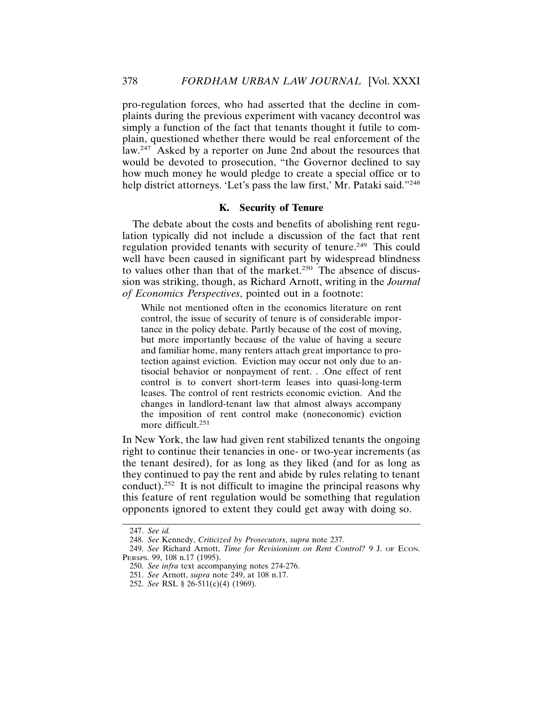pro-regulation forces, who had asserted that the decline in complaints during the previous experiment with vacancy decontrol was simply a function of the fact that tenants thought it futile to complain, questioned whether there would be real enforcement of the law.247 Asked by a reporter on June 2nd about the resources that would be devoted to prosecution, "the Governor declined to say how much money he would pledge to create a special office or to help district attorneys. 'Let's pass the law first,' Mr. Pataki said."<sup>248</sup>

## **K. Security of Tenure**

The debate about the costs and benefits of abolishing rent regulation typically did not include a discussion of the fact that rent regulation provided tenants with security of tenure.<sup>249</sup> This could well have been caused in significant part by widespread blindness to values other than that of the market.<sup>250</sup> The absence of discussion was striking, though, as Richard Arnott, writing in the *Journal of Economics Perspectives*, pointed out in a footnote:

While not mentioned often in the economics literature on rent control, the issue of security of tenure is of considerable importance in the policy debate. Partly because of the cost of moving, but more importantly because of the value of having a secure and familiar home, many renters attach great importance to protection against eviction. Eviction may occur not only due to antisocial behavior or nonpayment of rent. . .One effect of rent control is to convert short-term leases into quasi-long-term leases. The control of rent restricts economic eviction. And the changes in landlord-tenant law that almost always accompany the imposition of rent control make (noneconomic) eviction more difficult.<sup>251</sup>

In New York, the law had given rent stabilized tenants the ongoing right to continue their tenancies in one- or two-year increments (as the tenant desired), for as long as they liked (and for as long as they continued to pay the rent and abide by rules relating to tenant conduct).<sup>252</sup> It is not difficult to imagine the principal reasons why this feature of rent regulation would be something that regulation opponents ignored to extent they could get away with doing so.

<sup>247.</sup> *See id.*

<sup>248.</sup> *See* Kennedy, *Criticized by Prosecutors*, *supra* note 237.

<sup>249.</sup> *See* Richard Arnott, *Time for Revisionism on Rent Control?* 9 J. OF ECON. PERSPS. 99, 108 n.17 (1995).

<sup>250.</sup> *See infra* text accompanying notes 274-276.

<sup>251.</sup> *See* Arnott, *supra* note 249, at 108 n.17.

<sup>252.</sup> *See* RSL § 26-511(c)(4) (1969).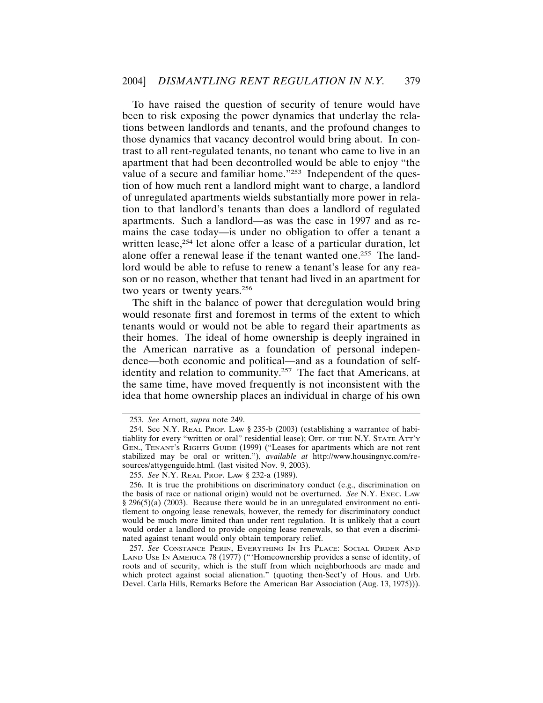To have raised the question of security of tenure would have been to risk exposing the power dynamics that underlay the relations between landlords and tenants, and the profound changes to those dynamics that vacancy decontrol would bring about. In contrast to all rent-regulated tenants, no tenant who came to live in an apartment that had been decontrolled would be able to enjoy "the value of a secure and familiar home."<sup>253</sup> Independent of the question of how much rent a landlord might want to charge, a landlord of unregulated apartments wields substantially more power in relation to that landlord's tenants than does a landlord of regulated apartments. Such a landlord—as was the case in 1997 and as remains the case today—is under no obligation to offer a tenant a written lease,<sup>254</sup> let alone offer a lease of a particular duration, let alone offer a renewal lease if the tenant wanted one.<sup>255</sup> The landlord would be able to refuse to renew a tenant's lease for any reason or no reason, whether that tenant had lived in an apartment for two years or twenty years.<sup>256</sup>

The shift in the balance of power that deregulation would bring would resonate first and foremost in terms of the extent to which tenants would or would not be able to regard their apartments as their homes. The ideal of home ownership is deeply ingrained in the American narrative as a foundation of personal independence—both economic and political—and as a foundation of selfidentity and relation to community.<sup>257</sup> The fact that Americans, at the same time, have moved frequently is not inconsistent with the idea that home ownership places an individual in charge of his own

<sup>253.</sup> *See* Arnott, *supra* note 249.

<sup>254.</sup> See N.Y. REAL PROP. LAW § 235-b (2003) (establishing a warrantee of habitiablity for every "written or oral" residential lease); OFF. OF THE N.Y. STATE ATT'Y GEN., TENANT'S RIGHTS GUIDE (1999) ("Leases for apartments which are not rent stabilized may be oral or written."), *available at* http://www.housingnyc.com/resources/attygenguide.html. (last visited Nov. 9, 2003).

<sup>255.</sup> *See* N.Y. REAL PROP. LAW § 232-a (1989).

<sup>256.</sup> It is true the prohibitions on discriminatory conduct (e.g., discrimination on the basis of race or national origin) would not be overturned. *See* N.Y. EXEC. LAW § 296(5)(a) (2003). Because there would be in an unregulated environment no entitlement to ongoing lease renewals, however, the remedy for discriminatory conduct would be much more limited than under rent regulation. It is unlikely that a court would order a landlord to provide ongoing lease renewals, so that even a discriminated against tenant would only obtain temporary relief.

<sup>257.</sup> *See* CONSTANCE PERIN, EVERYTHING IN ITS PLACE: SOCIAL ORDER AND LAND USE IN AMERICA 78 (1977) ("'Homeownership provides a sense of identity, of roots and of security, which is the stuff from which neighborhoods are made and which protect against social alienation." (quoting then-Sect'y of Hous. and Urb. Devel. Carla Hills, Remarks Before the American Bar Association (Aug. 13, 1975))).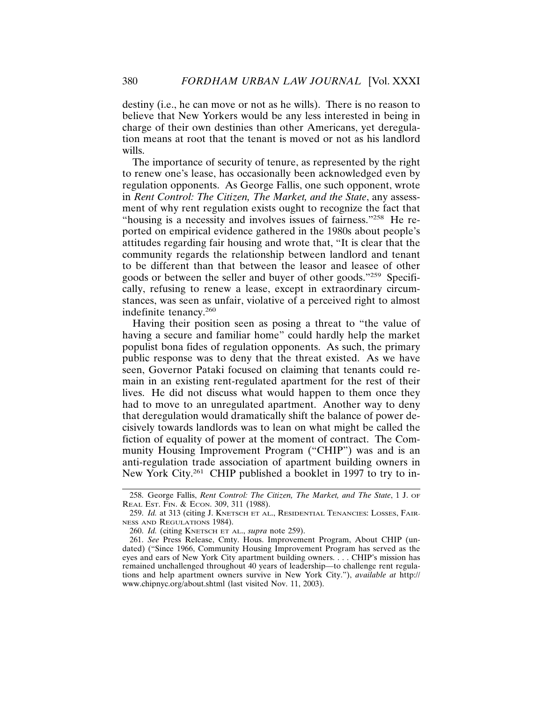destiny (i.e., he can move or not as he wills). There is no reason to believe that New Yorkers would be any less interested in being in charge of their own destinies than other Americans, yet deregulation means at root that the tenant is moved or not as his landlord wills.

The importance of security of tenure, as represented by the right to renew one's lease, has occasionally been acknowledged even by regulation opponents. As George Fallis, one such opponent, wrote in *Rent Control: The Citizen, The Market, and the State*, any assessment of why rent regulation exists ought to recognize the fact that "housing is a necessity and involves issues of fairness."258 He reported on empirical evidence gathered in the 1980s about people's attitudes regarding fair housing and wrote that, "It is clear that the community regards the relationship between landlord and tenant to be different than that between the leasor and leasee of other goods or between the seller and buyer of other goods."259 Specifically, refusing to renew a lease, except in extraordinary circumstances, was seen as unfair, violative of a perceived right to almost indefinite tenancy.<sup>260</sup>

Having their position seen as posing a threat to "the value of having a secure and familiar home" could hardly help the market populist bona fides of regulation opponents. As such, the primary public response was to deny that the threat existed. As we have seen, Governor Pataki focused on claiming that tenants could remain in an existing rent-regulated apartment for the rest of their lives. He did not discuss what would happen to them once they had to move to an unregulated apartment. Another way to deny that deregulation would dramatically shift the balance of power decisively towards landlords was to lean on what might be called the fiction of equality of power at the moment of contract. The Community Housing Improvement Program ("CHIP") was and is an anti-regulation trade association of apartment building owners in New York City.<sup>261</sup> CHIP published a booklet in 1997 to try to in-

<sup>258.</sup> George Fallis, *Rent Control: The Citizen, The Market, and The State*, 1 J. OF REAL EST. FIN. & ECON. 309, 311 (1988).

<sup>259.</sup> *Id.* at 313 (citing J. KNETSCH ET AL., RESIDENTIAL TENANCIES: LOSSES, FAIR-NESS AND REGULATIONS 1984).

<sup>260.</sup> *Id.* (citing KNETSCH ET AL., *supra* note 259).

<sup>261.</sup> *See* Press Release, Cmty. Hous. Improvement Program, About CHIP (undated) ("Since 1966, Community Housing Improvement Program has served as the eyes and ears of New York City apartment building owners. . . . CHIP's mission has remained unchallenged throughout 40 years of leadership—to challenge rent regulations and help apartment owners survive in New York City."), *available at* http:// www.chipnyc.org/about.shtml (last visited Nov. 11, 2003).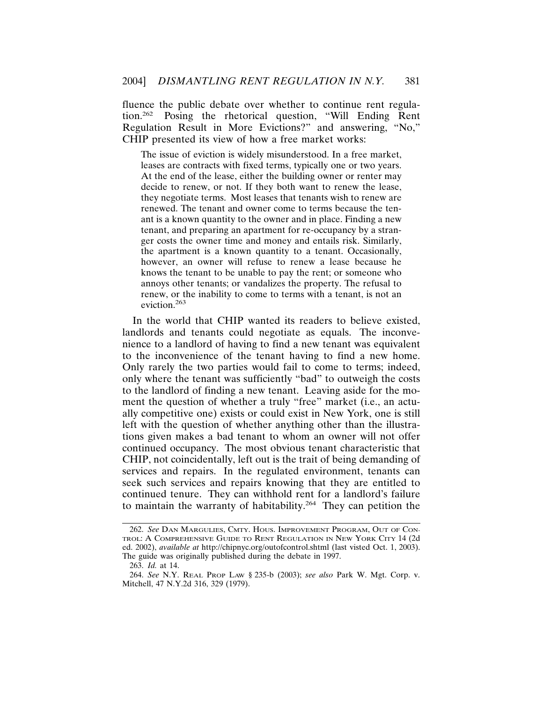fluence the public debate over whether to continue rent regulation.262 Posing the rhetorical question, "Will Ending Rent Regulation Result in More Evictions?" and answering, "No," CHIP presented its view of how a free market works:

The issue of eviction is widely misunderstood. In a free market, leases are contracts with fixed terms, typically one or two years. At the end of the lease, either the building owner or renter may decide to renew, or not. If they both want to renew the lease, they negotiate terms. Most leases that tenants wish to renew are renewed. The tenant and owner come to terms because the tenant is a known quantity to the owner and in place. Finding a new tenant, and preparing an apartment for re-occupancy by a stranger costs the owner time and money and entails risk. Similarly, the apartment is a known quantity to a tenant. Occasionally, however, an owner will refuse to renew a lease because he knows the tenant to be unable to pay the rent; or someone who annoys other tenants; or vandalizes the property. The refusal to renew, or the inability to come to terms with a tenant, is not an eviction.<sup>263</sup>

In the world that CHIP wanted its readers to believe existed, landlords and tenants could negotiate as equals. The inconvenience to a landlord of having to find a new tenant was equivalent to the inconvenience of the tenant having to find a new home. Only rarely the two parties would fail to come to terms; indeed, only where the tenant was sufficiently "bad" to outweigh the costs to the landlord of finding a new tenant. Leaving aside for the moment the question of whether a truly "free" market (i.e., an actually competitive one) exists or could exist in New York, one is still left with the question of whether anything other than the illustrations given makes a bad tenant to whom an owner will not offer continued occupancy. The most obvious tenant characteristic that CHIP, not coincidentally, left out is the trait of being demanding of services and repairs. In the regulated environment, tenants can seek such services and repairs knowing that they are entitled to continued tenure. They can withhold rent for a landlord's failure to maintain the warranty of habitability.<sup>264</sup> They can petition the

<sup>262.</sup> *See* DAN MARGULIES, CMTY. HOUS. IMPROVEMENT PROGRAM, OUT OF CON-TROL: A COMPREHENSIVE GUIDE TO RENT REGULATION IN NEW YORK CITY 14 (2d ed. 2002), *available at* http://chipnyc.org/outofcontrol.shtml (last visted Oct. 1, 2003). The guide was originally published during the debate in 1997.

<sup>263.</sup> *Id.* at 14.

<sup>264.</sup> *See* N.Y. REAL PROP LAW § 235-b (2003); *see also* Park W. Mgt. Corp. v. Mitchell, 47 N.Y.2d 316, 329 (1979).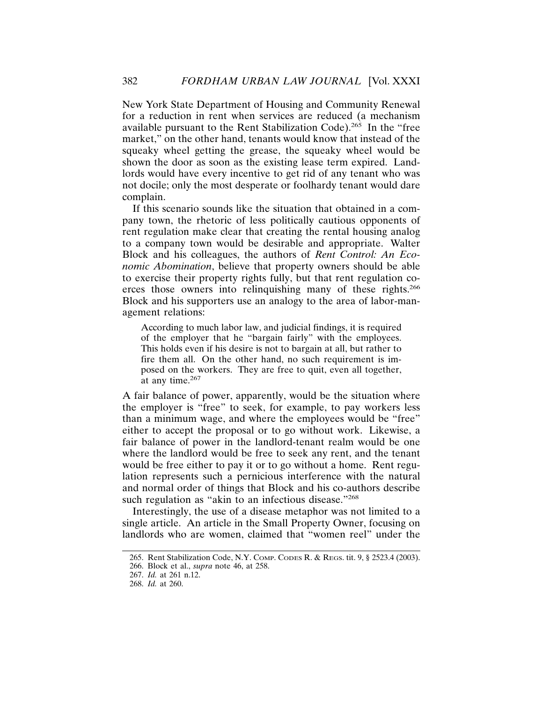New York State Department of Housing and Community Renewal for a reduction in rent when services are reduced (a mechanism available pursuant to the Rent Stabilization Code).265 In the "free market," on the other hand, tenants would know that instead of the squeaky wheel getting the grease, the squeaky wheel would be shown the door as soon as the existing lease term expired. Landlords would have every incentive to get rid of any tenant who was not docile; only the most desperate or foolhardy tenant would dare complain.

If this scenario sounds like the situation that obtained in a company town, the rhetoric of less politically cautious opponents of rent regulation make clear that creating the rental housing analog to a company town would be desirable and appropriate. Walter Block and his colleagues, the authors of *Rent Control: An Economic Abomination*, believe that property owners should be able to exercise their property rights fully, but that rent regulation coerces those owners into relinquishing many of these rights.<sup>266</sup> Block and his supporters use an analogy to the area of labor-management relations:

According to much labor law, and judicial findings, it is required of the employer that he "bargain fairly" with the employees. This holds even if his desire is not to bargain at all, but rather to fire them all. On the other hand, no such requirement is imposed on the workers. They are free to quit, even all together, at any time. $267$ 

A fair balance of power, apparently, would be the situation where the employer is "free" to seek, for example, to pay workers less than a minimum wage, and where the employees would be "free" either to accept the proposal or to go without work. Likewise, a fair balance of power in the landlord-tenant realm would be one where the landlord would be free to seek any rent, and the tenant would be free either to pay it or to go without a home. Rent regulation represents such a pernicious interference with the natural and normal order of things that Block and his co-authors describe such regulation as "akin to an infectious disease."<sup>268</sup>

Interestingly, the use of a disease metaphor was not limited to a single article. An article in the Small Property Owner, focusing on landlords who are women, claimed that "women reel" under the

<sup>265.</sup> Rent Stabilization Code, N.Y. COMP. CODES R. & REGS. tit. 9, § 2523.4 (2003).

<sup>266.</sup> Block et al., *supra* note 46, at 258.

<sup>267.</sup> *Id.* at 261 n.12.

<sup>268.</sup> *Id.* at 260.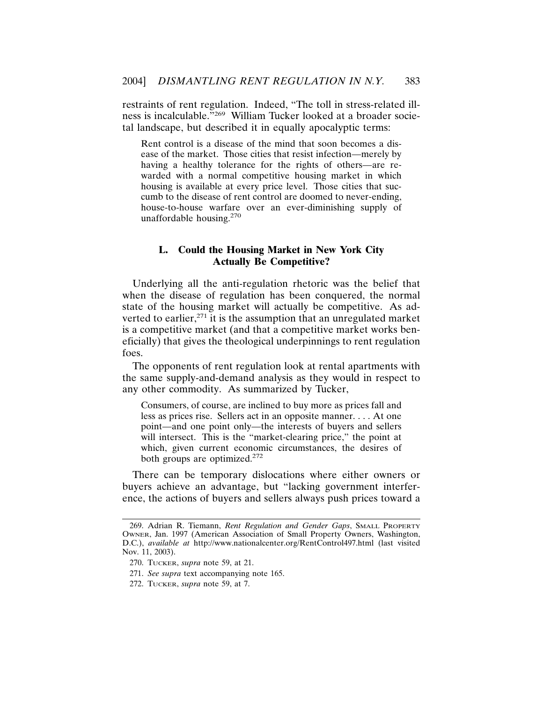restraints of rent regulation. Indeed, "The toll in stress-related illness is incalculable."269 William Tucker looked at a broader societal landscape, but described it in equally apocalyptic terms:

Rent control is a disease of the mind that soon becomes a disease of the market. Those cities that resist infection—merely by having a healthy tolerance for the rights of others—are rewarded with a normal competitive housing market in which housing is available at every price level. Those cities that succumb to the disease of rent control are doomed to never-ending, house-to-house warfare over an ever-diminishing supply of unaffordable housing.<sup>270</sup>

## **L. Could the Housing Market in New York City Actually Be Competitive?**

Underlying all the anti-regulation rhetoric was the belief that when the disease of regulation has been conquered, the normal state of the housing market will actually be competitive. As adverted to earlier, $271$  it is the assumption that an unregulated market is a competitive market (and that a competitive market works beneficially) that gives the theological underpinnings to rent regulation foes.

The opponents of rent regulation look at rental apartments with the same supply-and-demand analysis as they would in respect to any other commodity. As summarized by Tucker,

Consumers, of course, are inclined to buy more as prices fall and less as prices rise. Sellers act in an opposite manner. . . . At one point—and one point only—the interests of buyers and sellers will intersect. This is the "market-clearing price," the point at which, given current economic circumstances, the desires of both groups are optimized.<sup>272</sup>

There can be temporary dislocations where either owners or buyers achieve an advantage, but "lacking government interference, the actions of buyers and sellers always push prices toward a

271. *See supra* text accompanying note 165.

<sup>269.</sup> Adrian R. Tiemann, *Rent Regulation and Gender Gaps*, SMALL PROPERTY OWNER, Jan. 1997 (American Association of Small Property Owners, Washington, D.C.), *available at* http://www.nationalcenter.org/RentControl497.html (last visited Nov. 11, 2003).

<sup>270.</sup> TUCKER, *supra* note 59, at 21.

<sup>272.</sup> TUCKER, *supra* note 59, at 7.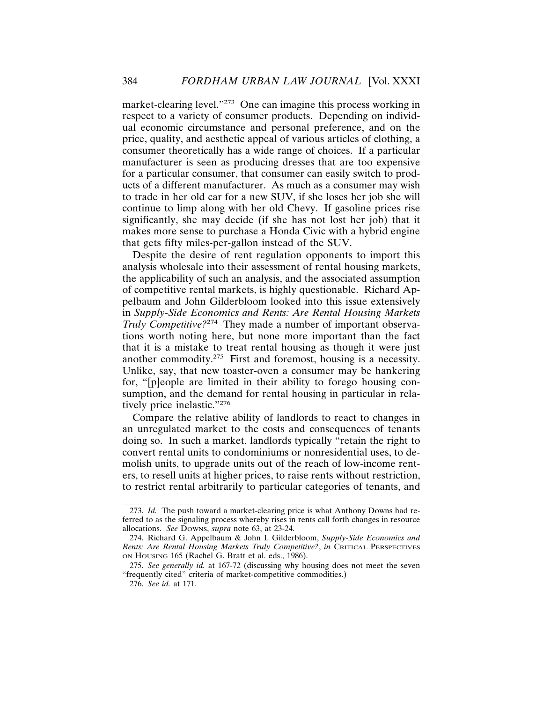market-clearing level."273 One can imagine this process working in respect to a variety of consumer products. Depending on individual economic circumstance and personal preference, and on the price, quality, and aesthetic appeal of various articles of clothing, a consumer theoretically has a wide range of choices. If a particular manufacturer is seen as producing dresses that are too expensive for a particular consumer, that consumer can easily switch to products of a different manufacturer. As much as a consumer may wish to trade in her old car for a new SUV, if she loses her job she will continue to limp along with her old Chevy. If gasoline prices rise significantly, she may decide (if she has not lost her job) that it makes more sense to purchase a Honda Civic with a hybrid engine that gets fifty miles-per-gallon instead of the SUV.

Despite the desire of rent regulation opponents to import this analysis wholesale into their assessment of rental housing markets, the applicability of such an analysis, and the associated assumption of competitive rental markets, is highly questionable. Richard Appelbaum and John Gilderbloom looked into this issue extensively in *Supply-Side Economics and Rents: Are Rental Housing Markets Truly Competitive?*274 They made a number of important observations worth noting here, but none more important than the fact that it is a mistake to treat rental housing as though it were just another commodity.275 First and foremost, housing is a necessity. Unlike, say, that new toaster-oven a consumer may be hankering for, "[p]eople are limited in their ability to forego housing consumption, and the demand for rental housing in particular in relatively price inelastic."276

Compare the relative ability of landlords to react to changes in an unregulated market to the costs and consequences of tenants doing so. In such a market, landlords typically "retain the right to convert rental units to condominiums or nonresidential uses, to demolish units, to upgrade units out of the reach of low-income renters, to resell units at higher prices, to raise rents without restriction, to restrict rental arbitrarily to particular categories of tenants, and

<sup>273.</sup> *Id.* The push toward a market-clearing price is what Anthony Downs had referred to as the signaling process whereby rises in rents call forth changes in resource allocations. *See* DOWNS, *supra* note 63, at 23-24.

<sup>274.</sup> Richard G. Appelbaum & John I. Gilderbloom, *Supply-Side Economics and Rents: Are Rental Housing Markets Truly Competitive?*, *in* CRITICAL PERSPECTIVES ON HOUSING 165 (Rachel G. Bratt et al. eds., 1986).

<sup>275.</sup> *See generally id.* at 167-72 (discussing why housing does not meet the seven "frequently cited" criteria of market-competitive commodities.)

<sup>276.</sup> *See id.* at 171.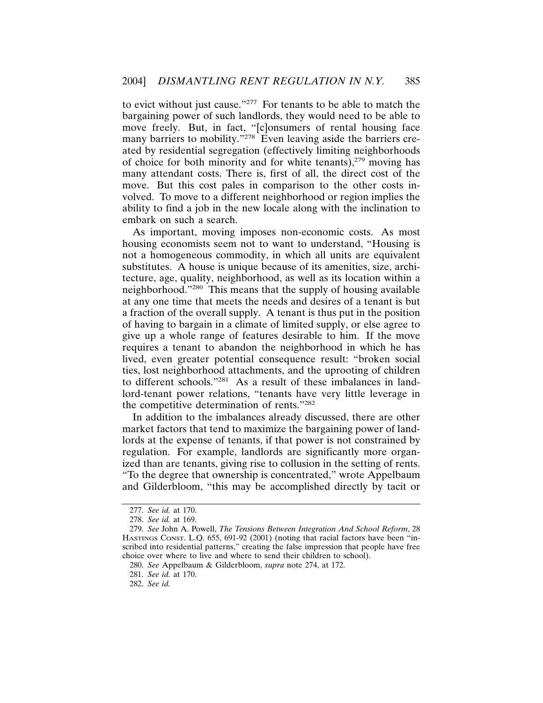to evict without just cause."277 For tenants to be able to match the bargaining power of such landlords, they would need to be able to move freely. But, in fact, "[c]onsumers of rental housing face many barriers to mobility."<sup>278</sup> Even leaving aside the barriers created by residential segregation (effectively limiting neighborhoods of choice for both minority and for white tenants), $279$  moving has many attendant costs. There is, first of all, the direct cost of the move. But this cost pales in comparison to the other costs involved. To move to a different neighborhood or region implies the ability to find a job in the new locale along with the inclination to embark on such a search.

As important, moving imposes non-economic costs. As most housing economists seem not to want to understand, "Housing is not a homogeneous commodity, in which all units are equivalent substitutes. A house is unique because of its amenities, size, architecture, age, quality, neighborhood, as well as its location within a neighborhood."280 This means that the supply of housing available at any one time that meets the needs and desires of a tenant is but a fraction of the overall supply. A tenant is thus put in the position of having to bargain in a climate of limited supply, or else agree to give up a whole range of features desirable to him. If the move requires a tenant to abandon the neighborhood in which he has lived, even greater potential consequence result: "broken social ties, lost neighborhood attachments, and the uprooting of children to different schools."281 As a result of these imbalances in landlord-tenant power relations, "tenants have very little leverage in the competitive determination of rents."282

In addition to the imbalances already discussed, there are other market factors that tend to maximize the bargaining power of landlords at the expense of tenants, if that power is not constrained by regulation. For example, landlords are significantly more organized than are tenants, giving rise to collusion in the setting of rents. "To the degree that ownership is concentrated," wrote Appelbaum and Gilderbloom, "this may be accomplished directly by tacit or

<sup>277.</sup> *See id.* at 170.

<sup>278.</sup> *See id.* at 169.

<sup>279.</sup> *See* John A. Powell, *The Tensions Between Integration And School Reform*, 28 HASTINGS CONST. L.Q. 655, 691-92 (2001) (noting that racial factors have been "inscribed into residential patterns," creating the false impression that people have free choice over where to live and where to send their children to school).

<sup>280.</sup> *See* Appelbaum & Gilderbloom, *supra* note 274, at 172.

<sup>281.</sup> *See id.* at 170.

<sup>282.</sup> *See id.*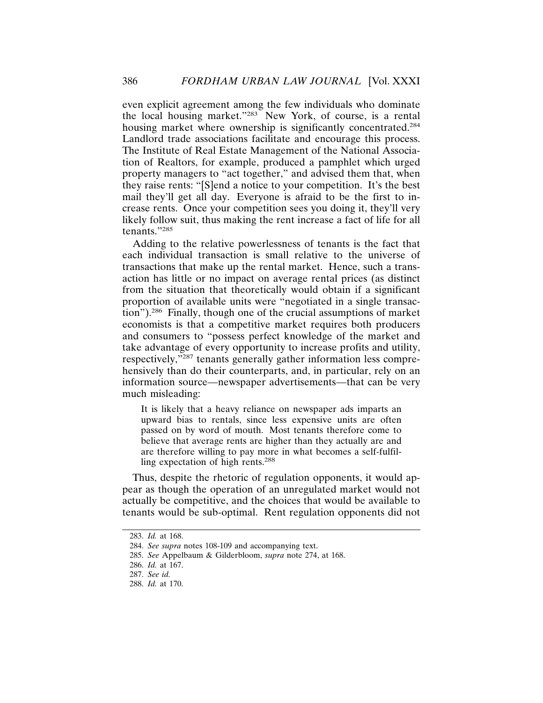even explicit agreement among the few individuals who dominate the local housing market."283 New York, of course, is a rental housing market where ownership is significantly concentrated.<sup>284</sup> Landlord trade associations facilitate and encourage this process. The Institute of Real Estate Management of the National Association of Realtors, for example, produced a pamphlet which urged property managers to "act together," and advised them that, when they raise rents: "[S]end a notice to your competition. It's the best mail they'll get all day. Everyone is afraid to be the first to increase rents. Once your competition sees you doing it, they'll very likely follow suit, thus making the rent increase a fact of life for all tenants."285

Adding to the relative powerlessness of tenants is the fact that each individual transaction is small relative to the universe of transactions that make up the rental market. Hence, such a transaction has little or no impact on average rental prices (as distinct from the situation that theoretically would obtain if a significant proportion of available units were "negotiated in a single transaction").286 Finally, though one of the crucial assumptions of market economists is that a competitive market requires both producers and consumers to "possess perfect knowledge of the market and take advantage of every opportunity to increase profits and utility, respectively,"287 tenants generally gather information less comprehensively than do their counterparts, and, in particular, rely on an information source—newspaper advertisements—that can be very much misleading:

It is likely that a heavy reliance on newspaper ads imparts an upward bias to rentals, since less expensive units are often passed on by word of mouth. Most tenants therefore come to believe that average rents are higher than they actually are and are therefore willing to pay more in what becomes a self-fulfilling expectation of high rents.<sup>288</sup>

Thus, despite the rhetoric of regulation opponents, it would appear as though the operation of an unregulated market would not actually be competitive, and the choices that would be available to tenants would be sub-optimal. Rent regulation opponents did not

<sup>283.</sup> *Id.* at 168.

<sup>284.</sup> *See supra* notes 108-109 and accompanying text.

<sup>285.</sup> *See* Appelbaum & Gilderbloom, *supra* note 274, at 168.

<sup>286.</sup> *Id.* at 167.

<sup>287.</sup> *See id.*

<sup>288.</sup> *Id.* at 170.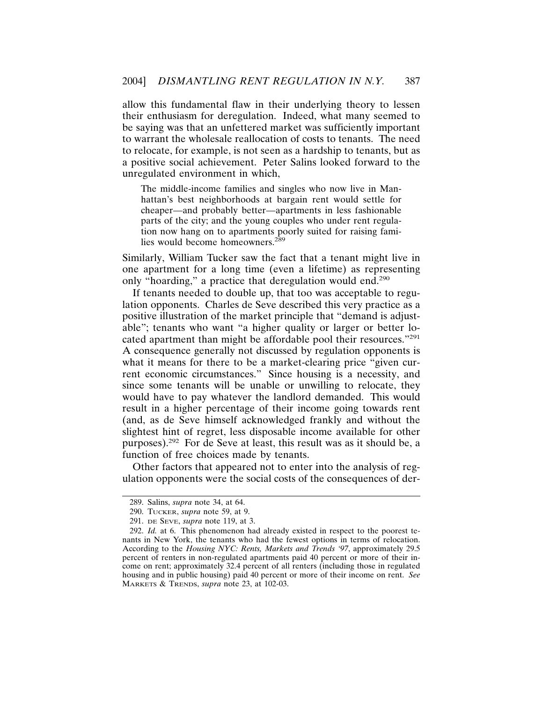allow this fundamental flaw in their underlying theory to lessen their enthusiasm for deregulation. Indeed, what many seemed to be saying was that an unfettered market was sufficiently important to warrant the wholesale reallocation of costs to tenants. The need to relocate, for example, is not seen as a hardship to tenants, but as a positive social achievement. Peter Salins looked forward to the unregulated environment in which,

The middle-income families and singles who now live in Manhattan's best neighborhoods at bargain rent would settle for cheaper—and probably better—apartments in less fashionable parts of the city; and the young couples who under rent regulation now hang on to apartments poorly suited for raising families would become homeowners.<sup>289</sup>

Similarly, William Tucker saw the fact that a tenant might live in one apartment for a long time (even a lifetime) as representing only "hoarding," a practice that deregulation would end.<sup>290</sup>

If tenants needed to double up, that too was acceptable to regulation opponents. Charles de Seve described this very practice as a positive illustration of the market principle that "demand is adjustable"; tenants who want "a higher quality or larger or better located apartment than might be affordable pool their resources."291 A consequence generally not discussed by regulation opponents is what it means for there to be a market-clearing price "given current economic circumstances." Since housing is a necessity, and since some tenants will be unable or unwilling to relocate, they would have to pay whatever the landlord demanded. This would result in a higher percentage of their income going towards rent (and, as de Seve himself acknowledged frankly and without the slightest hint of regret, less disposable income available for other purposes).292 For de Seve at least, this result was as it should be, a function of free choices made by tenants.

Other factors that appeared not to enter into the analysis of regulation opponents were the social costs of the consequences of der-

<sup>289.</sup> Salins, *supra* note 34, at 64.

<sup>290.</sup> TUCKER, *supra* note 59, at 9.

<sup>291.</sup> DE SEVE, *supra* note 119, at 3.

<sup>292.</sup> *Id.* at 6. This phenomenon had already existed in respect to the poorest tenants in New York, the tenants who had the fewest options in terms of relocation. According to the *Housing NYC: Rents, Markets and Trends '97*, approximately 29.5 percent of renters in non-regulated apartments paid 40 percent or more of their income on rent; approximately 32.4 percent of all renters (including those in regulated housing and in public housing) paid 40 percent or more of their income on rent. *See* MARKETS & TRENDS, *supra* note 23, at 102-03.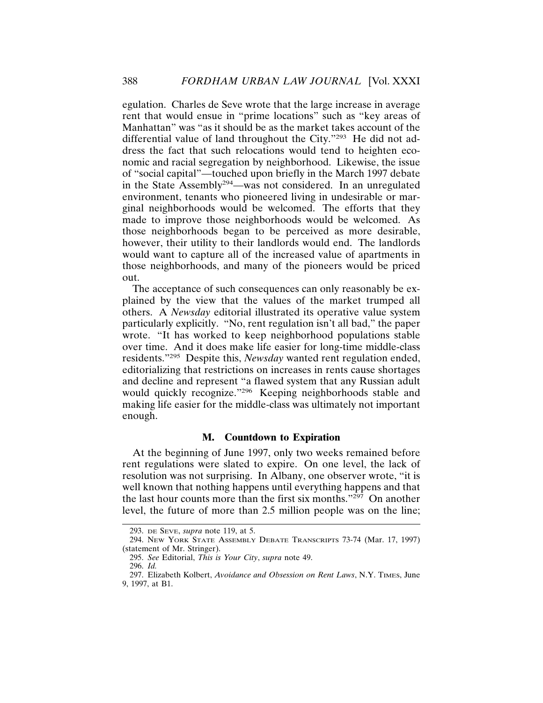egulation. Charles de Seve wrote that the large increase in average rent that would ensue in "prime locations" such as "key areas of Manhattan" was "as it should be as the market takes account of the differential value of land throughout the City."293 He did not address the fact that such relocations would tend to heighten economic and racial segregation by neighborhood. Likewise, the issue of "social capital"—touched upon briefly in the March 1997 debate in the State Assembly<sup>294</sup>—was not considered. In an unregulated environment, tenants who pioneered living in undesirable or marginal neighborhoods would be welcomed. The efforts that they made to improve those neighborhoods would be welcomed. As those neighborhoods began to be perceived as more desirable, however, their utility to their landlords would end. The landlords would want to capture all of the increased value of apartments in those neighborhoods, and many of the pioneers would be priced out.

The acceptance of such consequences can only reasonably be explained by the view that the values of the market trumped all others. A *Newsday* editorial illustrated its operative value system particularly explicitly. "No, rent regulation isn't all bad," the paper wrote. "It has worked to keep neighborhood populations stable over time. And it does make life easier for long-time middle-class residents."295 Despite this, *Newsday* wanted rent regulation ended, editorializing that restrictions on increases in rents cause shortages and decline and represent "a flawed system that any Russian adult would quickly recognize."296 Keeping neighborhoods stable and making life easier for the middle-class was ultimately not important enough.

## **M. Countdown to Expiration**

At the beginning of June 1997, only two weeks remained before rent regulations were slated to expire. On one level, the lack of resolution was not surprising. In Albany, one observer wrote, "it is well known that nothing happens until everything happens and that the last hour counts more than the first six months." $297$  On another level, the future of more than 2.5 million people was on the line;

<sup>293.</sup> DE SEVE, *supra* note 119, at 5.

<sup>294.</sup> NEW YORK STATE ASSEMBLY DEBATE TRANSCRIPTS 73-74 (Mar. 17, 1997) (statement of Mr. Stringer).

<sup>295.</sup> *See* Editorial, *This is Your City*, *supra* note 49.

<sup>296.</sup> *Id.*

<sup>297.</sup> Elizabeth Kolbert, *Avoidance and Obsession on Rent Laws*, N.Y. TIMES, June 9, 1997, at B1.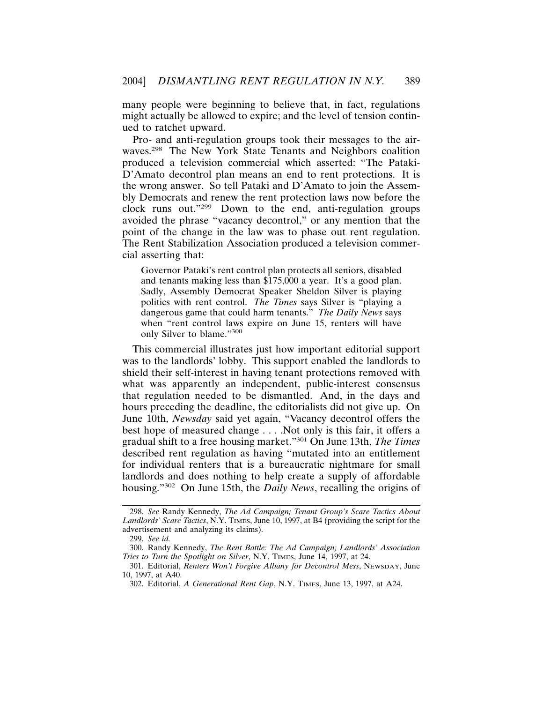many people were beginning to believe that, in fact, regulations might actually be allowed to expire; and the level of tension continued to ratchet upward.

Pro- and anti-regulation groups took their messages to the airwaves.<sup>298</sup> The New York State Tenants and Neighbors coalition produced a television commercial which asserted: "The Pataki-D'Amato decontrol plan means an end to rent protections. It is the wrong answer. So tell Pataki and D'Amato to join the Assembly Democrats and renew the rent protection laws now before the clock runs out."299 Down to the end, anti-regulation groups avoided the phrase "vacancy decontrol," or any mention that the point of the change in the law was to phase out rent regulation. The Rent Stabilization Association produced a television commercial asserting that:

Governor Pataki's rent control plan protects all seniors, disabled and tenants making less than \$175,000 a year. It's a good plan. Sadly, Assembly Democrat Speaker Sheldon Silver is playing politics with rent control. *The Times* says Silver is "playing a dangerous game that could harm tenants." *The Daily News* says when "rent control laws expire on June 15, renters will have only Silver to blame."<sup>300</sup>

This commercial illustrates just how important editorial support was to the landlords' lobby. This support enabled the landlords to shield their self-interest in having tenant protections removed with what was apparently an independent, public-interest consensus that regulation needed to be dismantled. And, in the days and hours preceding the deadline, the editorialists did not give up. On June 10th, *Newsday* said yet again, "Vacancy decontrol offers the best hope of measured change . . . .Not only is this fair, it offers a gradual shift to a free housing market."301 On June 13th, *The Times* described rent regulation as having "mutated into an entitlement for individual renters that is a bureaucratic nightmare for small landlords and does nothing to help create a supply of affordable housing."302 On June 15th, the *Daily News*, recalling the origins of

<sup>298.</sup> *See* Randy Kennedy, *The Ad Campaign; Tenant Group's Scare Tactics About Landlords' Scare Tactics*, N.Y. TIMES, June 10, 1997, at B4 (providing the script for the advertisement and analyzing its claims).

<sup>299.</sup> *See id.*

<sup>300.</sup> Randy Kennedy, *The Rent Battle: The Ad Campaign; Landlords' Association Tries to Turn the Spotlight on Silver*, N.Y. TIMES, June 14, 1997, at 24.

<sup>301.</sup> Editorial, *Renters Won't Forgive Albany for Decontrol Mess*, NEWSDAY, June 10, 1997, at A40.

<sup>302.</sup> Editorial, *A Generational Rent Gap*, N.Y. TIMES, June 13, 1997, at A24.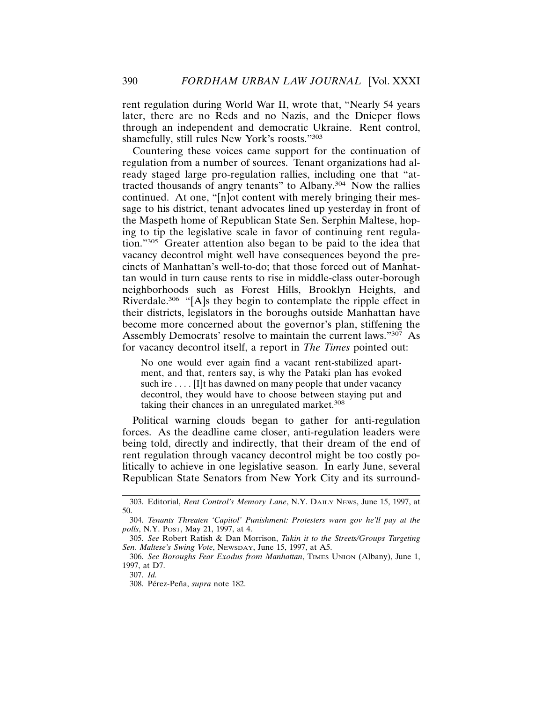rent regulation during World War II, wrote that, "Nearly 54 years later, there are no Reds and no Nazis, and the Dnieper flows through an independent and democratic Ukraine. Rent control, shamefully, still rules New York's roosts."303

Countering these voices came support for the continuation of regulation from a number of sources. Tenant organizations had already staged large pro-regulation rallies, including one that "attracted thousands of angry tenants" to Albany.304 Now the rallies continued. At one, "[n]ot content with merely bringing their message to his district, tenant advocates lined up yesterday in front of the Maspeth home of Republican State Sen. Serphin Maltese, hoping to tip the legislative scale in favor of continuing rent regulation."305 Greater attention also began to be paid to the idea that vacancy decontrol might well have consequences beyond the precincts of Manhattan's well-to-do; that those forced out of Manhattan would in turn cause rents to rise in middle-class outer-borough neighborhoods such as Forest Hills, Brooklyn Heights, and Riverdale.<sup>306</sup> "[A]s they begin to contemplate the ripple effect in their districts, legislators in the boroughs outside Manhattan have become more concerned about the governor's plan, stiffening the Assembly Democrats' resolve to maintain the current laws."307 As for vacancy decontrol itself, a report in *The Times* pointed out:

No one would ever again find a vacant rent-stabilized apartment, and that, renters say, is why the Pataki plan has evoked such ire .... [I]t has dawned on many people that under vacancy decontrol, they would have to choose between staying put and taking their chances in an unregulated market.<sup>308</sup>

Political warning clouds began to gather for anti-regulation forces. As the deadline came closer, anti-regulation leaders were being told, directly and indirectly, that their dream of the end of rent regulation through vacancy decontrol might be too costly politically to achieve in one legislative season. In early June, several Republican State Senators from New York City and its surround-

<sup>303.</sup> Editorial, *Rent Control's Memory Lane*, N.Y. DAILY NEWS, June 15, 1997, at 50.

<sup>304.</sup> *Tenants Threaten 'Capitol' Punishment: Protesters warn gov he'll pay at the polls*, N.Y. POST, May 21, 1997, at 4.

<sup>305.</sup> *See* Robert Ratish & Dan Morrison, *Takin it to the Streets/Groups Targeting Sen. Maltese's Swing Vote*, NEWSDAY, June 15, 1997, at A5.

<sup>306.</sup> *See Boroughs Fear Exodus from Manhattan*, TIMES UNION (Albany), June 1, 1997, at D7.

<sup>307.</sup> *Id.*

<sup>308.</sup> Pérez-Peña, *supra* note 182.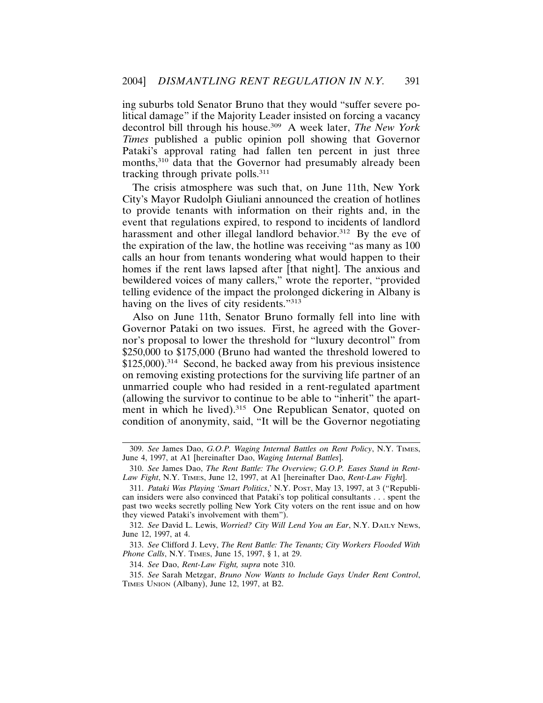ing suburbs told Senator Bruno that they would "suffer severe political damage" if the Majority Leader insisted on forcing a vacancy decontrol bill through his house.309 A week later, *The New York Times* published a public opinion poll showing that Governor Pataki's approval rating had fallen ten percent in just three months,<sup>310</sup> data that the Governor had presumably already been tracking through private polls. $311$ 

The crisis atmosphere was such that, on June 11th, New York City's Mayor Rudolph Giuliani announced the creation of hotlines to provide tenants with information on their rights and, in the event that regulations expired, to respond to incidents of landlord harassment and other illegal landlord behavior.<sup>312</sup> By the eve of the expiration of the law, the hotline was receiving "as many as 100 calls an hour from tenants wondering what would happen to their homes if the rent laws lapsed after [that night]. The anxious and bewildered voices of many callers," wrote the reporter, "provided telling evidence of the impact the prolonged dickering in Albany is having on the lives of city residents."<sup>313</sup>

Also on June 11th, Senator Bruno formally fell into line with Governor Pataki on two issues. First, he agreed with the Governor's proposal to lower the threshold for "luxury decontrol" from \$250,000 to \$175,000 (Bruno had wanted the threshold lowered to \$125,000).<sup>314</sup> Second, he backed away from his previous insistence on removing existing protections for the surviving life partner of an unmarried couple who had resided in a rent-regulated apartment (allowing the survivor to continue to be able to "inherit" the apartment in which he lived).<sup>315</sup> One Republican Senator, quoted on condition of anonymity, said, "It will be the Governor negotiating

312. *See* David L. Lewis, *Worried? City Will Lend You an Ear*, N.Y. DAILY NEWS, June 12, 1997, at 4.

313. *See* Clifford J. Levy, *The Rent Battle: The Tenants; City Workers Flooded With Phone Calls*, N.Y. TIMES, June 15, 1997, § 1, at 29.

314. *See* Dao, *Rent-Law Fight, supra* note 310.

315. *See* Sarah Metzgar, *Bruno Now Wants to Include Gays Under Rent Control*, TIMES UNION (Albany), June 12, 1997, at B2.

<sup>309.</sup> *See* James Dao, *G.O.P. Waging Internal Battles on Rent Policy*, N.Y. TIMES, June 4, 1997, at A1 [hereinafter Dao, *Waging Internal Battles*].

<sup>310.</sup> *See* James Dao, *The Rent Battle: The Overview; G.O.P. Eases Stand in Rent-Law Fight*, N.Y. TIMES, June 12, 1997, at A1 [hereinafter Dao, *Rent-Law Fight*].

<sup>311.</sup> *Pataki Was Playing 'Smart Politics*,' N.Y. POST, May 13, 1997, at 3 ("Republican insiders were also convinced that Pataki's top political consultants . . . spent the past two weeks secretly polling New York City voters on the rent issue and on how they viewed Pataki's involvement with them").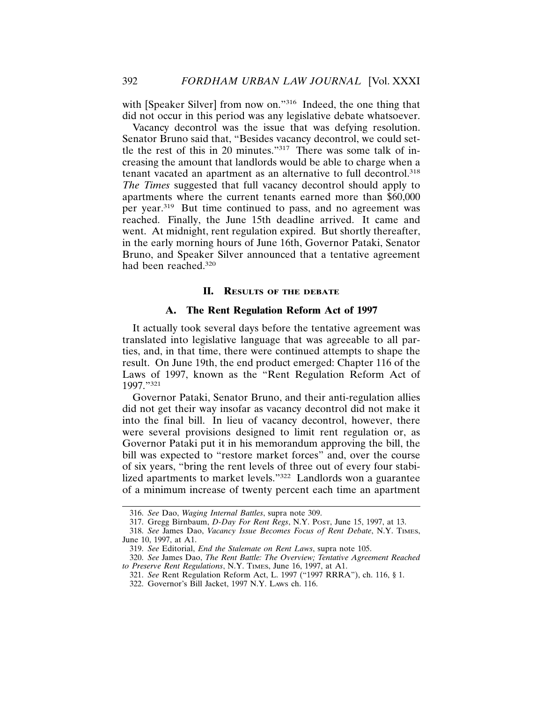with [Speaker Silver] from now on."<sup>316</sup> Indeed, the one thing that did not occur in this period was any legislative debate whatsoever.

Vacancy decontrol was the issue that was defying resolution. Senator Bruno said that, "Besides vacancy decontrol, we could settle the rest of this in 20 minutes."317 There was some talk of increasing the amount that landlords would be able to charge when a tenant vacated an apartment as an alternative to full decontrol.318 *The Times* suggested that full vacancy decontrol should apply to apartments where the current tenants earned more than \$60,000 per year.319 But time continued to pass, and no agreement was reached. Finally, the June 15th deadline arrived. It came and went. At midnight, rent regulation expired. But shortly thereafter, in the early morning hours of June 16th, Governor Pataki, Senator Bruno, and Speaker Silver announced that a tentative agreement had been reached.320

#### **II. RESULTS OF THE DEBATE**

## **A. The Rent Regulation Reform Act of 1997**

It actually took several days before the tentative agreement was translated into legislative language that was agreeable to all parties, and, in that time, there were continued attempts to shape the result. On June 19th, the end product emerged: Chapter 116 of the Laws of 1997, known as the "Rent Regulation Reform Act of 1997."<sup>321</sup>

Governor Pataki, Senator Bruno, and their anti-regulation allies did not get their way insofar as vacancy decontrol did not make it into the final bill. In lieu of vacancy decontrol, however, there were several provisions designed to limit rent regulation or, as Governor Pataki put it in his memorandum approving the bill, the bill was expected to "restore market forces" and, over the course of six years, "bring the rent levels of three out of every four stabilized apartments to market levels."322 Landlords won a guarantee of a minimum increase of twenty percent each time an apartment

<sup>316.</sup> *See* Dao, *Waging Internal Battles*, supra note 309.

<sup>317.</sup> Gregg Birnbaum, *D-Day For Rent Regs*, N.Y. POST, June 15, 1997, at 13.

<sup>318.</sup> *See* James Dao, *Vacancy Issue Becomes Focus of Rent Debate*, N.Y. TIMES, June 10, 1997, at A1.

<sup>319.</sup> *See* Editorial, *End the Stalemate on Rent Laws*, supra note 105.

<sup>320.</sup> *See* James Dao, *The Rent Battle: The Overview; Tentative Agreement Reached to Preserve Rent Regulations*, N.Y. TIMES, June 16, 1997, at A1.

<sup>321.</sup> *See* Rent Regulation Reform Act, L. 1997 ("1997 RRRA"), ch. 116, § 1.

<sup>322.</sup> Governor's Bill Jacket, 1997 N.Y. LAWS ch. 116.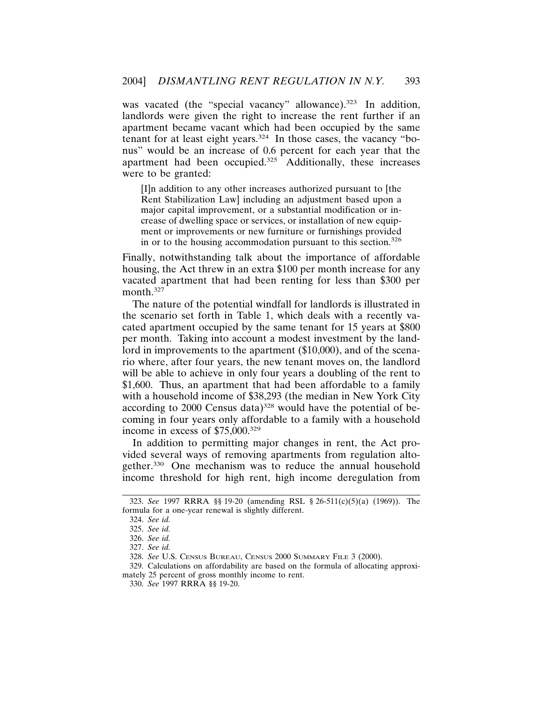was vacated (the "special vacancy" allowance).<sup>323</sup> In addition, landlords were given the right to increase the rent further if an apartment became vacant which had been occupied by the same tenant for at least eight years.<sup>324</sup> In those cases, the vacancy "bonus" would be an increase of 0.6 percent for each year that the apartment had been occupied.<sup>325</sup> Additionally, these increases were to be granted:

[I]n addition to any other increases authorized pursuant to [the Rent Stabilization Law] including an adjustment based upon a major capital improvement, or a substantial modification or increase of dwelling space or services, or installation of new equipment or improvements or new furniture or furnishings provided in or to the housing accommodation pursuant to this section.<sup>326</sup>

Finally, notwithstanding talk about the importance of affordable housing, the Act threw in an extra \$100 per month increase for any vacated apartment that had been renting for less than \$300 per month.327

The nature of the potential windfall for landlords is illustrated in the scenario set forth in Table 1, which deals with a recently vacated apartment occupied by the same tenant for 15 years at \$800 per month. Taking into account a modest investment by the landlord in improvements to the apartment (\$10,000), and of the scenario where, after four years, the new tenant moves on, the landlord will be able to achieve in only four years a doubling of the rent to \$1,600. Thus, an apartment that had been affordable to a family with a household income of \$38,293 (the median in New York City according to 2000 Census data)<sup>328</sup> would have the potential of becoming in four years only affordable to a family with a household income in excess of \$75,000.329

In addition to permitting major changes in rent, the Act provided several ways of removing apartments from regulation altogether.330 One mechanism was to reduce the annual household income threshold for high rent, high income deregulation from

329. Calculations on affordability are based on the formula of allocating approximately 25 percent of gross monthly income to rent.

<sup>323.</sup> *See* 1997 RRRA §§ 19-20 (amending RSL § 26-511(c)(5)(a) (1969)). The formula for a one-year renewal is slightly different.

<sup>324.</sup> *See id.*

<sup>325.</sup> *See id.*

<sup>326.</sup> *See id.*

<sup>327.</sup> *See id.*

<sup>328.</sup> *See* U.S. CENSUS BUREAU, CENSUS 2000 SUMMARY FILE 3 (2000).

<sup>330.</sup> *See* 1997 RRRA §§ 19-20.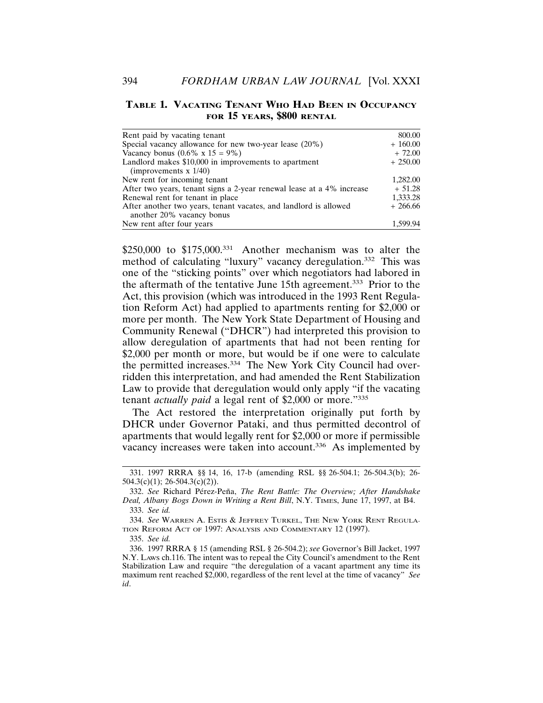## **TABLE 1. VACATING TENANT WHO HAD BEEN IN OCCUPANCY FOR 15 YEARS, \$800 RENTAL**

| Rent paid by vacating tenant                                                                  | 800.00    |
|-----------------------------------------------------------------------------------------------|-----------|
| Special vacancy allowance for new two-year lease (20%)                                        | $+160.00$ |
| Vacancy bonus $(0.6\% \times 15 = 9\%)$                                                       | $+72.00$  |
| Landlord makes \$10,000 in improvements to apartment<br>(improvements $x 1/40$ )              | $+250.00$ |
| New rent for incoming tenant                                                                  | 1,282.00  |
| After two years, tenant signs a 2-year renewal lease at a 4% increase                         | $+51.28$  |
| Renewal rent for tenant in place                                                              | 1,333.28  |
| After another two years, tenant vacates, and landlord is allowed<br>another 20% vacancy bonus | $+266.66$ |
| New rent after four years                                                                     | 1.599.94  |

\$250,000 to \$175,000.<sup>331</sup> Another mechanism was to alter the method of calculating "luxury" vacancy deregulation.332 This was one of the "sticking points" over which negotiators had labored in the aftermath of the tentative June 15th agreement.333 Prior to the Act, this provision (which was introduced in the 1993 Rent Regulation Reform Act) had applied to apartments renting for \$2,000 or more per month. The New York State Department of Housing and Community Renewal ("DHCR") had interpreted this provision to allow deregulation of apartments that had not been renting for \$2,000 per month or more, but would be if one were to calculate the permitted increases.<sup>334</sup> The New York City Council had overridden this interpretation, and had amended the Rent Stabilization Law to provide that deregulation would only apply "if the vacating tenant *actually paid* a legal rent of \$2,000 or more."335

The Act restored the interpretation originally put forth by DHCR under Governor Pataki, and thus permitted decontrol of apartments that would legally rent for \$2,000 or more if permissible vacancy increases were taken into account.<sup>336</sup> As implemented by

<sup>331. 1997</sup> RRRA §§ 14, 16, 17-b (amending RSL §§ 26-504.1; 26-504.3(b); 26- 504.3(c)(1); 26-504.3(c)(2)).

<sup>332.</sup> See Richard Pérez-Peña, *The Rent Battle: The Overview; After Handshake Deal, Albany Bogs Down in Writing a Rent Bill*, N.Y. TIMES, June 17, 1997, at B4. 333. *See id.*

<sup>334.</sup> *See* WARREN A. ESTIS & JEFFREY TURKEL, THE NEW YORK RENT REGULA-TION REFORM ACT OF 1997: ANALYSIS AND COMMENTARY 12 (1997).

<sup>335.</sup> *See id.*

<sup>336. 1997</sup> RRRA § 15 (amending RSL § 26-504.2); *see* Governor's Bill Jacket, 1997 N.Y. LAWS ch.116. The intent was to repeal the City Council's amendment to the Rent Stabilization Law and require "the deregulation of a vacant apartment any time its maximum rent reached \$2,000, regardless of the rent level at the time of vacancy" *See id*.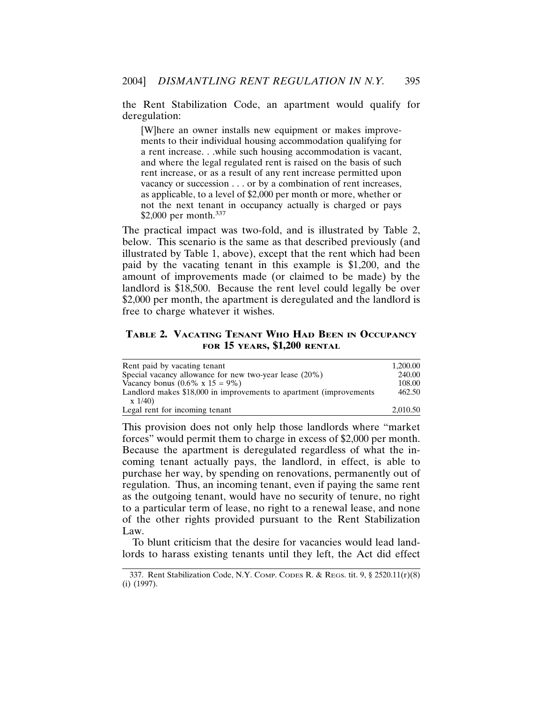the Rent Stabilization Code, an apartment would qualify for deregulation:

[W]here an owner installs new equipment or makes improvements to their individual housing accommodation qualifying for a rent increase. . .while such housing accommodation is vacant, and where the legal regulated rent is raised on the basis of such rent increase, or as a result of any rent increase permitted upon vacancy or succession . . . or by a combination of rent increases, as applicable, to a level of \$2,000 per month or more, whether or not the next tenant in occupancy actually is charged or pays \$2,000 per month.<sup>337</sup>

The practical impact was two-fold, and is illustrated by Table 2, below. This scenario is the same as that described previously (and illustrated by Table 1, above), except that the rent which had been paid by the vacating tenant in this example is \$1,200, and the amount of improvements made (or claimed to be made) by the landlord is \$18,500. Because the rent level could legally be over \$2,000 per month, the apartment is deregulated and the landlord is free to charge whatever it wishes.

## **TABLE 2. VACATING TENANT WHO HAD BEEN IN OCCUPANCY FOR 15 YEARS, \$1,200 RENTAL**

| Rent paid by vacating tenant                                        | 1.200.00 |
|---------------------------------------------------------------------|----------|
| Special vacancy allowance for new two-year lease $(20\%)$           | 240.00   |
| Vacancy bonus $(0.6\% \times 15 = 9\%)$                             | 108.00   |
| Landlord makes \$18,000 in improvements to apartment (improvements) | 462.50   |
| $x\ 1/40$                                                           |          |
| Legal rent for incoming tenant                                      | 2.010.50 |

This provision does not only help those landlords where "market forces" would permit them to charge in excess of \$2,000 per month. Because the apartment is deregulated regardless of what the incoming tenant actually pays, the landlord, in effect, is able to purchase her way, by spending on renovations, permanently out of regulation. Thus, an incoming tenant, even if paying the same rent as the outgoing tenant, would have no security of tenure, no right to a particular term of lease, no right to a renewal lease, and none of the other rights provided pursuant to the Rent Stabilization Law.

To blunt criticism that the desire for vacancies would lead landlords to harass existing tenants until they left, the Act did effect

<sup>337.</sup> Rent Stabilization Code, N.Y. COMP. CODES R. & REGS. tit. 9, § 2520.11(r)(8) (i) (1997).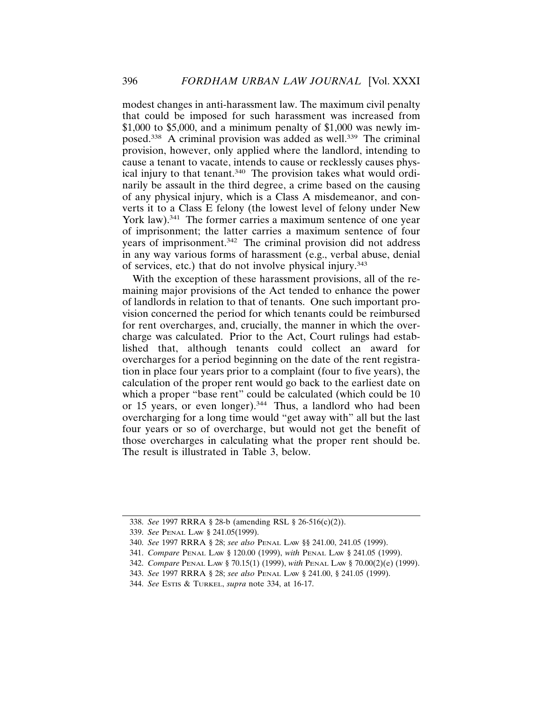modest changes in anti-harassment law. The maximum civil penalty that could be imposed for such harassment was increased from \$1,000 to \$5,000, and a minimum penalty of \$1,000 was newly imposed.<sup>338</sup> A criminal provision was added as well.<sup>339</sup> The criminal provision, however, only applied where the landlord, intending to cause a tenant to vacate, intends to cause or recklessly causes physical injury to that tenant.<sup>340</sup> The provision takes what would ordinarily be assault in the third degree, a crime based on the causing of any physical injury, which is a Class A misdemeanor, and converts it to a Class E felony (the lowest level of felony under New York law).<sup>341</sup> The former carries a maximum sentence of one year of imprisonment; the latter carries a maximum sentence of four years of imprisonment.342 The criminal provision did not address in any way various forms of harassment (e.g., verbal abuse, denial of services, etc.) that do not involve physical injury.343

With the exception of these harassment provisions, all of the remaining major provisions of the Act tended to enhance the power of landlords in relation to that of tenants. One such important provision concerned the period for which tenants could be reimbursed for rent overcharges, and, crucially, the manner in which the overcharge was calculated. Prior to the Act, Court rulings had established that, although tenants could collect an award for overcharges for a period beginning on the date of the rent registration in place four years prior to a complaint (four to five years), the calculation of the proper rent would go back to the earliest date on which a proper "base rent" could be calculated (which could be  $10$ ) or 15 years, or even longer).344 Thus, a landlord who had been overcharging for a long time would "get away with" all but the last four years or so of overcharge, but would not get the benefit of those overcharges in calculating what the proper rent should be. The result is illustrated in Table 3, below.

<sup>338.</sup> *See* 1997 RRRA § 28-b (amending RSL § 26-516(c)(2)).

<sup>339.</sup> *See* PENAL LAW § 241.05(1999).

<sup>340.</sup> *See* 1997 RRRA § 28; *see also* PENAL LAW §§ 241.00, 241.05 (1999).

<sup>341.</sup> *Compare* PENAL LAW § 120.00 (1999), *with* PENAL LAW § 241.05 (1999).

<sup>342.</sup> *Compare* PENAL LAW § 70.15(1) (1999), *with* PENAL LAW § 70.00(2)(e) (1999).

<sup>343.</sup> *See* 1997 RRRA § 28; *see also* PENAL LAW § 241.00, § 241.05 (1999).

<sup>344.</sup> *See* ESTIS & TURKEL, *supra* note 334, at 16-17.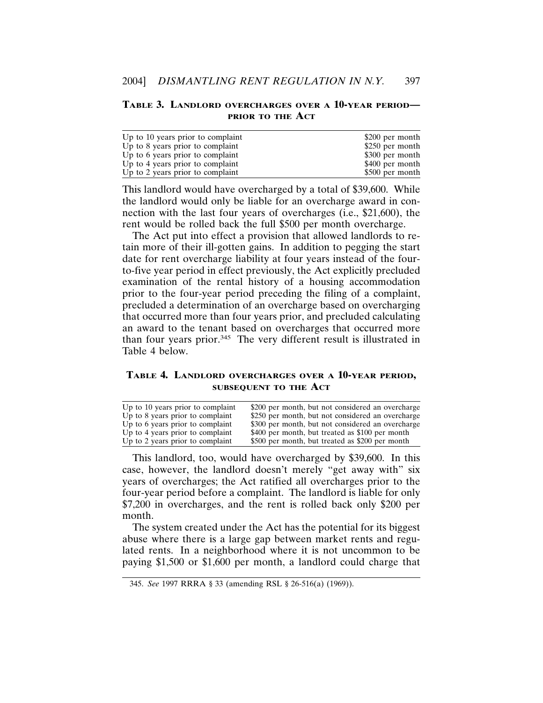#### **TABLE 3. LANDLORD OVERCHARGES OVER A 10-YEAR PERIOD— PRIOR TO THE ACT**

| Up to 10 years prior to complaint | \$200 per month |
|-----------------------------------|-----------------|
| Up to 8 years prior to complaint  | \$250 per month |
| Up to 6 years prior to complaint  | \$300 per month |
| Up to 4 years prior to complaint  | \$400 per month |
| Up to 2 years prior to complaint  | \$500 per month |

This landlord would have overcharged by a total of \$39,600. While the landlord would only be liable for an overcharge award in connection with the last four years of overcharges (i.e., \$21,600), the rent would be rolled back the full \$500 per month overcharge.

The Act put into effect a provision that allowed landlords to retain more of their ill-gotten gains. In addition to pegging the start date for rent overcharge liability at four years instead of the fourto-five year period in effect previously, the Act explicitly precluded examination of the rental history of a housing accommodation prior to the four-year period preceding the filing of a complaint, precluded a determination of an overcharge based on overcharging that occurred more than four years prior, and precluded calculating an award to the tenant based on overcharges that occurred more than four years prior.345 The very different result is illustrated in Table 4 below.

**TABLE 4. LANDLORD OVERCHARGES OVER A 10-YEAR PERIOD, SUBSEQUENT TO THE ACT**

| Up to 10 years prior to complaint | \$200 per month, but not considered an overcharge |
|-----------------------------------|---------------------------------------------------|
| Up to 8 years prior to complaint  | \$250 per month, but not considered an overcharge |
| Up to 6 years prior to complaint  | \$300 per month, but not considered an overcharge |
| Up to 4 years prior to complaint  | \$400 per month, but treated as \$100 per month   |
| Up to 2 years prior to complaint  | \$500 per month, but treated as \$200 per month   |

This landlord, too, would have overcharged by \$39,600. In this case, however, the landlord doesn't merely "get away with" six years of overcharges; the Act ratified all overcharges prior to the four-year period before a complaint. The landlord is liable for only \$7,200 in overcharges, and the rent is rolled back only \$200 per month.

The system created under the Act has the potential for its biggest abuse where there is a large gap between market rents and regulated rents. In a neighborhood where it is not uncommon to be paying \$1,500 or \$1,600 per month, a landlord could charge that

<sup>345.</sup> *See* 1997 RRRA § 33 (amending RSL § 26-516(a) (1969)).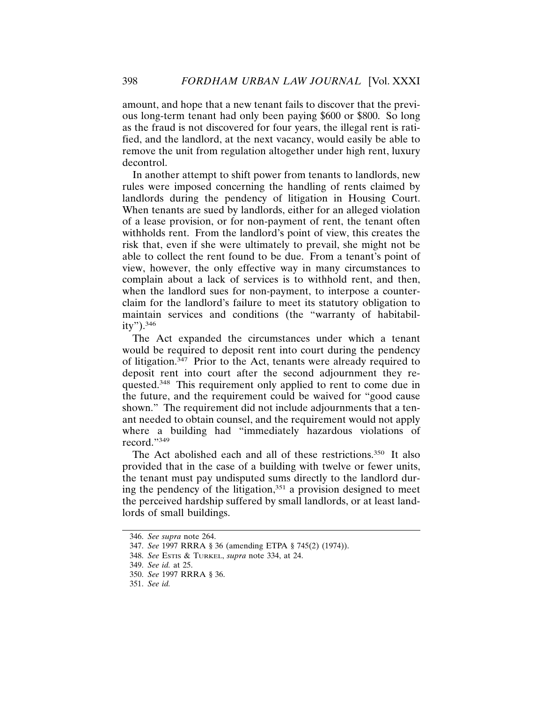amount, and hope that a new tenant fails to discover that the previous long-term tenant had only been paying \$600 or \$800. So long as the fraud is not discovered for four years, the illegal rent is ratified, and the landlord, at the next vacancy, would easily be able to remove the unit from regulation altogether under high rent, luxury decontrol.

In another attempt to shift power from tenants to landlords, new rules were imposed concerning the handling of rents claimed by landlords during the pendency of litigation in Housing Court. When tenants are sued by landlords, either for an alleged violation of a lease provision, or for non-payment of rent, the tenant often withholds rent. From the landlord's point of view, this creates the risk that, even if she were ultimately to prevail, she might not be able to collect the rent found to be due. From a tenant's point of view, however, the only effective way in many circumstances to complain about a lack of services is to withhold rent, and then, when the landlord sues for non-payment, to interpose a counterclaim for the landlord's failure to meet its statutory obligation to maintain services and conditions (the "warranty of habitability").<sup>346</sup>

The Act expanded the circumstances under which a tenant would be required to deposit rent into court during the pendency of litigation. $347$  Prior to the Act, tenants were already required to deposit rent into court after the second adjournment they requested.348 This requirement only applied to rent to come due in the future, and the requirement could be waived for "good cause shown." The requirement did not include adjournments that a tenant needed to obtain counsel, and the requirement would not apply where a building had "immediately hazardous violations of record."349

The Act abolished each and all of these restrictions.<sup>350</sup> It also provided that in the case of a building with twelve or fewer units, the tenant must pay undisputed sums directly to the landlord during the pendency of the litigation, $351$  a provision designed to meet the perceived hardship suffered by small landlords, or at least landlords of small buildings.

<sup>346.</sup> *See supra* note 264.

<sup>347.</sup> *See* 1997 RRRA § 36 (amending ETPA § 745(2) (1974)).

<sup>348.</sup> *See* ESTIS & TURKEL, *supra* note 334, at 24.

<sup>349.</sup> *See id.* at 25.

<sup>350.</sup> *See* 1997 RRRA § 36.

<sup>351.</sup> *See id.*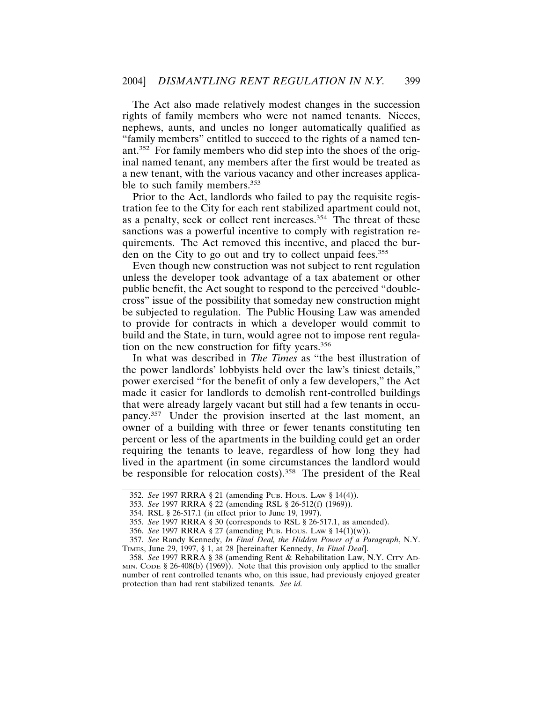The Act also made relatively modest changes in the succession rights of family members who were not named tenants. Nieces, nephews, aunts, and uncles no longer automatically qualified as "family members" entitled to succeed to the rights of a named tenant.352 For family members who did step into the shoes of the original named tenant, any members after the first would be treated as a new tenant, with the various vacancy and other increases applicable to such family members.<sup>353</sup>

Prior to the Act, landlords who failed to pay the requisite registration fee to the City for each rent stabilized apartment could not, as a penalty, seek or collect rent increases.354 The threat of these sanctions was a powerful incentive to comply with registration requirements. The Act removed this incentive, and placed the burden on the City to go out and try to collect unpaid fees.<sup>355</sup>

Even though new construction was not subject to rent regulation unless the developer took advantage of a tax abatement or other public benefit, the Act sought to respond to the perceived "doublecross" issue of the possibility that someday new construction might be subjected to regulation. The Public Housing Law was amended to provide for contracts in which a developer would commit to build and the State, in turn, would agree not to impose rent regulation on the new construction for fifty years.<sup>356</sup>

In what was described in *The Times* as "the best illustration of the power landlords' lobbyists held over the law's tiniest details," power exercised "for the benefit of only a few developers," the Act made it easier for landlords to demolish rent-controlled buildings that were already largely vacant but still had a few tenants in occupancy.357 Under the provision inserted at the last moment, an owner of a building with three or fewer tenants constituting ten percent or less of the apartments in the building could get an order requiring the tenants to leave, regardless of how long they had lived in the apartment (in some circumstances the landlord would be responsible for relocation costs).<sup>358</sup> The president of the Real

<sup>352.</sup> *See* 1997 RRRA § 21 (amending PUB. HOUS. LAW § 14(4)).

<sup>353.</sup> *See* 1997 RRRA § 22 (amending RSL § 26-512(f) (1969)).

<sup>354.</sup> RSL § 26-517.1 (in effect prior to June 19, 1997).

<sup>355.</sup> *See* 1997 RRRA § 30 (corresponds to RSL § 26-517.1, as amended).

<sup>356.</sup> *See* 1997 RRRA § 27 (amending PUB. HOUS. LAW § 14(1)(w)).

<sup>357.</sup> *See* Randy Kennedy, *In Final Deal, the Hidden Power of a Paragraph*, N.Y. TIMES, June 29, 1997, § 1, at 28 [hereinafter Kennedy, *In Final Deal*].

<sup>358.</sup> *See* 1997 RRRA § 38 (amending Rent & Rehabilitation Law, N.Y. CITY AD-MIN. CODE § 26-408(b) (1969)). Note that this provision only applied to the smaller number of rent controlled tenants who, on this issue, had previously enjoyed greater protection than had rent stabilized tenants. *See id.*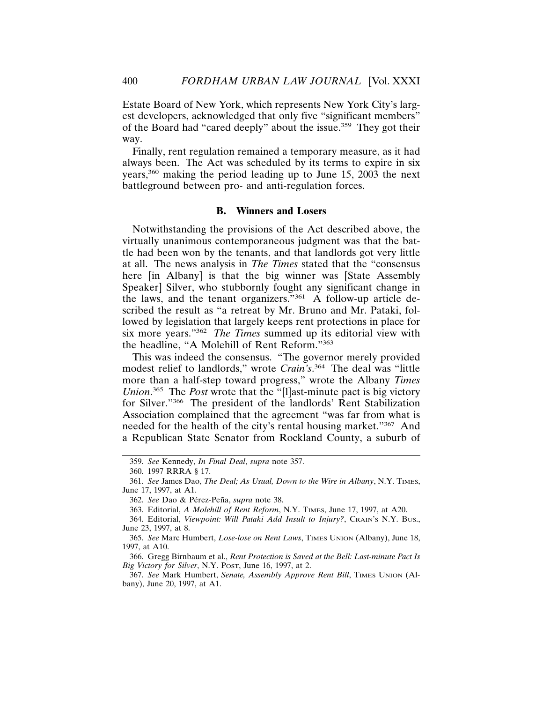Estate Board of New York, which represents New York City's largest developers, acknowledged that only five "significant members" of the Board had "cared deeply" about the issue.359 They got their way.

Finally, rent regulation remained a temporary measure, as it had always been. The Act was scheduled by its terms to expire in six years,360 making the period leading up to June 15, 2003 the next battleground between pro- and anti-regulation forces.

### **B. Winners and Losers**

Notwithstanding the provisions of the Act described above, the virtually unanimous contemporaneous judgment was that the battle had been won by the tenants, and that landlords got very little at all. The news analysis in *The Times* stated that the "consensus here [in Albany] is that the big winner was [State Assembly Speaker] Silver, who stubbornly fought any significant change in the laws, and the tenant organizers."361 A follow-up article described the result as "a retreat by Mr. Bruno and Mr. Pataki, followed by legislation that largely keeps rent protections in place for six more years."362 *The Times* summed up its editorial view with the headline, "A Molehill of Rent Reform."363

This was indeed the consensus. "The governor merely provided modest relief to landlords," wrote *Crain's*. 364 The deal was "little more than a half-step toward progress," wrote the Albany *Times Union*. 365 The *Post* wrote that the "[l]ast-minute pact is big victory for Silver."366 The president of the landlords' Rent Stabilization Association complained that the agreement "was far from what is needed for the health of the city's rental housing market."367 And a Republican State Senator from Rockland County, a suburb of

<sup>359.</sup> *See* Kennedy, *In Final Deal*, *supra* note 357.

<sup>360. 1997</sup> RRRA § 17.

<sup>361.</sup> *See* James Dao, *The Deal; As Usual, Down to the Wire in Albany*, N.Y. TIMES, June 17, 1997, at A1.

<sup>362.</sup> See Dao & Pérez-Peña, *supra* note 38.

<sup>363.</sup> Editorial, *A Molehill of Rent Reform*, N.Y. TIMES, June 17, 1997, at A20.

<sup>364.</sup> Editorial, *Viewpoint: Will Pataki Add Insult to Injury?*, CRAIN'S N.Y. BUS., June 23, 1997, at 8.

<sup>365.</sup> *See* Marc Humbert, *Lose-lose on Rent Laws*, TIMES UNION (Albany), June 18, 1997, at A10.

<sup>366.</sup> Gregg Birnbaum et al., *Rent Protection is Saved at the Bell: Last-minute Pact Is Big Victory for Silver*, N.Y. POST, June 16, 1997, at 2.

<sup>367.</sup> See Mark Humbert, Senate, Assembly Approve Rent Bill, TIMES UNION (Albany), June 20, 1997, at A1.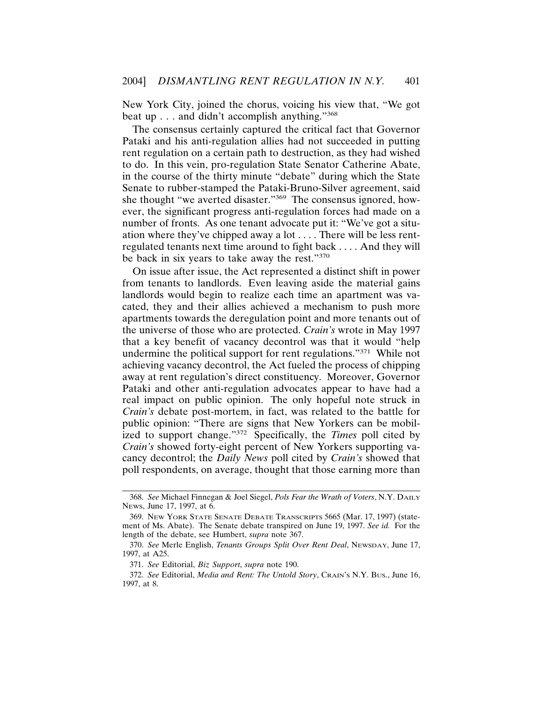New York City, joined the chorus, voicing his view that, "We got beat up . . . and didn't accomplish anything."368

The consensus certainly captured the critical fact that Governor Pataki and his anti-regulation allies had not succeeded in putting rent regulation on a certain path to destruction, as they had wished to do. In this vein, pro-regulation State Senator Catherine Abate, in the course of the thirty minute "debate" during which the State Senate to rubber-stamped the Pataki-Bruno-Silver agreement, said she thought "we averted disaster."369 The consensus ignored, however, the significant progress anti-regulation forces had made on a number of fronts. As one tenant advocate put it: "We've got a situation where they've chipped away a lot . . . . There will be less rentregulated tenants next time around to fight back . . . . And they will be back in six years to take away the rest."370

On issue after issue, the Act represented a distinct shift in power from tenants to landlords. Even leaving aside the material gains landlords would begin to realize each time an apartment was vacated, they and their allies achieved a mechanism to push more apartments towards the deregulation point and more tenants out of the universe of those who are protected. *Crain's* wrote in May 1997 that a key benefit of vacancy decontrol was that it would "help undermine the political support for rent regulations."371 While not achieving vacancy decontrol, the Act fueled the process of chipping away at rent regulation's direct constituency. Moreover, Governor Pataki and other anti-regulation advocates appear to have had a real impact on public opinion. The only hopeful note struck in *Crain's* debate post-mortem, in fact, was related to the battle for public opinion: "There are signs that New Yorkers can be mobilized to support change."372 Specifically, the *Times* poll cited by *Crain's* showed forty-eight percent of New Yorkers supporting vacancy decontrol; the *Daily News* poll cited by *Crain's* showed that poll respondents, on average, thought that those earning more than

<sup>368.</sup> *See* Michael Finnegan & Joel Siegel, *Pols Fear the Wrath of Voters*, N.Y. DAILY NEWS, June 17, 1997, at 6.

<sup>369.</sup> NEW YORK STATE SENATE DEBATE TRANSCRIPTS 5665 (Mar. 17, 1997) (statement of Ms. Abate). The Senate debate transpired on June 19, 1997. *See id.* For the length of the debate, see Humbert, *supra* note 367.

<sup>370.</sup> *See* Merle English, *Tenants Groups Split Over Rent Deal*, NEWSDAY, June 17, 1997, at A25.

<sup>371.</sup> *See* Editorial, *Biz Support*, *supra* note 190.

<sup>372.</sup> *See* Editorial, *Media and Rent: The Untold Story*, CRAIN'S N.Y. BUS., June 16, 1997, at 8.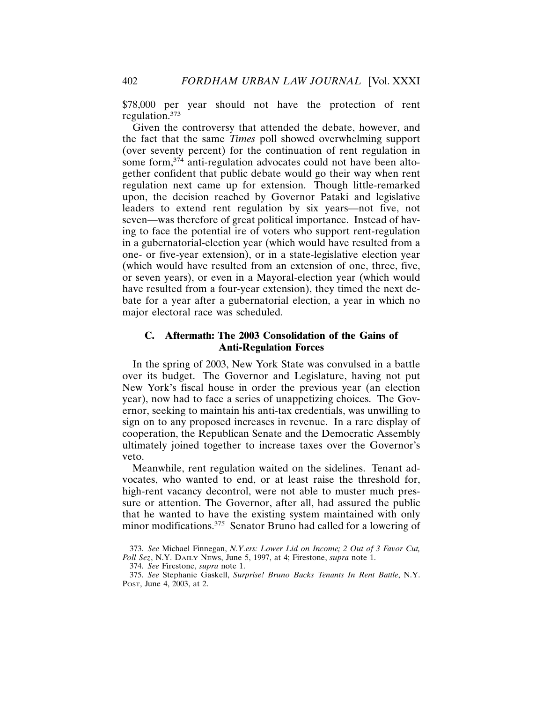\$78,000 per year should not have the protection of rent regulation.<sup>373</sup>

Given the controversy that attended the debate, however, and the fact that the same *Times* poll showed overwhelming support (over seventy percent) for the continuation of rent regulation in some form,<sup>374</sup> anti-regulation advocates could not have been altogether confident that public debate would go their way when rent regulation next came up for extension. Though little-remarked upon, the decision reached by Governor Pataki and legislative leaders to extend rent regulation by six years—not five, not seven—was therefore of great political importance. Instead of having to face the potential ire of voters who support rent-regulation in a gubernatorial-election year (which would have resulted from a one- or five-year extension), or in a state-legislative election year (which would have resulted from an extension of one, three, five, or seven years), or even in a Mayoral-election year (which would have resulted from a four-year extension), they timed the next debate for a year after a gubernatorial election, a year in which no major electoral race was scheduled.

# **C. Aftermath: The 2003 Consolidation of the Gains of Anti-Regulation Forces**

In the spring of 2003, New York State was convulsed in a battle over its budget. The Governor and Legislature, having not put New York's fiscal house in order the previous year (an election year), now had to face a series of unappetizing choices. The Governor, seeking to maintain his anti-tax credentials, was unwilling to sign on to any proposed increases in revenue. In a rare display of cooperation, the Republican Senate and the Democratic Assembly ultimately joined together to increase taxes over the Governor's veto.

Meanwhile, rent regulation waited on the sidelines. Tenant advocates, who wanted to end, or at least raise the threshold for, high-rent vacancy decontrol, were not able to muster much pressure or attention. The Governor, after all, had assured the public that he wanted to have the existing system maintained with only minor modifications.<sup>375</sup> Senator Bruno had called for a lowering of

<sup>373.</sup> *See* Michael Finnegan, *N.Y.ers: Lower Lid on Income; 2 Out of 3 Favor Cut, Poll Sez*, N.Y. DAILY NEWS, June 5, 1997, at 4; Firestone, *supra* note 1.

<sup>374.</sup> *See* Firestone, *supra* note 1.

<sup>375.</sup> *See* Stephanie Gaskell, *Surprise! Bruno Backs Tenants In Rent Battle*, N.Y. POST, June 4, 2003, at 2.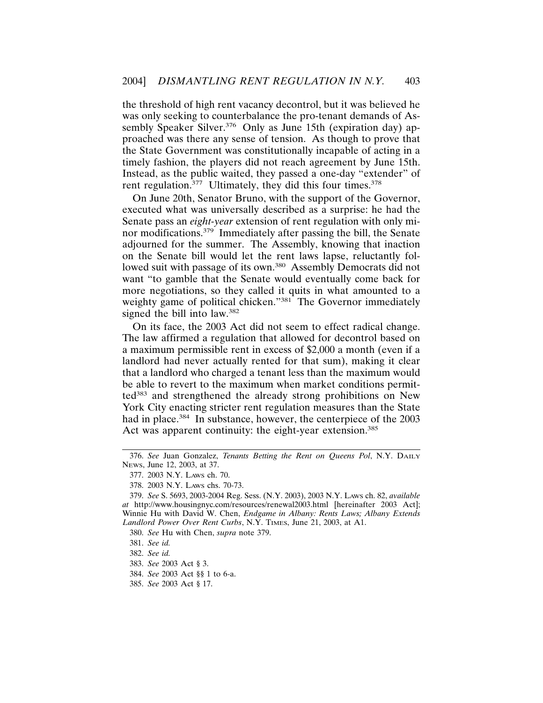the threshold of high rent vacancy decontrol, but it was believed he was only seeking to counterbalance the pro-tenant demands of Assembly Speaker Silver.<sup>376</sup> Only as June 15th (expiration day) approached was there any sense of tension. As though to prove that the State Government was constitutionally incapable of acting in a timely fashion, the players did not reach agreement by June 15th. Instead, as the public waited, they passed a one-day "extender" of rent regulation.<sup>377</sup> Ultimately, they did this four times.<sup>378</sup>

On June 20th, Senator Bruno, with the support of the Governor, executed what was universally described as a surprise: he had the Senate pass an *eight-year* extension of rent regulation with only minor modifications.<sup>379</sup> Immediately after passing the bill, the Senate adjourned for the summer. The Assembly, knowing that inaction on the Senate bill would let the rent laws lapse, reluctantly followed suit with passage of its own.<sup>380</sup> Assembly Democrats did not want "to gamble that the Senate would eventually come back for more negotiations, so they called it quits in what amounted to a weighty game of political chicken."<sup>381</sup> The Governor immediately signed the bill into law.<sup>382</sup>

On its face, the 2003 Act did not seem to effect radical change. The law affirmed a regulation that allowed for decontrol based on a maximum permissible rent in excess of \$2,000 a month (even if a landlord had never actually rented for that sum), making it clear that a landlord who charged a tenant less than the maximum would be able to revert to the maximum when market conditions permitted<sup>383</sup> and strengthened the already strong prohibitions on New York City enacting stricter rent regulation measures than the State had in place.<sup>384</sup> In substance, however, the centerpiece of the 2003 Act was apparent continuity: the eight-year extension.<sup>385</sup>

<sup>376.</sup> *See* Juan Gonzalez, *Tenants Betting the Rent on Queens Pol*, N.Y. DAILY NEWS, June 12, 2003, at 37.

<sup>377. 2003</sup> N.Y. LAWS ch. 70.

<sup>378. 2003</sup> N.Y. LAWS chs. 70-73.

<sup>379.</sup> *See* S. 5693, 2003-2004 Reg. Sess. (N.Y. 2003), 2003 N.Y. LAWS ch. 82, *available at* http://www.housingnyc.com/resources/renewal2003.html [hereinafter 2003 Act]; Winnie Hu with David W. Chen, *Endgame in Albany: Rents Laws; Albany Extends Landlord Power Over Rent Curbs*, N.Y. TIMES, June 21, 2003, at A1.

<sup>380.</sup> *See* Hu with Chen, *supra* note 379.

<sup>381.</sup> *See id.*

<sup>382.</sup> *See id.*

<sup>383.</sup> *See* 2003 Act § 3.

<sup>384.</sup> *See* 2003 Act §§ 1 to 6-a.

<sup>385.</sup> *See* 2003 Act § 17.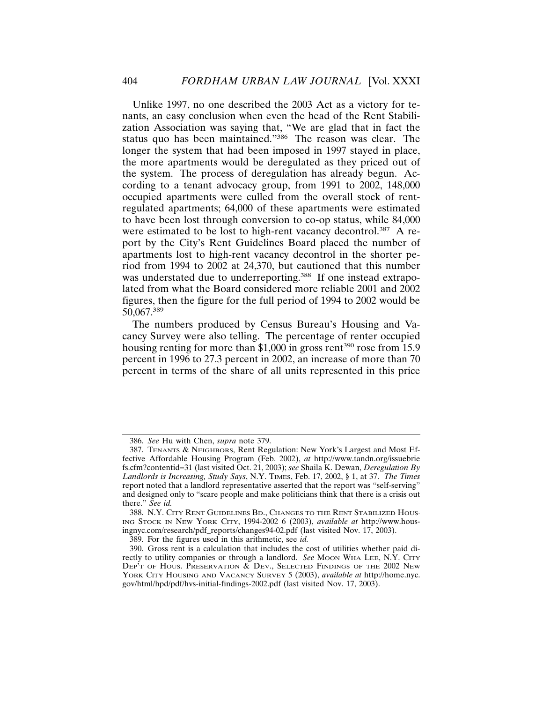Unlike 1997, no one described the 2003 Act as a victory for tenants, an easy conclusion when even the head of the Rent Stabilization Association was saying that, "We are glad that in fact the status quo has been maintained."386 The reason was clear. The longer the system that had been imposed in 1997 stayed in place, the more apartments would be deregulated as they priced out of the system. The process of deregulation has already begun. According to a tenant advocacy group, from 1991 to 2002, 148,000 occupied apartments were culled from the overall stock of rentregulated apartments; 64,000 of these apartments were estimated to have been lost through conversion to co-op status, while 84,000 were estimated to be lost to high-rent vacancy decontrol.<sup>387</sup> A report by the City's Rent Guidelines Board placed the number of apartments lost to high-rent vacancy decontrol in the shorter period from 1994 to 2002 at 24,370, but cautioned that this number was understated due to underreporting.<sup>388</sup> If one instead extrapolated from what the Board considered more reliable 2001 and 2002 figures, then the figure for the full period of 1994 to 2002 would be 50,067.<sup>389</sup>

The numbers produced by Census Bureau's Housing and Vacancy Survey were also telling. The percentage of renter occupied housing renting for more than  $$1,000$  in gross rent<sup>390</sup> rose from 15.9 percent in 1996 to 27.3 percent in 2002, an increase of more than 70 percent in terms of the share of all units represented in this price

<sup>386.</sup> *See* Hu with Chen, *supra* note 379.

<sup>387.</sup> TENANTS & NEIGHBORS, Rent Regulation: New York's Largest and Most Effective Affordable Housing Program (Feb. 2002), *at* http://www.tandn.org/issuebrie fs.cfm?contentid=31 (last visited Oct. 21, 2003); *see* Shaila K. Dewan, *Deregulation By Landlords is Increasing, Study Says*, N.Y. TIMES, Feb. 17, 2002, § 1, at 37. *The Times* report noted that a landlord representative asserted that the report was "self-serving" and designed only to "scare people and make politicians think that there is a crisis out there." *See id.*

<sup>388.</sup> N.Y. CITY RENT GUIDELINES BD., CHANGES TO THE RENT STABILIZED HOUS-ING STOCK IN NEW YORK CITY, 1994-2002 6 (2003), *available at* http://www.housingnyc.com/research/pdf\_reports/changes94-02.pdf (last visited Nov. 17, 2003).

<sup>389.</sup> For the figures used in this arithmetic, see *id.*

<sup>390.</sup> Gross rent is a calculation that includes the cost of utilities whether paid directly to utility companies or through a landlord. *See* MOON WHA LEE, N.Y. CITY DEP<sup>'</sup>T OF HOUS. PRESERVATION & DEV., SELECTED FINDINGS OF THE 2002 NEW YORK CITY HOUSING AND VACANCY SURVEY 5 (2003), *available at* http://home.nyc. gov/html/hpd/pdf/hvs-initial-findings-2002.pdf (last visited Nov. 17, 2003).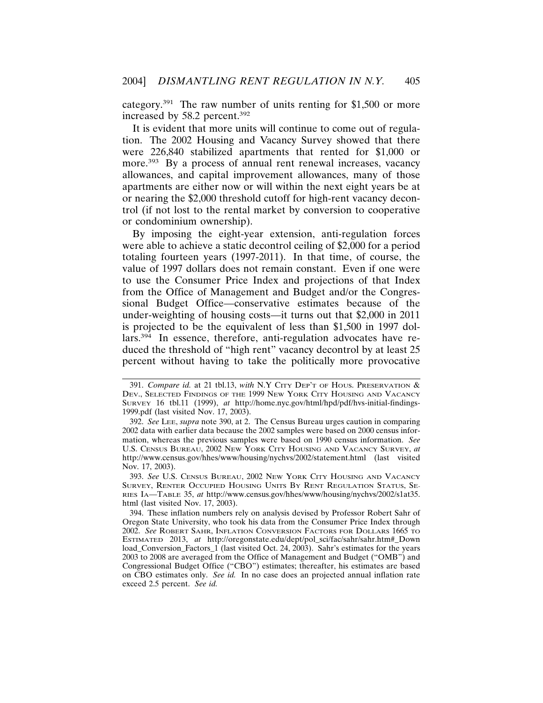category.391 The raw number of units renting for \$1,500 or more increased by 58.2 percent.392

It is evident that more units will continue to come out of regulation. The 2002 Housing and Vacancy Survey showed that there were 226,840 stabilized apartments that rented for \$1,000 or more.<sup>393</sup> By a process of annual rent renewal increases, vacancy allowances, and capital improvement allowances, many of those apartments are either now or will within the next eight years be at or nearing the \$2,000 threshold cutoff for high-rent vacancy decontrol (if not lost to the rental market by conversion to cooperative or condominium ownership).

By imposing the eight-year extension, anti-regulation forces were able to achieve a static decontrol ceiling of \$2,000 for a period totaling fourteen years (1997-2011). In that time, of course, the value of 1997 dollars does not remain constant. Even if one were to use the Consumer Price Index and projections of that Index from the Office of Management and Budget and/or the Congressional Budget Office—conservative estimates because of the under-weighting of housing costs—it turns out that \$2,000 in 2011 is projected to be the equivalent of less than \$1,500 in 1997 dollars.394 In essence, therefore, anti-regulation advocates have reduced the threshold of "high rent" vacancy decontrol by at least 25 percent without having to take the politically more provocative

<sup>391.</sup> *Compare id.* at 21 tbl.13, *with* N.Y CITY DEP'T OF HOUS. PRESERVATION & DEV., SELECTED FINDINGS OF THE 1999 NEW YORK CITY HOUSING AND VACANCY SURVEY 16 tbl.11 (1999), *at* http://home.nyc.gov/html/hpd/pdf/hvs-initial-findings-1999.pdf (last visited Nov. 17, 2003).

<sup>392.</sup> *See* LEE, *supra* note 390, at 2. The Census Bureau urges caution in comparing 2002 data with earlier data because the 2002 samples were based on 2000 census information, whereas the previous samples were based on 1990 census information. *See* U.S. CENSUS BUREAU, 2002 NEW YORK CITY HOUSING AND VACANCY SURVEY, *at* http://www.census.gov/hhes/www/housing/nychvs/2002/statement.html (last visited Nov. 17, 2003).

<sup>393.</sup> *See* U.S. CENSUS BUREAU, 2002 NEW YORK CITY HOUSING AND VACANCY SURVEY, RENTER OCCUPIED HOUSING UNITS BY RENT REGULATION STATUS, SE-RIES IA—TABLE 35, *at* http://www.census.gov/hhes/www/housing/nychvs/2002/s1at35. html (last visited Nov. 17, 2003).

<sup>394.</sup> These inflation numbers rely on analysis devised by Professor Robert Sahr of Oregon State University, who took his data from the Consumer Price Index through 2002. *See* ROBERT SAHR, INFLATION CONVERSION FACTORS FOR DOLLARS 1665 TO ESTIMATED 2013, *at* http://oregonstate.edu/dept/pol\_sci/fac/sahr/sahr.htm#\_Down load Conversion Factors 1 (last visited Oct. 24, 2003). Sahr's estimates for the years 2003 to 2008 are averaged from the Office of Management and Budget ("OMB") and Congressional Budget Office ("CBO") estimates; thereafter, his estimates are based on CBO estimates only. *See id.* In no case does an projected annual inflation rate exceed 2.5 percent. *See id.*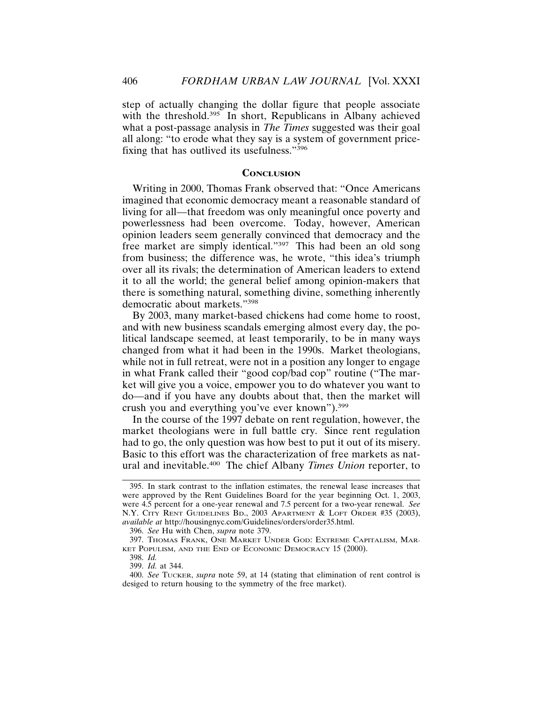step of actually changing the dollar figure that people associate with the threshold.<sup>395</sup> In short, Republicans in Albany achieved what a post-passage analysis in *The Times* suggested was their goal all along: "to erode what they say is a system of government pricefixing that has outlived its usefulness."396

#### **CONCLUSION**

Writing in 2000, Thomas Frank observed that: "Once Americans imagined that economic democracy meant a reasonable standard of living for all—that freedom was only meaningful once poverty and powerlessness had been overcome. Today, however, American opinion leaders seem generally convinced that democracy and the free market are simply identical."397 This had been an old song from business; the difference was, he wrote, "this idea's triumph over all its rivals; the determination of American leaders to extend it to all the world; the general belief among opinion-makers that there is something natural, something divine, something inherently democratic about markets."398

By 2003, many market-based chickens had come home to roost, and with new business scandals emerging almost every day, the political landscape seemed, at least temporarily, to be in many ways changed from what it had been in the 1990s. Market theologians, while not in full retreat, were not in a position any longer to engage in what Frank called their "good cop/bad cop" routine ("The market will give you a voice, empower you to do whatever you want to do—and if you have any doubts about that, then the market will crush you and everything you've ever known").399

In the course of the 1997 debate on rent regulation, however, the market theologians were in full battle cry. Since rent regulation had to go, the only question was how best to put it out of its misery. Basic to this effort was the characterization of free markets as natural and inevitable.400 The chief Albany *Times Union* reporter, to

<sup>395.</sup> In stark contrast to the inflation estimates, the renewal lease increases that were approved by the Rent Guidelines Board for the year beginning Oct. 1, 2003, were 4.5 percent for a one-year renewal and 7.5 percent for a two-year renewal. *See* N.Y. CITY RENT GUIDELINES BD., 2003 APARTMENT & LOFT ORDER #35 (2003), *available at* http://housingnyc.com/Guidelines/orders/order35.html.

<sup>396.</sup> *See* Hu with Chen, *supra* note 379.

<sup>397.</sup> THOMAS FRANK, ONE MARKET UNDER GOD: EXTREME CAPITALISM, MAR-KET POPULISM, AND THE END OF ECONOMIC DEMOCRACY 15 (2000).

<sup>398.</sup> *Id.*

<sup>399.</sup> *Id.* at 344.

<sup>400.</sup> *See* TUCKER, *supra* note 59, at 14 (stating that elimination of rent control is desiged to return housing to the symmetry of the free market).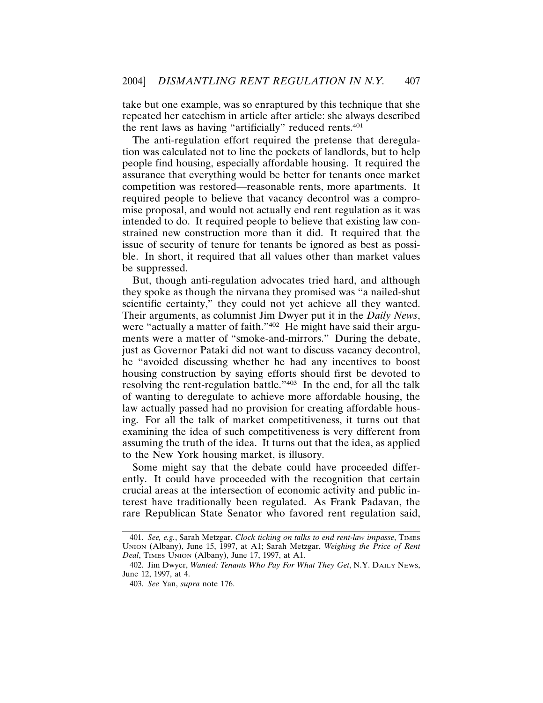take but one example, was so enraptured by this technique that she repeated her catechism in article after article: she always described the rent laws as having "artificially" reduced rents.401

The anti-regulation effort required the pretense that deregulation was calculated not to line the pockets of landlords, but to help people find housing, especially affordable housing. It required the assurance that everything would be better for tenants once market competition was restored—reasonable rents, more apartments. It required people to believe that vacancy decontrol was a compromise proposal, and would not actually end rent regulation as it was intended to do. It required people to believe that existing law constrained new construction more than it did. It required that the issue of security of tenure for tenants be ignored as best as possible. In short, it required that all values other than market values be suppressed.

But, though anti-regulation advocates tried hard, and although they spoke as though the nirvana they promised was "a nailed-shut scientific certainty," they could not yet achieve all they wanted. Their arguments, as columnist Jim Dwyer put it in the *Daily News*, were "actually a matter of faith."<sup>402</sup> He might have said their arguments were a matter of "smoke-and-mirrors." During the debate, just as Governor Pataki did not want to discuss vacancy decontrol, he "avoided discussing whether he had any incentives to boost housing construction by saying efforts should first be devoted to resolving the rent-regulation battle."403 In the end, for all the talk of wanting to deregulate to achieve more affordable housing, the law actually passed had no provision for creating affordable housing. For all the talk of market competitiveness, it turns out that examining the idea of such competitiveness is very different from assuming the truth of the idea. It turns out that the idea, as applied to the New York housing market, is illusory.

Some might say that the debate could have proceeded differently. It could have proceeded with the recognition that certain crucial areas at the intersection of economic activity and public interest have traditionally been regulated. As Frank Padavan, the rare Republican State Senator who favored rent regulation said,

<sup>401.</sup> *See, e.g.*, Sarah Metzgar, *Clock ticking on talks to end rent-law impasse*, TIMES UNION (Albany), June 15, 1997, at A1; Sarah Metzgar, *Weighing the Price of Rent Deal*, TIMES UNION (Albany), June 17, 1997, at A1.

<sup>402.</sup> Jim Dwyer, *Wanted: Tenants Who Pay For What They Get*, N.Y. DAILY NEWS, June 12, 1997, at 4.

<sup>403.</sup> *See* Yan, *supra* note 176.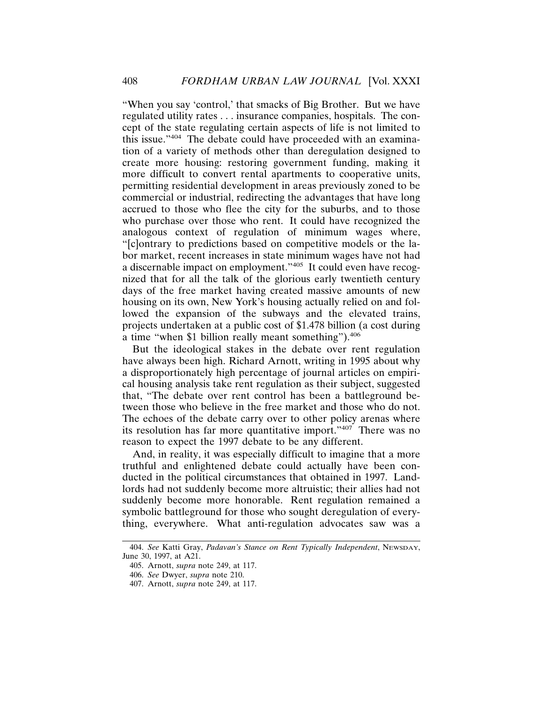"When you say 'control,' that smacks of Big Brother. But we have regulated utility rates . . . insurance companies, hospitals. The concept of the state regulating certain aspects of life is not limited to this issue."404 The debate could have proceeded with an examination of a variety of methods other than deregulation designed to create more housing: restoring government funding, making it more difficult to convert rental apartments to cooperative units, permitting residential development in areas previously zoned to be commercial or industrial, redirecting the advantages that have long accrued to those who flee the city for the suburbs, and to those who purchase over those who rent. It could have recognized the analogous context of regulation of minimum wages where, "[c]ontrary to predictions based on competitive models or the labor market, recent increases in state minimum wages have not had a discernable impact on employment."405 It could even have recognized that for all the talk of the glorious early twentieth century days of the free market having created massive amounts of new housing on its own, New York's housing actually relied on and followed the expansion of the subways and the elevated trains, projects undertaken at a public cost of \$1.478 billion (a cost during a time "when \$1 billion really meant something").406

But the ideological stakes in the debate over rent regulation have always been high. Richard Arnott, writing in 1995 about why a disproportionately high percentage of journal articles on empirical housing analysis take rent regulation as their subject, suggested that, "The debate over rent control has been a battleground between those who believe in the free market and those who do not. The echoes of the debate carry over to other policy arenas where its resolution has far more quantitative import."407 There was no reason to expect the 1997 debate to be any different.

And, in reality, it was especially difficult to imagine that a more truthful and enlightened debate could actually have been conducted in the political circumstances that obtained in 1997. Landlords had not suddenly become more altruistic; their allies had not suddenly become more honorable. Rent regulation remained a symbolic battleground for those who sought deregulation of everything, everywhere. What anti-regulation advocates saw was a

<sup>404.</sup> *See* Katti Gray, *Padavan's Stance on Rent Typically Independent*, NEWSDAY, June 30, 1997, at A21.

<sup>405.</sup> Arnott, *supra* note 249, at 117.

<sup>406.</sup> *See* Dwyer, *supra* note 210.

<sup>407.</sup> Arnott, *supra* note 249, at 117.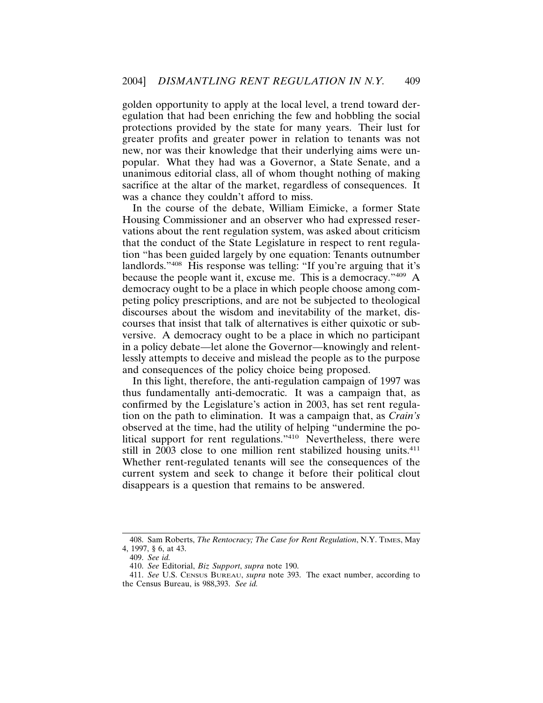golden opportunity to apply at the local level, a trend toward deregulation that had been enriching the few and hobbling the social protections provided by the state for many years. Their lust for greater profits and greater power in relation to tenants was not new, nor was their knowledge that their underlying aims were unpopular. What they had was a Governor, a State Senate, and a unanimous editorial class, all of whom thought nothing of making sacrifice at the altar of the market, regardless of consequences. It was a chance they couldn't afford to miss.

In the course of the debate, William Eimicke, a former State Housing Commissioner and an observer who had expressed reservations about the rent regulation system, was asked about criticism that the conduct of the State Legislature in respect to rent regulation "has been guided largely by one equation: Tenants outnumber landlords."408 His response was telling: "If you're arguing that it's because the people want it, excuse me. This is a democracy."409 A democracy ought to be a place in which people choose among competing policy prescriptions, and are not be subjected to theological discourses about the wisdom and inevitability of the market, discourses that insist that talk of alternatives is either quixotic or subversive. A democracy ought to be a place in which no participant in a policy debate—let alone the Governor—knowingly and relentlessly attempts to deceive and mislead the people as to the purpose and consequences of the policy choice being proposed.

In this light, therefore, the anti-regulation campaign of 1997 was thus fundamentally anti-democratic. It was a campaign that, as confirmed by the Legislature's action in 2003, has set rent regulation on the path to elimination. It was a campaign that, as *Crain's* observed at the time, had the utility of helping "undermine the political support for rent regulations."410 Nevertheless, there were still in 2003 close to one million rent stabilized housing units.<sup>411</sup> Whether rent-regulated tenants will see the consequences of the current system and seek to change it before their political clout disappears is a question that remains to be answered.

<sup>408.</sup> Sam Roberts, *The Rentocracy; The Case for Rent Regulation*, N.Y. TIMES, May 4, 1997, § 6, at 43.

<sup>409.</sup> *See id.*

<sup>410.</sup> *See* Editorial, *Biz Support*, *supra* note 190.

<sup>411.</sup> *See* U.S. CENSUS BUREAU, *supra* note 393. The exact number, according to the Census Bureau, is 988,393. *See id.*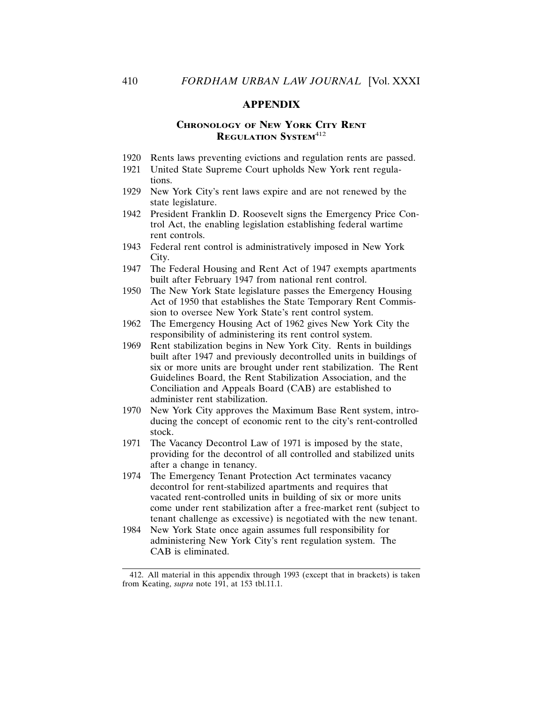# **APPENDIX**

# **CHRONOLOGY OF NEW YORK CITY RENT REGULATION SYSTEM**<sup>412</sup>

- 1920 Rents laws preventing evictions and regulation rents are passed.
- 1921 United State Supreme Court upholds New York rent regulations.
- 1929 New York City's rent laws expire and are not renewed by the state legislature.
- 1942 President Franklin D. Roosevelt signs the Emergency Price Control Act, the enabling legislation establishing federal wartime rent controls.
- 1943 Federal rent control is administratively imposed in New York City.
- 1947 The Federal Housing and Rent Act of 1947 exempts apartments built after February 1947 from national rent control.
- 1950 The New York State legislature passes the Emergency Housing Act of 1950 that establishes the State Temporary Rent Commission to oversee New York State's rent control system.
- 1962 The Emergency Housing Act of 1962 gives New York City the responsibility of administering its rent control system.
- 1969 Rent stabilization begins in New York City. Rents in buildings built after 1947 and previously decontrolled units in buildings of six or more units are brought under rent stabilization. The Rent Guidelines Board, the Rent Stabilization Association, and the Conciliation and Appeals Board (CAB) are established to administer rent stabilization.
- 1970 New York City approves the Maximum Base Rent system, introducing the concept of economic rent to the city's rent-controlled stock.
- 1971 The Vacancy Decontrol Law of 1971 is imposed by the state, providing for the decontrol of all controlled and stabilized units after a change in tenancy.
- 1974 The Emergency Tenant Protection Act terminates vacancy decontrol for rent-stabilized apartments and requires that vacated rent-controlled units in building of six or more units come under rent stabilization after a free-market rent (subject to tenant challenge as excessive) is negotiated with the new tenant.
- 1984 New York State once again assumes full responsibility for administering New York City's rent regulation system. The CAB is eliminated.

<sup>412.</sup> All material in this appendix through 1993 (except that in brackets) is taken from Keating, *supra* note 191, at 153 tbl.11.1.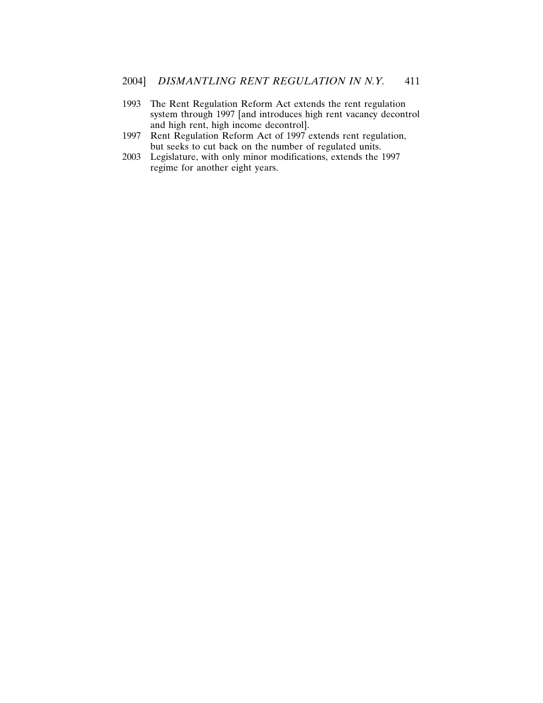- 1993 The Rent Regulation Reform Act extends the rent regulation system through 1997 [and introduces high rent vacancy decontrol and high rent, high income decontrol].
- 1997 Rent Regulation Reform Act of 1997 extends rent regulation, but seeks to cut back on the number of regulated units.
- 2003 Legislature, with only minor modifications, extends the 1997 regime for another eight years.